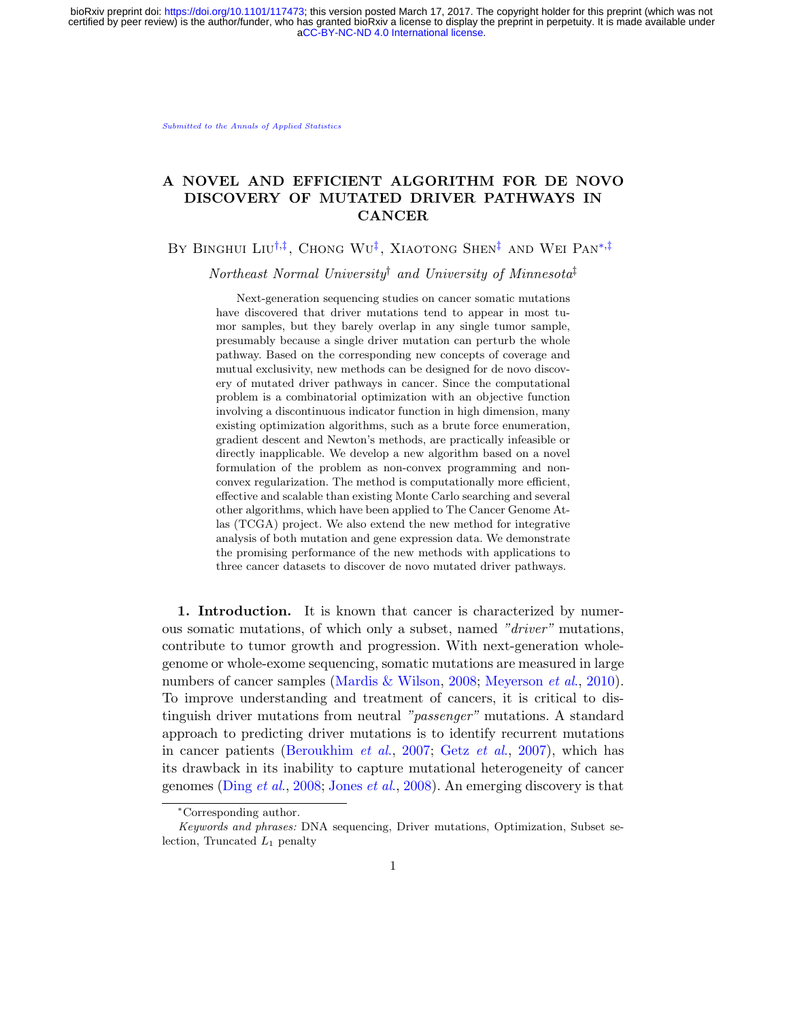[Submitted to the Annals of Applied Statistics](http://www.imstat.org/aoas/)

# A NOVEL AND EFFICIENT ALGORITHM FOR DE NOVO DISCOVERY OF MUTATED DRIVER PATHWAYS IN CANCER

BY BINGHUI LIU<sup>[†](#page-0-0),[‡](#page-0-1)</sup>, Chong Wu<sup>‡</sup>, Xiaotong Shen<sup>‡</sup> and Wei Pan<sup>\*,‡</sup>

Northeast Normal University† and University of Minnesota‡

<span id="page-0-1"></span><span id="page-0-0"></span>Next-generation sequencing studies on cancer somatic mutations have discovered that driver mutations tend to appear in most tumor samples, but they barely overlap in any single tumor sample, presumably because a single driver mutation can perturb the whole pathway. Based on the corresponding new concepts of coverage and mutual exclusivity, new methods can be designed for de novo discovery of mutated driver pathways in cancer. Since the computational problem is a combinatorial optimization with an objective function involving a discontinuous indicator function in high dimension, many existing optimization algorithms, such as a brute force enumeration, gradient descent and Newton's methods, are practically infeasible or directly inapplicable. We develop a new algorithm based on a novel formulation of the problem as non-convex programming and nonconvex regularization. The method is computationally more efficient, effective and scalable than existing Monte Carlo searching and several other algorithms, which have been applied to The Cancer Genome Atlas (TCGA) project. We also extend the new method for integrative analysis of both mutation and gene expression data. We demonstrate the promising performance of the new methods with applications to three cancer datasets to discover de novo mutated driver pathways.

1. Introduction. It is known that cancer is characterized by numerous somatic mutations, of which only a subset, named "driver" mutations, contribute to tumor growth and progression. With next-generation wholegenome or whole-exome sequencing, somatic mutations are measured in large numbers of cancer samples [\(Mardis & Wilson,](#page-33-0) [2008;](#page-33-0) [Meyerson](#page-33-1) *et al.*, [2010\)](#page-33-1). To improve understanding and treatment of cancers, it is critical to distinguish driver mutations from neutral "passenger" mutations. A standard approach to predicting driver mutations is to identify recurrent mutations in cancer patients [\(Beroukhim](#page-32-0) et al., [2007;](#page-32-0) [Getz](#page-32-1) et al., [2007\)](#page-32-1), which has its drawback in its inability to capture mutational heterogeneity of cancer genomes [\(Ding](#page-32-2) et al., [2008;](#page-32-2) [Jones](#page-32-3) et al., [2008\)](#page-32-3). An emerging discovery is that

<span id="page-0-2"></span><sup>∗</sup>Corresponding author.

Keywords and phrases: DNA sequencing, Driver mutations, Optimization, Subset selection, Truncated  $L_1$  penalty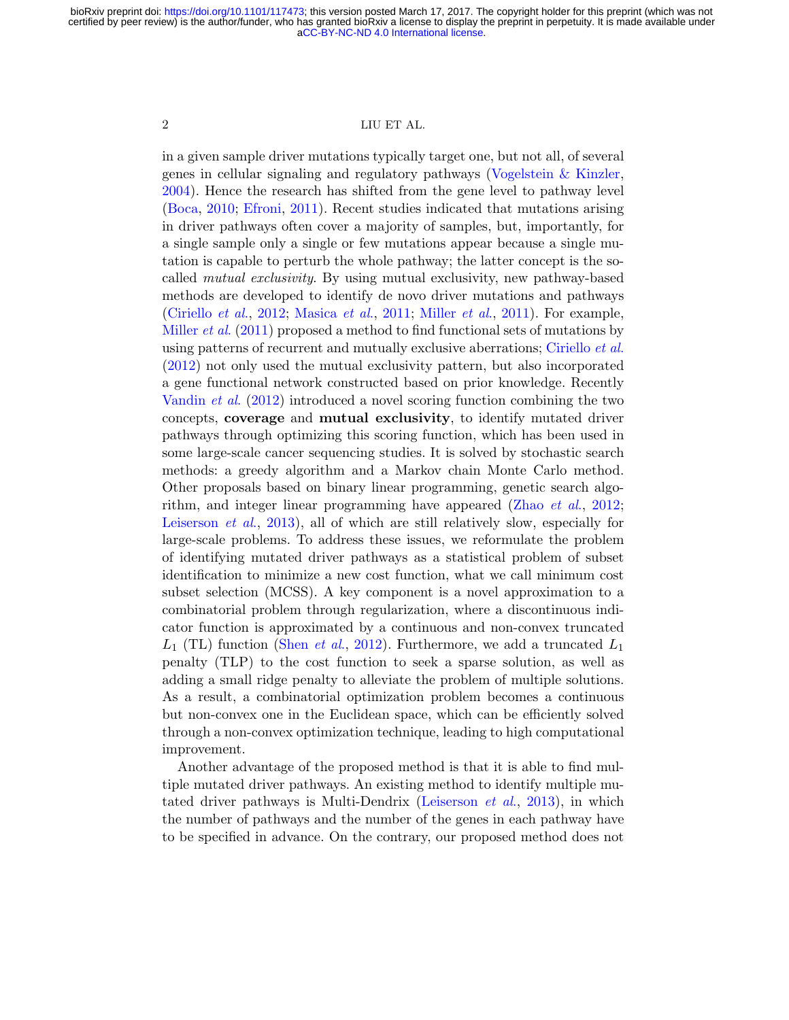in a given sample driver mutations typically target one, but not all, of several genes in cellular signaling and regulatory pathways [\(Vogelstein & Kinzler,](#page-34-0) [2004\)](#page-34-0). Hence the research has shifted from the gene level to pathway level [\(Boca,](#page-32-4) [2010;](#page-32-4) [Efroni,](#page-32-5) [2011\)](#page-32-5). Recent studies indicated that mutations arising in driver pathways often cover a majority of samples, but, importantly, for a single sample only a single or few mutations appear because a single mutation is capable to perturb the whole pathway; the latter concept is the socalled mutual exclusivity. By using mutual exclusivity, new pathway-based methods are developed to identify de novo driver mutations and pathways [\(Ciriello](#page-32-6) *et al.*, [2012;](#page-32-6) [Masica](#page-32-7) *et al.*, [2011;](#page-32-7) [Miller](#page-33-2) *et al.*, [2011\)](#page-33-2). For example, [Miller](#page-33-2) et al. [\(2011\)](#page-33-2) proposed a method to find functional sets of mutations by using patterns of recurrent and mutually exclusive aberrations; [Ciriello](#page-32-6) *et al.* [\(2012\)](#page-32-6) not only used the mutual exclusivity pattern, but also incorporated a gene functional network constructed based on prior knowledge. Recently [Vandin](#page-34-1) et al. [\(2012\)](#page-34-1) introduced a novel scoring function combining the two concepts, coverage and mutual exclusivity, to identify mutated driver pathways through optimizing this scoring function, which has been used in some large-scale cancer sequencing studies. It is solved by stochastic search methods: a greedy algorithm and a Markov chain Monte Carlo method. Other proposals based on binary linear programming, genetic search algorithm, and integer linear programming have appeared [\(Zhao](#page-34-2) et al., [2012;](#page-34-2) [Leiserson](#page-33-3) et al., [2013\)](#page-33-3), all of which are still relatively slow, especially for large-scale problems. To address these issues, we reformulate the problem of identifying mutated driver pathways as a statistical problem of subset identification to minimize a new cost function, what we call minimum cost subset selection (MCSS). A key component is a novel approximation to a combinatorial problem through regularization, where a discontinuous indicator function is approximated by a continuous and non-convex truncated  $L_1$  (TL) function [\(Shen](#page-33-4) *et al.*, [2012\)](#page-33-4). Furthermore, we add a truncated  $L_1$ penalty (TLP) to the cost function to seek a sparse solution, as well as adding a small ridge penalty to alleviate the problem of multiple solutions. As a result, a combinatorial optimization problem becomes a continuous but non-convex one in the Euclidean space, which can be efficiently solved through a non-convex optimization technique, leading to high computational improvement.

Another advantage of the proposed method is that it is able to find multiple mutated driver pathways. An existing method to identify multiple mutated driver pathways is Multi-Dendrix [\(Leiserson](#page-33-3) et al., [2013\)](#page-33-3), in which the number of pathways and the number of the genes in each pathway have to be specified in advance. On the contrary, our proposed method does not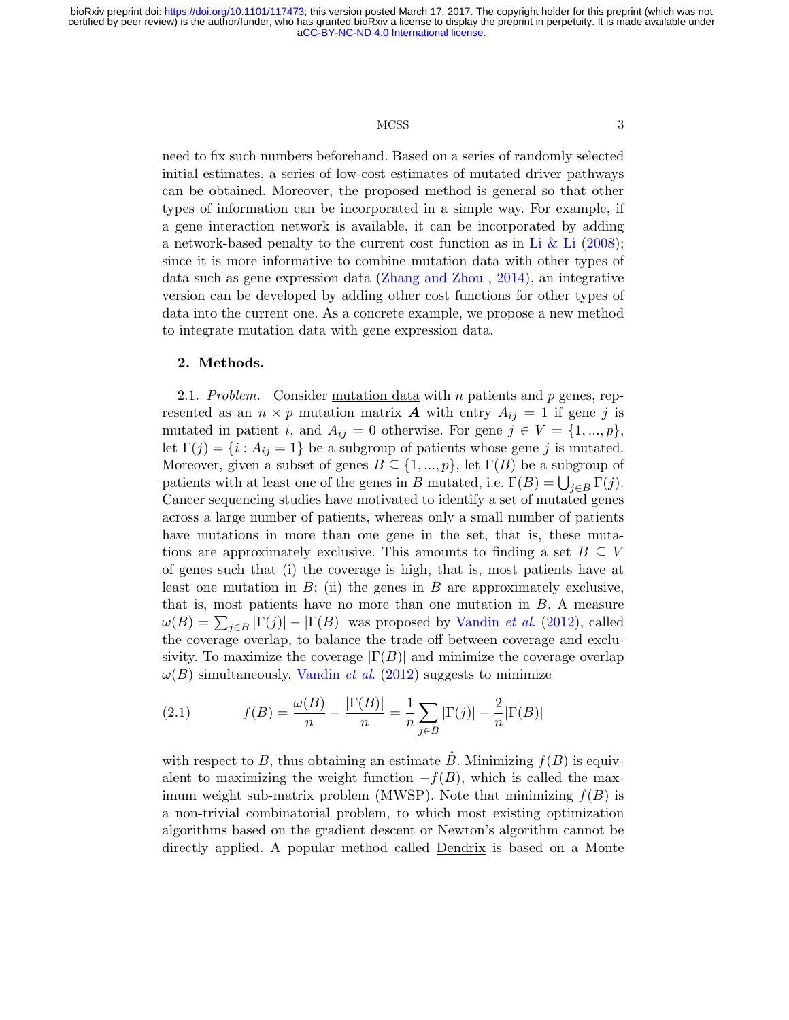### MCSS 3

need to fix such numbers beforehand. Based on a series of randomly selected initial estimates, a series of low-cost estimates of mutated driver pathways can be obtained. Moreover, the proposed method is general so that other types of information can be incorporated in a simple way. For example, if a gene interaction network is available, it can be incorporated by adding a network-based penalty to the current cost function as in [Li & Li](#page-33-5)  $(2008)$ ; since it is more informative to combine mutation data with other types of data such as gene expression data [\(Zhang and Zhou](#page-34-3) , [2014\)](#page-34-3), an integrative version can be developed by adding other cost functions for other types of data into the current one. As a concrete example, we propose a new method to integrate mutation data with gene expression data.

# 2. Methods.

2.1. Problem. Consider mutation data with n patients and  $p$  genes, represented as an  $n \times p$  mutation matrix **A** with entry  $A_{ij} = 1$  if gene j is mutated in patient i, and  $A_{ij} = 0$  otherwise. For gene  $j \in V = \{1, ..., p\},\$ let  $\Gamma(j) = \{i : A_{ij} = 1\}$  be a subgroup of patients whose gene j is mutated. Moreover, given a subset of genes  $B \subseteq \{1, ..., p\}$ , let  $\Gamma(B)$  be a subgroup of patients with at least one of the genes in B mutated, i.e.  $\Gamma(B) = \bigcup_{j \in B} \Gamma(j)$ . Cancer sequencing studies have motivated to identify a set of mutated genes across a large number of patients, whereas only a small number of patients have mutations in more than one gene in the set, that is, these mutations are approximately exclusive. This amounts to finding a set  $B \subseteq V$ of genes such that (i) the coverage is high, that is, most patients have at least one mutation in  $B$ ; (ii) the genes in  $B$  are approximately exclusive, that is, most patients have no more than one mutation in B. A measure  $\omega(B) = \sum_{j \in B} |\Gamma(j)| - |\Gamma(B)|$  was proposed by [Vandin](#page-34-1) *et al.* [\(2012\)](#page-34-1), called the coverage overlap, to balance the trade-off between coverage and exclusivity. To maximize the coverage  $|\Gamma(B)|$  and minimize the coverage overlap  $\omega(B)$  simultaneously, [Vandin](#page-34-1) *et al.* [\(2012\)](#page-34-1) suggests to minimize

<span id="page-2-0"></span>(2.1) 
$$
f(B) = \frac{\omega(B)}{n} - \frac{|\Gamma(B)|}{n} = \frac{1}{n} \sum_{j \in B} |\Gamma(j)| - \frac{2}{n} |\Gamma(B)|
$$

with respect to B, thus obtaining an estimate  $\hat{B}$ . Minimizing  $f(B)$  is equivalent to maximizing the weight function  $-f(B)$ , which is called the maximum weight sub-matrix problem (MWSP). Note that minimizing  $f(B)$  is a non-trivial combinatorial problem, to which most existing optimization algorithms based on the gradient descent or Newton's algorithm cannot be directly applied. A popular method called Dendrix is based on a Monte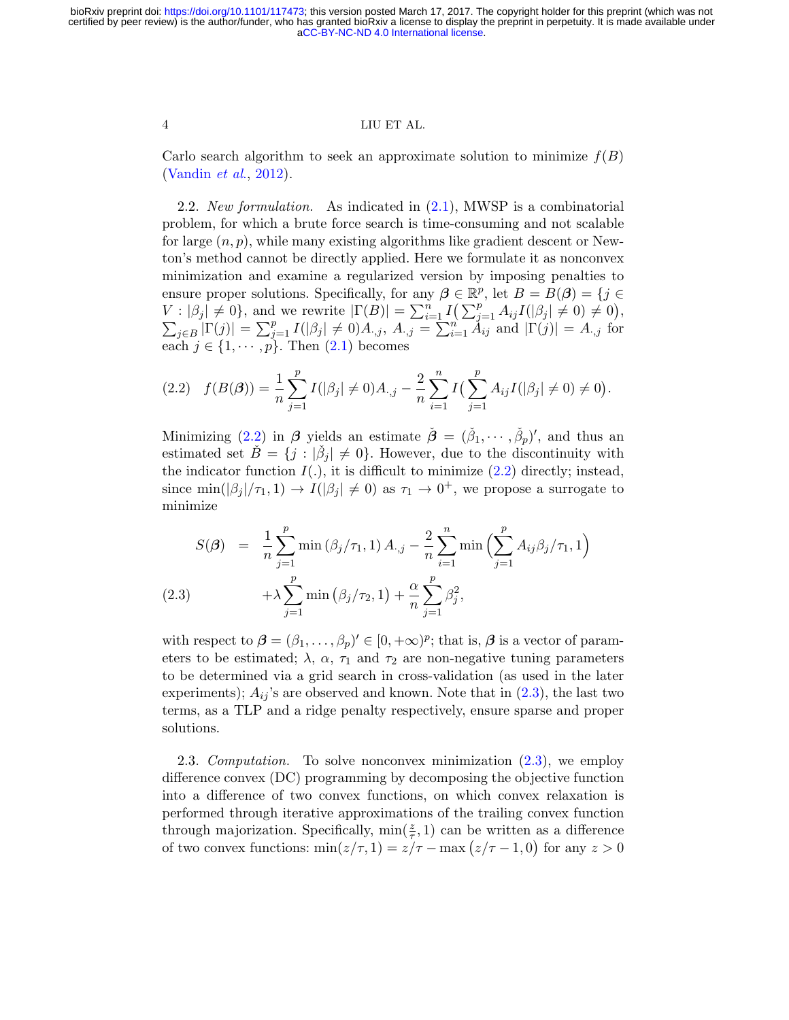Carlo search algorithm to seek an approximate solution to minimize  $f(B)$ [\(Vandin](#page-34-1) et al., [2012\)](#page-34-1).

2.2. New formulation. As indicated in  $(2.1)$ , MWSP is a combinatorial problem, for which a brute force search is time-consuming and not scalable for large  $(n, p)$ , while many existing algorithms like gradient descent or Newton's method cannot be directly applied. Here we formulate it as nonconvex minimization and examine a regularized version by imposing penalties to ensure proper solutions. Specifically, for any  $\beta \in \mathbb{R}^p$ , let  $B = B(\beta) = \{j \in \mathbb{R}^p\}$  $V : |\beta_j| \neq 0$ , and we rewrite  $|\Gamma(B)| = \sum_{i=1}^n I(\sum_{j=1}^p A_{ij}I(|\beta_j| \neq 0) \neq 0)$ ,<br>  $\sum_{j\in B} |\Gamma(j)| = \sum_{j=1}^p I(|\beta_j| \neq 0)A_{\cdot,j}$ ,  $A_{\cdot,j} = \sum_{i=1}^n A_{ij}$  and  $|\Gamma(j)| = A_{\cdot,j}$  for each  $j \in \{1, \cdots, p\}$ . Then  $(2.1)$  becomes

<span id="page-3-0"></span>
$$
(2.2) \quad f(B(\beta)) = \frac{1}{n} \sum_{j=1}^{p} I(|\beta_j| \neq 0) A_{\cdot,j} - \frac{2}{n} \sum_{i=1}^{n} I\left(\sum_{j=1}^{p} A_{ij} I(|\beta_j| \neq 0) \neq 0\right).
$$

Minimizing [\(2.2\)](#page-3-0) in  $\beta$  yields an estimate  $\check{\beta} = (\check{\beta}_1, \cdots, \check{\beta}_p)'$ , and thus an estimated set  $\check{B} = \{j : |\check{\beta}_j| \neq 0\}$ . However, due to the discontinuity with the indicator function  $I(.)$ , it is difficult to minimize  $(2.2)$  directly; instead, since  $\min(|\beta_j|/\tau_1, 1) \to I(|\beta_j| \neq 0)$  as  $\tau_1 \to 0^+$ , we propose a surrogate to minimize

<span id="page-3-1"></span>
$$
S(\beta) = \frac{1}{n} \sum_{j=1}^{p} \min (\beta_j/\tau_1, 1) A_{\cdot,j} - \frac{2}{n} \sum_{i=1}^{n} \min \left( \sum_{j=1}^{p} A_{ij} \beta_j/\tau_1, 1 \right) + \lambda \sum_{j=1}^{p} \min (\beta_j/\tau_2, 1) + \frac{\alpha}{n} \sum_{j=1}^{p} \beta_j^2,
$$
\n(2.3)

with respect to  $\boldsymbol{\beta} = (\beta_1, \dots, \beta_p)' \in [0, +\infty)^p$ ; that is,  $\boldsymbol{\beta}$  is a vector of parameters to be estimated;  $\lambda$ ,  $\alpha$ ,  $\tau_1$  and  $\tau_2$  are non-negative tuning parameters to be determined via a grid search in cross-validation (as used in the later experiments);  $A_{ij}$ 's are observed and known. Note that in  $(2.3)$ , the last two terms, as a TLP and a ridge penalty respectively, ensure sparse and proper solutions.

2.3. Computation. To solve nonconvex minimization [\(2.3\)](#page-3-1), we employ difference convex (DC) programming by decomposing the objective function into a difference of two convex functions, on which convex relaxation is performed through iterative approximations of the trailing convex function through majorization. Specifically,  $\min(\frac{z}{\tau}, 1)$  can be written as a difference of two convex functions:  $\min(z/\tau, 1) = z/\tau - \max(z/\tau - 1, 0)$  for any  $z > 0$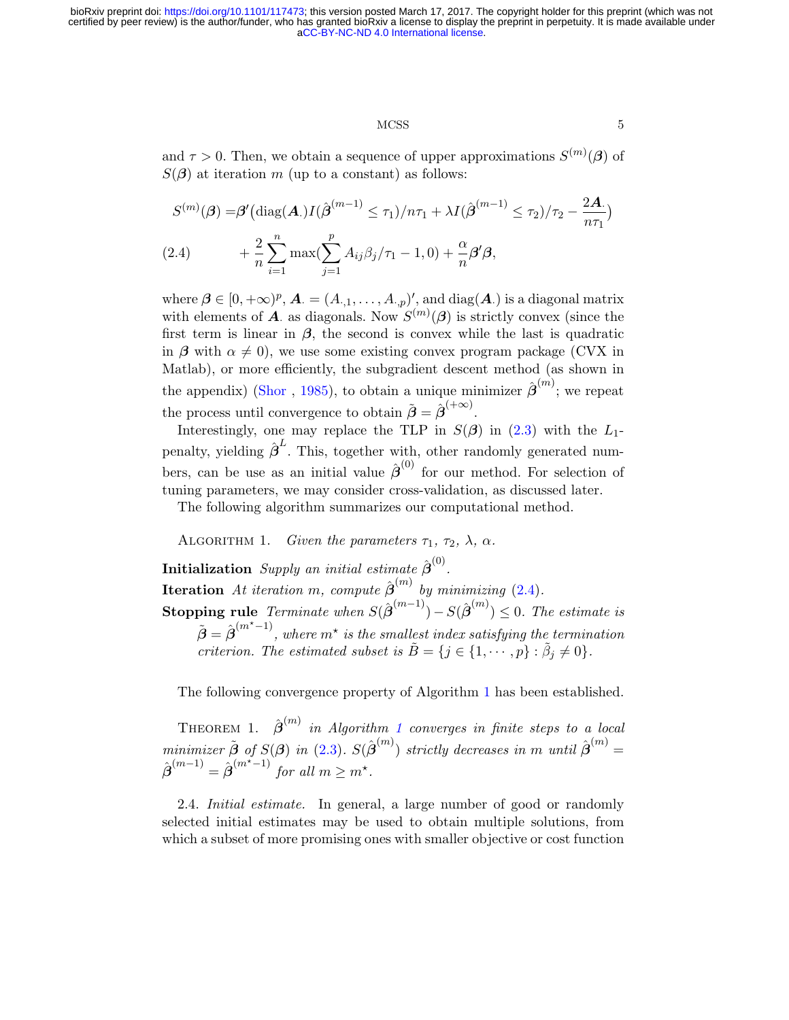# MCSS 5

and  $\tau > 0$ . Then, we obtain a sequence of upper approximations  $S^{(m)}(\beta)$  of  $S(\boldsymbol{\beta})$  at iteration m (up to a constant) as follows:

<span id="page-4-0"></span>
$$
S^{(m)}(\boldsymbol{\beta}) = \boldsymbol{\beta}' \left( \text{diag}(\mathbf{A}) I(\hat{\boldsymbol{\beta}}^{(m-1)} \le \tau_1) / n\tau_1 + \lambda I(\hat{\boldsymbol{\beta}}^{(m-1)} \le \tau_2) / \tau_2 - \frac{2\mathbf{A}}{n\tau_1} \right)
$$
  
(2.4) 
$$
+ \frac{2}{n} \sum_{i=1}^n \max(\sum_{j=1}^p A_{ij} \beta_j / \tau_1 - 1, 0) + \frac{\alpha}{n} \boldsymbol{\beta}' \boldsymbol{\beta},
$$

where  $\boldsymbol{\beta} \in [0, +\infty)^p$ ,  $\boldsymbol{A} = (A_{\cdot,1}, \ldots, A_{\cdot,p})'$ , and  $diag(\boldsymbol{A}_{\cdot})$  is a diagonal matrix with elements of A as diagonals. Now  $S^{(m)}(\beta)$  is strictly convex (since the first term is linear in  $\beta$ , the second is convex while the last is quadratic in  $\beta$  with  $\alpha \neq 0$ , we use some existing convex program package (CVX in Matlab), or more efficiently, the subgradient descent method (as shown in the appendix) [\(Shor](#page-33-6), [1985\)](#page-33-6), to obtain a unique minimizer  $\hat{\boldsymbol{\beta}}^{(m)}$ ; we repeat the process until convergence to obtain  $\tilde{\boldsymbol{\beta}} = \hat{\boldsymbol{\beta}}^{(+\infty)}$ .

Interestingly, one may replace the TLP in  $S(\beta)$  in [\(2.3\)](#page-3-1) with the L<sub>1</sub>penalty, yielding  $\hat{\boldsymbol{\beta}}^L$ . This, together with, other randomly generated numbers, can be use as an initial value  $\hat{\boldsymbol{\beta}}^{(0)}$  for our method. For selection of tuning parameters, we may consider cross-validation, as discussed later.

The following algorithm summarizes our computational method.

<span id="page-4-1"></span>ALGORITHM 1. Given the parameters  $\tau_1$ ,  $\tau_2$ ,  $\lambda$ ,  $\alpha$ .

Initialization Supply an initial estimate  $\hat{\boldsymbol{\beta}}^{(0)}$ . **Iteration** At iteration m, compute  $\hat{\boldsymbol{\beta}}^{(m)}$  by minimizing [\(2.4\)](#page-4-0). **Stopping rule** Terminate when  $S(\hat{\boldsymbol{\beta}}^{(m-1)}) - S(\hat{\boldsymbol{\beta}}^{(m)}) \leq 0$ . The estimate is  $\tilde{\boldsymbol{\beta}} = \hat{\boldsymbol{\beta}}^{(m^\star-1)},$  where  $m^\star$  is the smallest index satisfying the termination criterion. The estimated subset is  $\tilde{B} = \{j \in \{1, \dots, p\} : \tilde{\beta}_j \neq 0\}.$ 

The following convergence property of Algorithm [1](#page-4-1) has been established.

THEOREM [1](#page-4-1).  $\hat{\boldsymbol{\beta}}^{(m)}$  in Algorithm 1 converges in finite steps to a local minimizer  $\tilde{\boldsymbol{\beta}}$  of  $S(\boldsymbol{\beta})$  in [\(2.3\)](#page-3-1).  $S(\hat{\boldsymbol{\beta}}^{(m)})$  strictly decreases in m until  $\hat{\boldsymbol{\beta}}^{(m)}$  =  $\hat{\boldsymbol{\beta}}^{(m-1)} = \hat{\boldsymbol{\beta}}^{(m^{\star}-1)}$  for all  $m \geq m^{\star}$ .

2.4. Initial estimate. In general, a large number of good or randomly selected initial estimates may be used to obtain multiple solutions, from which a subset of more promising ones with smaller objective or cost function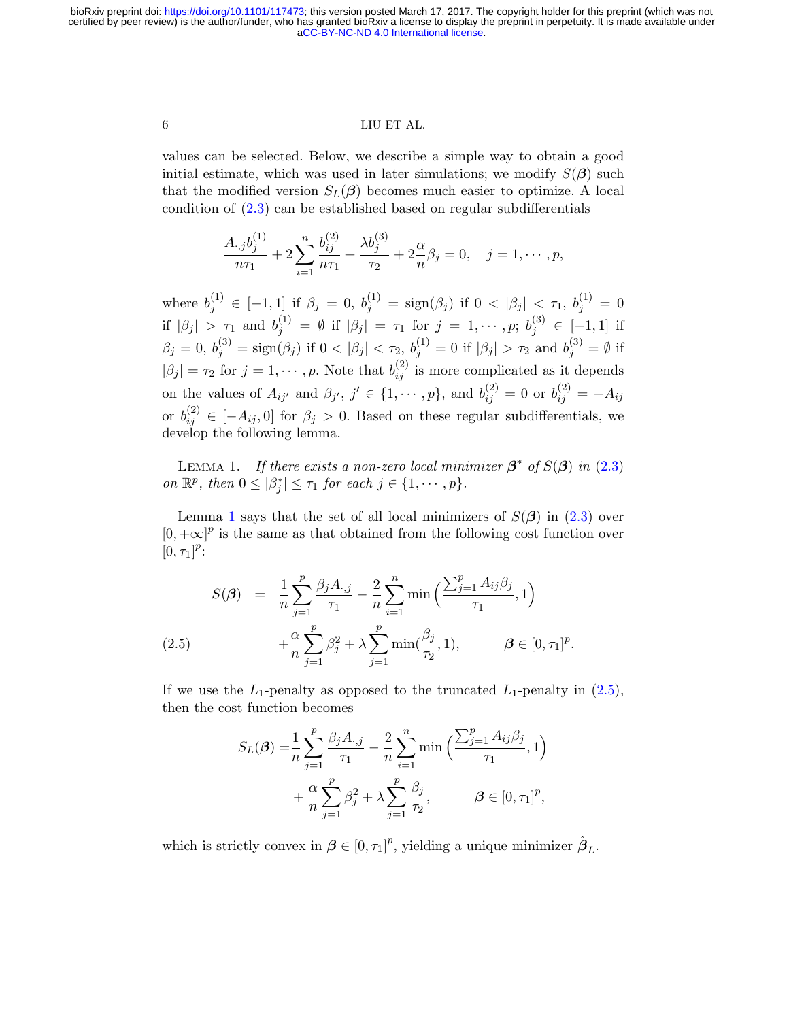# 6 LIU ET AL.

values can be selected. Below, we describe a simple way to obtain a good initial estimate, which was used in later simulations; we modify  $S(\beta)$  such that the modified version  $S_L(\beta)$  becomes much easier to optimize. A local condition of  $(2.3)$  can be established based on regular subdifferentials

$$
\frac{A_{\cdot,j}b_j^{(1)}}{n\tau_1} + 2\sum_{i=1}^n \frac{b_{ij}^{(2)}}{n\tau_1} + \frac{\lambda b_j^{(3)}}{\tau_2} + 2\frac{\alpha}{n}\beta_j = 0, \quad j = 1, \cdots, p,
$$

where  $b_j^{(1)} \in [-1,1]$  if  $\beta_j = 0, b_j^{(1)} = sign(\beta_j)$  if  $0 < |\beta_j| < \tau_1, b_j^{(1)} = 0$ if  $|\beta_j| > \tau_1$  and  $b_j^{(1)} = \emptyset$  if  $|\beta_j| = \tau_1$  for  $j = 1, \cdots, p; b_j^{(3)} \in [-1, 1]$  if  $\beta_j=0,\,b_j^{(3)}=\text{sign}(\beta_j)$  if  $0<|\beta_j|<\tau_2,\,b_j^{(1)}=0$  if  $|\beta_j|>\tau_2$  and  $b_j^{(3)}=\emptyset$  if  $|\beta_j| = \tau_2$  for  $j = 1, \dots, p$ . Note that  $b_{ij}^{(2)}$  is more complicated as it depends on the values of  $A_{ij'}$  and  $\beta_{j'}$ ,  $j' \in \{1, \dots, p\}$ , and  $b_{ij}^{(2)} = 0$  or  $b_{ij}^{(2)} = -A_{ij}$ or  $b_{ij}^{(2)} \in [-A_{ij}, 0]$  for  $\beta_j > 0$ . Based on these regular subdifferentials, we develop the following lemma.

<span id="page-5-0"></span>LEMMA 1. If there exists a non-zero local minimizer  $\beta^*$  of  $S(\beta)$  in [\(2.3\)](#page-3-1) on  $\mathbb{R}^p$ , then  $0 \leq |\beta_j^*| \leq \tau_1$  for each  $j \in \{1, \cdots, p\}$ .

Lemma [1](#page-5-0) says that the set of all local minimizers of  $S(\beta)$  in  $(2.3)$  over  $[0, +\infty]^p$  is the same as that obtained from the following cost function over  $[0, \tau_1]^p$ :

<span id="page-5-1"></span>
$$
S(\boldsymbol{\beta}) = \frac{1}{n} \sum_{j=1}^{p} \frac{\beta_j A_{\cdot,j}}{\tau_1} - \frac{2}{n} \sum_{i=1}^{n} \min\left(\frac{\sum_{j=1}^{p} A_{ij} \beta_j}{\tau_1}, 1\right) + \frac{\alpha}{n} \sum_{j=1}^{p} \beta_j^2 + \lambda \sum_{j=1}^{p} \min(\frac{\beta_j}{\tau_2}, 1), \qquad \boldsymbol{\beta} \in [0, \tau_1]^p.
$$

If we use the  $L_1$ -penalty as opposed to the truncated  $L_1$ -penalty in  $(2.5)$ , then the cost function becomes

$$
S_L(\beta) = \frac{1}{n} \sum_{j=1}^p \frac{\beta_j A_{\cdot,j}}{\tau_1} - \frac{2}{n} \sum_{i=1}^n \min\left(\frac{\sum_{j=1}^p A_{ij} \beta_j}{\tau_1}, 1\right) + \frac{\alpha}{n} \sum_{j=1}^p \beta_j^2 + \lambda \sum_{j=1}^p \frac{\beta_j}{\tau_2}, \qquad \beta \in [0, \tau_1]^p,
$$

which is strictly convex in  $\boldsymbol{\beta} \in [0, \tau_1]^p$ , yielding a unique minimizer  $\hat{\boldsymbol{\beta}}_L$ .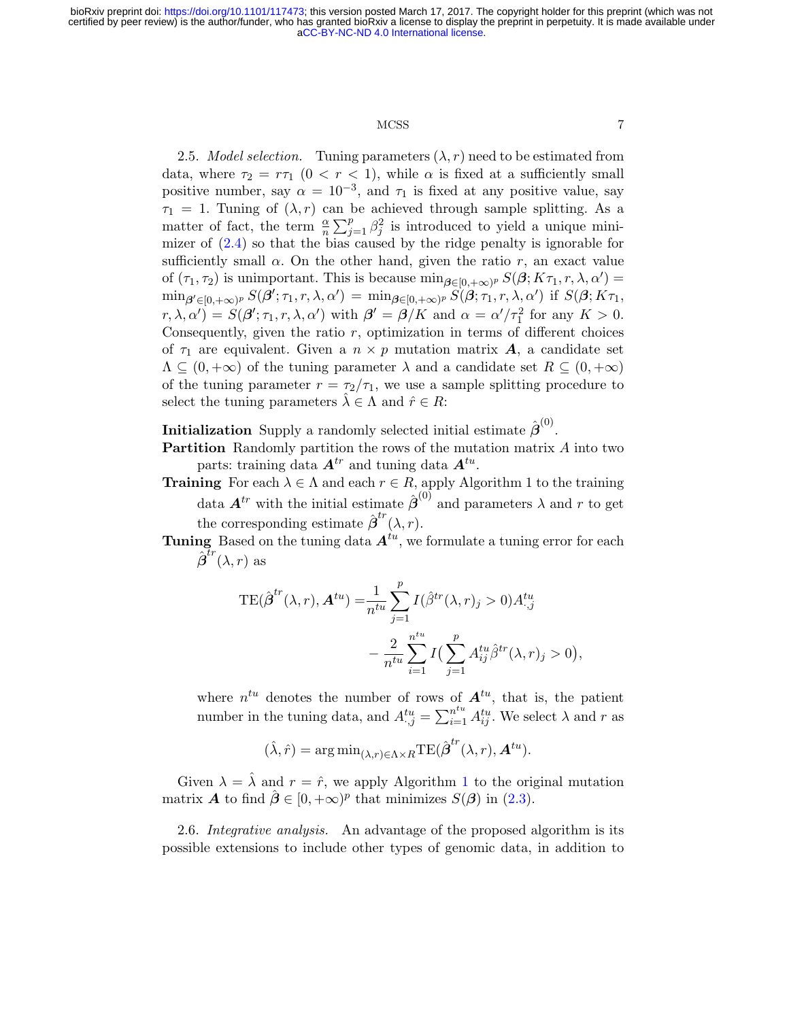# MCSS 7

2.5. *Model selection.* Tuning parameters  $(\lambda, r)$  need to be estimated from data, where  $\tau_2 = r\tau_1$   $(0 < r < 1)$ , while  $\alpha$  is fixed at a sufficiently small positive number, say  $\alpha = 10^{-3}$ , and  $\tau_1$  is fixed at any positive value, say  $\tau_1 = 1$ . Tuning of  $(\lambda, r)$  can be achieved through sample splitting. As a matter of fact, the term  $\frac{\alpha}{n} \sum_{j=1}^p \beta_j^2$  is introduced to yield a unique minimizer of [\(2.4\)](#page-4-0) so that the bias caused by the ridge penalty is ignorable for sufficiently small  $\alpha$ . On the other hand, given the ratio r, an exact value of  $(\tau_1, \tau_2)$  is unimportant. This is because  $\min_{\beta \in [0, +\infty)^p} S(\beta; K\tau_1, r, \lambda, \alpha') =$  $\min_{\boldsymbol{\beta}' \in [0,+\infty)^p} S(\boldsymbol{\beta}'; \tau_1, r, \lambda, \alpha') = \min_{\boldsymbol{\beta} \in [0,+\infty)^p} \overline{S}(\boldsymbol{\beta}; \tau_1, r, \lambda, \alpha') \text{ if } S(\boldsymbol{\beta}; K\tau_1,$  $(r, \lambda, \alpha') = S(\beta'; \tau_1, r, \lambda, \alpha')$  with  $\beta' = \beta/K$  and  $\alpha = \alpha'/\tau_1^2$  for any  $K > 0$ . Consequently, given the ratio  $r$ , optimization in terms of different choices of  $\tau_1$  are equivalent. Given a  $n \times p$  mutation matrix **A**, a candidate set  $\Lambda \subseteq (0, +\infty)$  of the tuning parameter  $\lambda$  and a candidate set  $R \subseteq (0, +\infty)$ of the tuning parameter  $r = \frac{\tau_2}{\tau_1}$ , we use a sample splitting procedure to select the tuning parameters  $\lambda \in \Lambda$  and  $\hat{r} \in R$ :

**Initialization** Supply a randomly selected initial estimate  $\hat{\boldsymbol{\beta}}^{(0)}$ .

Partition Randomly partition the rows of the mutation matrix A into two parts: training data  $A^{tr}$  and tuning data  $A^{tu}$ .

- **Training** For each  $\lambda \in \Lambda$  and each  $r \in R$ , apply Algorithm 1 to the training data  $A^{tr}$  with the initial estimate  $\hat{\boldsymbol{\beta}}^{(0)}$  and parameters  $\lambda$  and r to get the corresponding estimate  $\hat{\boldsymbol{\beta}}^{tr}(\lambda, r)$ .
- Tuning Based on the tuning data  $A^{tu}$ , we formulate a tuning error for each  ${\hat{\boldsymbol{\beta}}}^{\bar tr}(\lambda,\bar r)$  as

$$
TE(\hat{\beta}^{tr}(\lambda, r), A^{tu}) = \frac{1}{n^{tu}} \sum_{j=1}^{p} I(\hat{\beta}^{tr}(\lambda, r)_j > 0) A^{tu}_{\cdot,j}
$$

$$
- \frac{2}{n^{tu}} \sum_{i=1}^{n^{tu}} I(\sum_{j=1}^{p} A^{tu}_{ij} \hat{\beta}^{tr}(\lambda, r)_j > 0),
$$

where  $n^{tu}$  denotes the number of rows of  $A^{tu}$ , that is, the patient number in the tuning data, and  $A_{:,j}^{tu} = \sum_{i=1}^{n^{tu}} A_{ij}^{tu}$ . We select  $\lambda$  and  $r$  as

$$
(\hat{\lambda}, \hat{r}) = \arg\min_{(\lambda, r) \in \Lambda \times R} \text{TE}(\hat{\boldsymbol{\beta}}^{tr}(\lambda, r), \boldsymbol{A}^{tu}).
$$

Given  $\lambda = \hat{\lambda}$  and  $r = \hat{r}$ , we apply Algorithm [1](#page-4-1) to the original mutation matrix **A** to find  $\hat{\boldsymbol{\beta}} \in [0, +\infty)^p$  that minimizes  $S(\boldsymbol{\beta})$  in [\(2.3\)](#page-3-1).

2.6. Integrative analysis. An advantage of the proposed algorithm is its possible extensions to include other types of genomic data, in addition to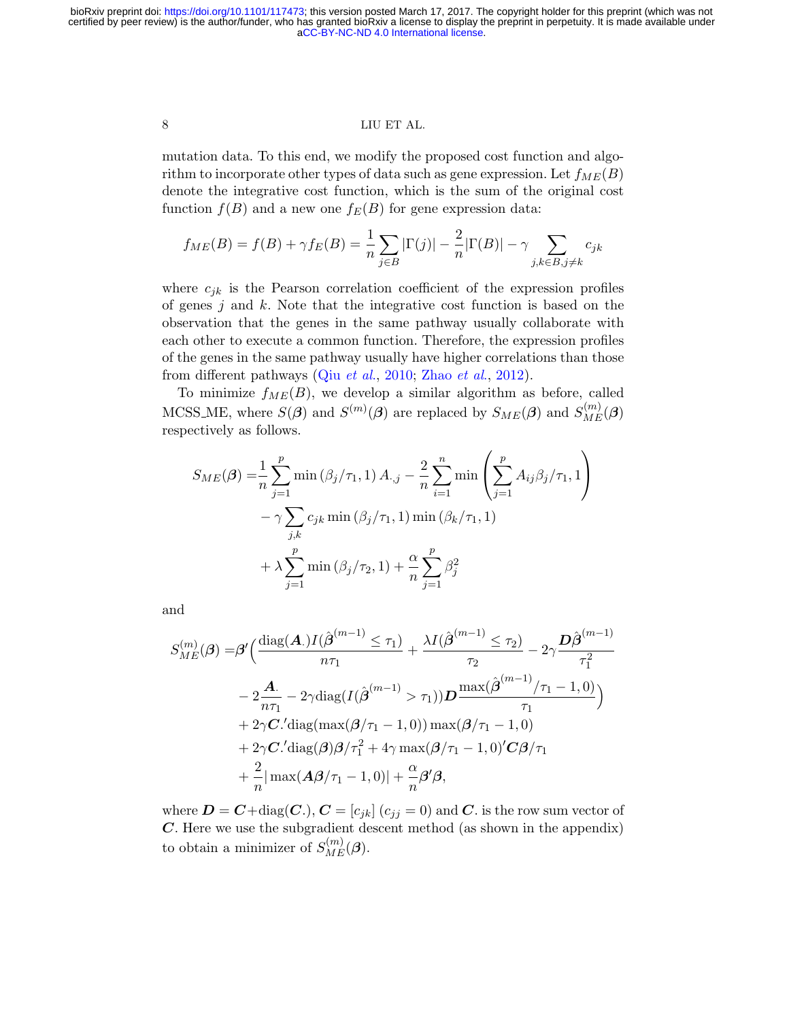mutation data. To this end, we modify the proposed cost function and algorithm to incorporate other types of data such as gene expression. Let  $f_{ME}(B)$ denote the integrative cost function, which is the sum of the original cost function  $f(B)$  and a new one  $f_E(B)$  for gene expression data:

$$
f_{ME}(B) = f(B) + \gamma f_E(B) = \frac{1}{n} \sum_{j \in B} |\Gamma(j)| - \frac{2}{n} |\Gamma(B)| - \gamma \sum_{j,k \in B, j \neq k} c_{jk}
$$

where  $c_{jk}$  is the Pearson correlation coefficient of the expression profiles of genes j and  $k$ . Note that the integrative cost function is based on the observation that the genes in the same pathway usually collaborate with each other to execute a common function. Therefore, the expression profiles of the genes in the same pathway usually have higher correlations than those from different pathways (Qiu [et al](#page-33-7)., [2010;](#page-33-7) [Zhao](#page-34-2) et al., [2012\)](#page-34-2).

To minimize  $f_{ME}(B)$ , we develop a similar algorithm as before, called MCSS\_ME, where  $S(\beta)$  and  $S^{(m)}(\beta)$  are replaced by  $S_{ME}(\beta)$  and  $S_{ME}^{(m)}(\beta)$ respectively as follows.

$$
S_{ME}(\boldsymbol{\beta}) = \frac{1}{n} \sum_{j=1}^{p} \min (\beta_j / \tau_1, 1) A_{\cdot,j} - \frac{2}{n} \sum_{i=1}^{n} \min \left( \sum_{j=1}^{p} A_{ij} \beta_j / \tau_1, 1 \right) - \gamma \sum_{j,k} c_{jk} \min (\beta_j / \tau_1, 1) \min (\beta_k / \tau_1, 1) + \lambda \sum_{j=1}^{p} \min (\beta_j / \tau_2, 1) + \frac{\alpha}{n} \sum_{j=1}^{p} \beta_j^2
$$

and

$$
S_{ME}^{(m)}(\boldsymbol{\beta}) = \boldsymbol{\beta}' \Big( \frac{\text{diag}(\boldsymbol{A}) I(\hat{\boldsymbol{\beta}}^{(m-1)} \leq \tau_1)}{n\tau_1} + \frac{\lambda I(\hat{\boldsymbol{\beta}}^{(m-1)} \leq \tau_2)}{\tau_2} - 2\gamma \frac{\boldsymbol{D}\hat{\boldsymbol{\beta}}^{(m-1)}}{\tau_1^2}
$$

$$
- 2\frac{\boldsymbol{A}}{n\tau_1} - 2\gamma \text{diag}(I(\hat{\boldsymbol{\beta}}^{(m-1)} > \tau_1)) \boldsymbol{D} \frac{\max(\hat{\boldsymbol{\beta}}^{(m-1)}/\tau_1 - 1, 0)}{\tau_1} \Big)
$$

$$
+ 2\gamma \boldsymbol{C}' \text{diag}(\max(\boldsymbol{\beta}/\tau_1 - 1, 0)) \max(\boldsymbol{\beta}/\tau_1 - 1, 0)
$$

$$
+ 2\gamma \boldsymbol{C}' \text{diag}(\boldsymbol{\beta}) \boldsymbol{\beta}/\tau_1^2 + 4\gamma \max(\boldsymbol{\beta}/\tau_1 - 1, 0)' \boldsymbol{C} \boldsymbol{\beta}/\tau_1
$$

$$
+ \frac{2}{n} |\max(\boldsymbol{A}\boldsymbol{\beta}/\tau_1 - 1, 0)| + \frac{\alpha}{n} \boldsymbol{\beta}' \boldsymbol{\beta},
$$

where  $D = C + diag(C.), C = [c_{jk}] (c_{jj} = 0)$  and C. is the row sum vector of C. Here we use the subgradient descent method (as shown in the appendix) to obtain a minimizer of  $S_{ME}^{(m)}(\boldsymbol{\beta}).$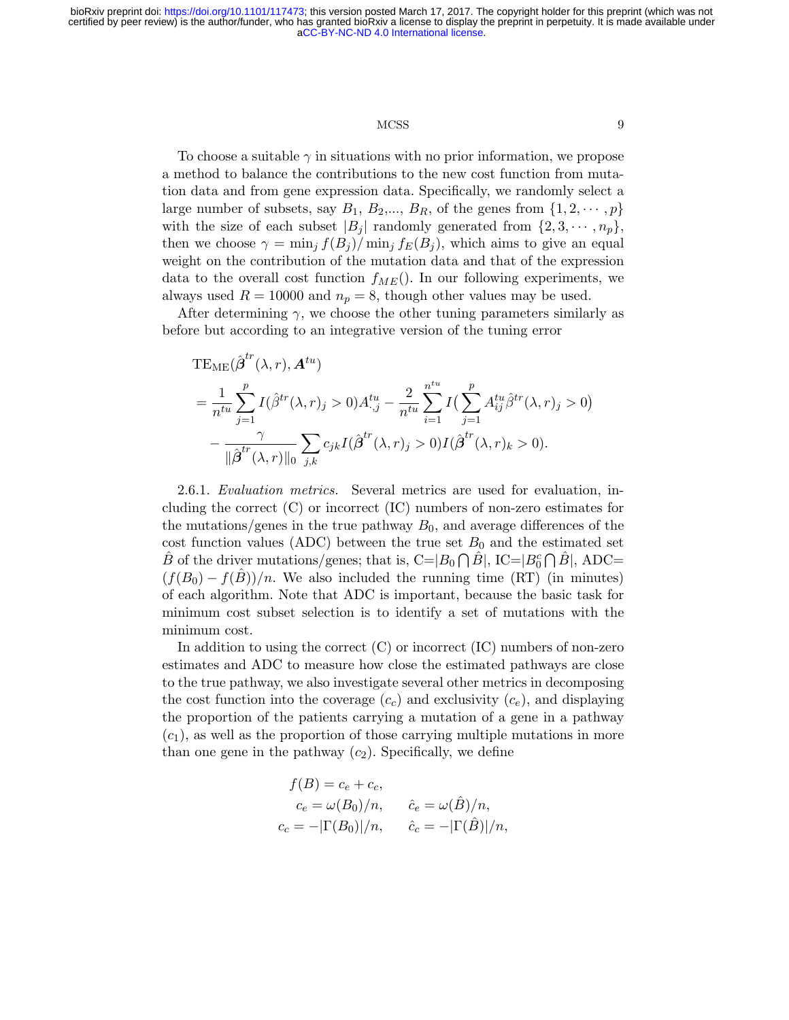# MCSS 9

To choose a suitable  $\gamma$  in situations with no prior information, we propose a method to balance the contributions to the new cost function from mutation data and from gene expression data. Specifically, we randomly select a large number of subsets, say  $B_1, B_2, ..., B_R$ , of the genes from  $\{1, 2, ..., p\}$ with the size of each subset  $|B_j|$  randomly generated from  $\{2, 3, \dots, n_p\}$ , then we choose  $\gamma = \min_i f(B_i) / \min_i f_E(B_i)$ , which aims to give an equal weight on the contribution of the mutation data and that of the expression data to the overall cost function  $f_{ME}$ ). In our following experiments, we always used  $R = 10000$  and  $n_p = 8$ , though other values may be used.

After determining  $\gamma$ , we choose the other tuning parameters similarly as before but according to an integrative version of the tuning error

$$
TE_{ME}(\hat{\beta}^{tr}(\lambda, r), A^{tu})
$$
  
= 
$$
\frac{1}{n^{tu}} \sum_{j=1}^{p} I(\hat{\beta}^{tr}(\lambda, r)_j > 0) A^{tu}_{\cdot,j} - \frac{2}{n^{tu}} \sum_{i=1}^{n^{tu}} I(\sum_{j=1}^{p} A^{tu}_{ij} \hat{\beta}^{tr}(\lambda, r)_j > 0)
$$
  
- 
$$
\frac{\gamma}{\|\hat{\beta}^{tr}(\lambda, r)\|_0} \sum_{j,k} c_{jk} I(\hat{\beta}^{tr}(\lambda, r)_j > 0) I(\hat{\beta}^{tr}(\lambda, r)_k > 0).
$$

2.6.1. Evaluation metrics. Several metrics are used for evaluation, including the correct (C) or incorrect (IC) numbers of non-zero estimates for the mutations/genes in the true pathway  $B_0$ , and average differences of the cost function values (ADC) between the true set  $B_0$  and the estimated set  $\hat{B}$  of the driver mutations/genes; that is, C=| $B_0 \cap \hat{B}$ |, IC=| $B_0^c \cap \hat{B}$ |, ADC=  $(f(B_0) - f(B))/n$ . We also included the running time (RT) (in minutes) of each algorithm. Note that ADC is important, because the basic task for minimum cost subset selection is to identify a set of mutations with the minimum cost.

In addition to using the correct  $(C)$  or incorrect  $(IC)$  numbers of non-zero estimates and ADC to measure how close the estimated pathways are close to the true pathway, we also investigate several other metrics in decomposing the cost function into the coverage  $(c<sub>c</sub>)$  and exclusivity  $(c<sub>e</sub>)$ , and displaying the proportion of the patients carrying a mutation of a gene in a pathway  $(c_1)$ , as well as the proportion of those carrying multiple mutations in more than one gene in the pathway  $(c_2)$ . Specifically, we define

$$
f(B) = c_e + c_c,
$$
  
\n
$$
c_e = \omega(B_0)/n, \qquad \hat{c}_e = \omega(\hat{B})/n,
$$
  
\n
$$
c_c = -|\Gamma(B_0)|/n, \qquad \hat{c}_c = -|\Gamma(\hat{B})|/n,
$$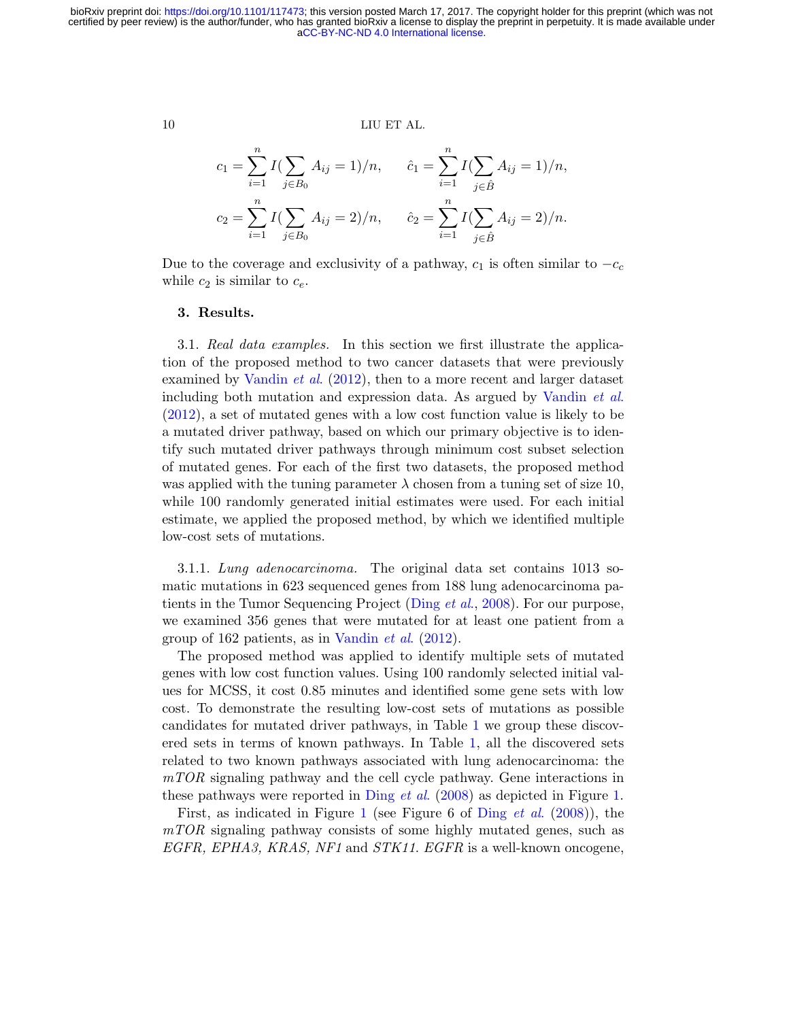$$
c_1 = \sum_{i=1}^n I(\sum_{j \in B_0} A_{ij} = 1)/n, \qquad \hat{c}_1 = \sum_{i=1}^n I(\sum_{j \in \hat{B}} A_{ij} = 1)/n,
$$
  

$$
c_2 = \sum_{i=1}^n I(\sum_{j \in B_0} A_{ij} = 2)/n, \qquad \hat{c}_2 = \sum_{i=1}^n I(\sum_{j \in \hat{B}} A_{ij} = 2)/n.
$$

Due to the coverage and exclusivity of a pathway,  $c_1$  is often similar to  $-c_c$ while  $c_2$  is similar to  $c_e$ .

# 3. Results.

3.1. Real data examples. In this section we first illustrate the application of the proposed method to two cancer datasets that were previously examined by [Vandin](#page-34-1) *et al.* [\(2012\)](#page-34-1), then to a more recent and larger dataset including both mutation and expression data. As argued by [Vandin](#page-34-1) et al. [\(2012\)](#page-34-1), a set of mutated genes with a low cost function value is likely to be a mutated driver pathway, based on which our primary objective is to identify such mutated driver pathways through minimum cost subset selection of mutated genes. For each of the first two datasets, the proposed method was applied with the tuning parameter  $\lambda$  chosen from a tuning set of size 10, while 100 randomly generated initial estimates were used. For each initial estimate, we applied the proposed method, by which we identified multiple low-cost sets of mutations.

3.1.1. Lung adenocarcinoma. The original data set contains 1013 somatic mutations in 623 sequenced genes from 188 lung adenocarcinoma pa-tients in the Tumor Sequencing Project [\(Ding](#page-32-2) *et al.*, [2008\)](#page-32-2). For our purpose, we examined 356 genes that were mutated for at least one patient from a group of 162 patients, as in [Vandin](#page-34-1) et al. [\(2012\)](#page-34-1).

The proposed method was applied to identify multiple sets of mutated genes with low cost function values. Using 100 randomly selected initial values for MCSS, it cost 0.85 minutes and identified some gene sets with low cost. To demonstrate the resulting low-cost sets of mutations as possible candidates for mutated driver pathways, in Table [1](#page-11-0) we group these discovered sets in terms of known pathways. In Table [1,](#page-11-0) all the discovered sets related to two known pathways associated with lung adenocarcinoma: the mTOR signaling pathway and the cell cycle pathway. Gene interactions in these pathways were reported in [Ding](#page-32-2) *et al.* [\(2008\)](#page-32-2) as depicted in Figure [1.](#page-12-0)

First, as indicated in Figure [1](#page-12-0) (see Figure 6 of [Ding](#page-32-2) et al. [\(2008\)](#page-32-2)), the mTOR signaling pathway consists of some highly mutated genes, such as EGFR, EPHA3, KRAS, NF1 and STK11. EGFR is a well-known oncogene,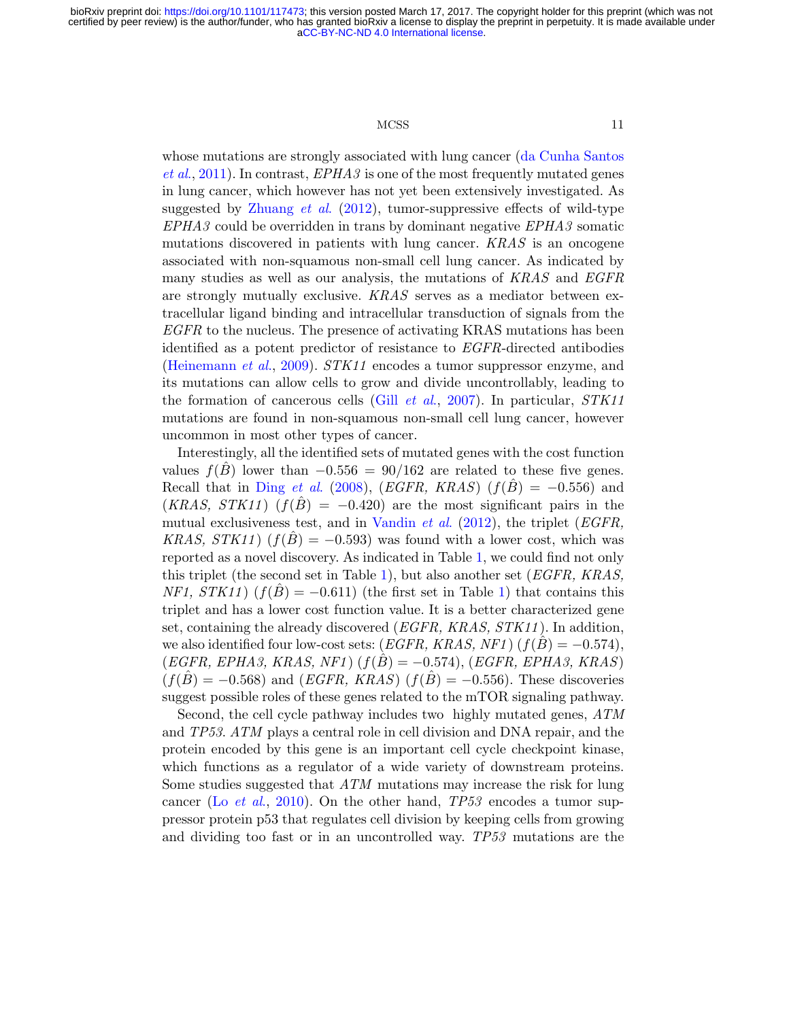#### MCSS 11

whose mutations are strongly associated with lung cancer [\(da Cunha Santos](#page-32-8)  $et al., 2011$  $et al., 2011$ . In contrast,  $EPHA3$  is one of the most frequently mutated genes in lung cancer, which however has not yet been extensively investigated. As suggested by [Zhuang](#page-34-4) *et al.* [\(2012\)](#page-34-4), tumor-suppressive effects of wild-type EPHA3 could be overridden in trans by dominant negative EPHA3 somatic mutations discovered in patients with lung cancer. KRAS is an oncogene associated with non-squamous non-small cell lung cancer. As indicated by many studies as well as our analysis, the mutations of KRAS and EGFR are strongly mutually exclusive. KRAS serves as a mediator between extracellular ligand binding and intracellular transduction of signals from the EGFR to the nucleus. The presence of activating KRAS mutations has been identified as a potent predictor of resistance to EGFR-directed antibodies [\(Heinemann](#page-32-9) et al., [2009\)](#page-32-9). STK11 encodes a tumor suppressor enzyme, and its mutations can allow cells to grow and divide uncontrollably, leading to the formation of cancerous cells (Gill *[et al](#page-32-10).*, [2007\)](#page-32-10). In particular,  $STK11$ mutations are found in non-squamous non-small cell lung cancer, however uncommon in most other types of cancer.

Interestingly, all the identified sets of mutated genes with the cost function values  $f(B)$  lower than  $-0.556 = 90/162$  are related to these five genes. Recall that in [Ding](#page-32-2) et al. [\(2008\)](#page-32-2), (EGFR, KRAS) ( $f(\hat{B}) = -0.556$ ) and  $(KRAS, STK11)$   $(f(B) = -0.420)$  are the most significant pairs in the mutual exclusiveness test, and in [Vandin](#page-34-1) *et al.* [\(2012\)](#page-34-1), the triplet (*EGFR*, KRAS,  $STK11$  ( $f(B) = -0.593$ ) was found with a lower cost, which was reported as a novel discovery. As indicated in Table [1,](#page-11-0) we could find not only this triplet (the second set in Table [1\)](#page-11-0), but also another set (*EGFR*, *KRAS*,  $NF1, STK11)$  $NF1, STK11)$   $(f(\hat{B}) = -0.611)$  (the first set in Table 1) that contains this triplet and has a lower cost function value. It is a better characterized gene set, containing the already discovered (EGFR, KRAS, STK11 ). In addition, we also identified four low-cost sets:  $(EGFR, KRAS, NF1)$   $(f(B) = -0.574)$ ,  $(EGFR, EPHA3, KRAS, NF1)$   $(f(B) = -0.574)$ ,  $(EGFR, EPHA3, KRAS)$  $(f(\hat{B}) = -0.568)$  and  $(EGFR, KRAS)$   $(f(\hat{B}) = -0.556)$ . These discoveries suggest possible roles of these genes related to the mTOR signaling pathway.

Second, the cell cycle pathway includes two highly mutated genes, ATM and TP53. ATM plays a central role in cell division and DNA repair, and the protein encoded by this gene is an important cell cycle checkpoint kinase, which functions as a regulator of a wide variety of downstream proteins. Some studies suggested that ATM mutations may increase the risk for lung cancer (Lo *[et al](#page-33-8).*, [2010\)](#page-33-8). On the other hand,  $TP53$  encodes a tumor suppressor protein p53 that regulates cell division by keeping cells from growing and dividing too fast or in an uncontrolled way. TP53 mutations are the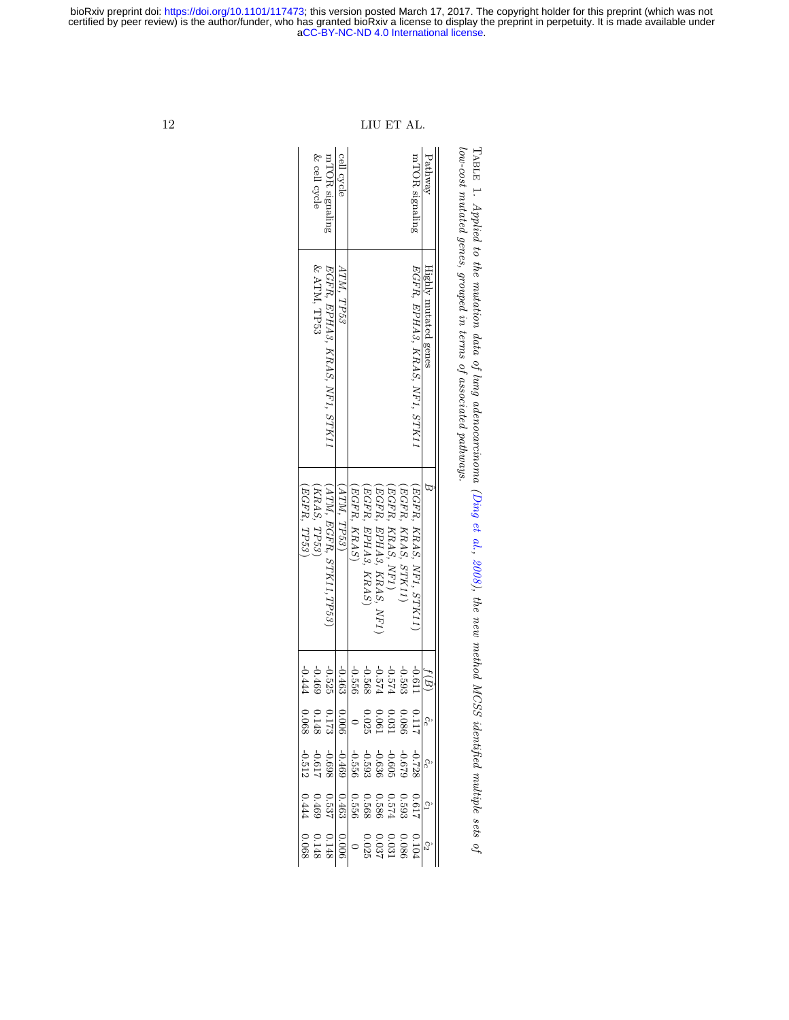low-cost mutated genes, grouped in terms of associated pathways. TABLE 1. Applied to the mutation data of lung adenocarcinoma (Ding et al., 2008), the new method MCSS identified multiple sets of Table low-cost mutated genes, grouped in terms of associated pathways. . Applied to the mutation data of lung adenocarcinoma [\(Ding](#page-32-2) et al.,  $2008$ ), the new method MCSS identified multiple sets of

| 12 |            |              |                               |                                                                                                                                                                                                                                                                                                                                |             | LIU                       |                        | ET AL.                                                               |          |                               |                      |
|----|------------|--------------|-------------------------------|--------------------------------------------------------------------------------------------------------------------------------------------------------------------------------------------------------------------------------------------------------------------------------------------------------------------------------|-------------|---------------------------|------------------------|----------------------------------------------------------------------|----------|-------------------------------|----------------------|
|    |            | & cell cycle | mTOR signaling                | cell cycle                                                                                                                                                                                                                                                                                                                     |             |                           |                        |                                                                      |          | mTOR signaling                | Pathway              |
|    |            | & ATM, TP53  | EGFR, EPHA3, KRAS, NF1, STK11 | ATM. TP53                                                                                                                                                                                                                                                                                                                      |             |                           |                        |                                                                      |          | EGFR, EPHA3, KRAS, NF1, STK11 | Highly mutated genes |
|    | EGFR, TP53 | KRAS, TP53)  | $[ATM, EGFR, STK11, TP53)$    | $ATM$ , $TP53$ )                                                                                                                                                                                                                                                                                                               | EGFR, KRAS) | $EGFR$ , $EPHAS$ , $KRAS$ | EGFR, EPHA3, KRAS, NF1 | (EGFR, KRAS, NF1, STK11)<br>(EGFR, KRAS, STK11)<br>(EGFR, KRAS, NF1) |          |                               | $\Xi$                |
|    | -0.444     | -0.469       | $-0.525$                      | $-0.463$                                                                                                                                                                                                                                                                                                                       | $-0.556$    | $-0.568$                  | $-0.574$               | $-0.574$                                                             | $-0.593$ | 119'0-                        | f(B)                 |
|    |            |              |                               | $\begin{array}{c c c c c} \hline \psi_0 & 0.086 & 0.025 \\ \hline 0.0081 & 0.0025 & 0.0081 \\ \hline 0.0081 & 0.0088 & 0.0088 \\ \hline \end{array}$                                                                                                                                                                           |             |                           |                        |                                                                      |          |                               |                      |
|    |            |              |                               | $\begin{array}{r} -0.033 \\ -0.0334 \\ -0.0334 \\ -0.0334 \\ -0.0334 \\ -0.0334 \\ -0.0317 \\ -0.0312 \\ -0.0312 \\ -0.0312 \\ -0.0312 \\ -0.0312 \\ -0.0312 \\ -0.0312 \\ -0.0312 \\ -0.0312 \\ -0.0312 \\ -0.0312 \\ -0.0312 \\ -0.0312 \\ -0.0312 \\ -0.0312 \\ -0.0312 \\ -0.0312 \\ -0.0312 \\ -0.0312 \\ -0.031$         |             |                           |                        |                                                                      |          |                               |                      |
|    |            |              |                               |                                                                                                                                                                                                                                                                                                                                |             |                           |                        |                                                                      |          |                               |                      |
|    |            |              |                               | $\begin{array}{r} 0.036 \\ 0.036 \\ 0.037 \\ 0.037 \\ -0.008 \\ -0.008 \\ -0.008 \\ -0.068 \\ -0.068 \\ -0.068 \\ -0.068 \\ -0.068 \\ -0.068 \\ -0.068 \\ -0.068 \\ -0.068 \\ -0.068 \\ -0.068 \\ -0.068 \\ -0.068 \\ -0.068 \\ -0.068 \\ -0.068 \\ -0.068 \\ -0.068 \\ -0.068 \\ -0.068 \\ -0.068 \\ -0.068 \\ -0.068 \\ -0.$ |             |                           |                        |                                                                      |          |                               | S,                   |

bioRxiv preprint doi: [https://doi.org/10.1101/117473;](https://doi.org/10.1101/117473) this version posted March 17, 2017. The copyright holder for this preprint (which was not

# <span id="page-11-0"></span>[aCC-BY-NC-ND 4.0 International license.](http://creativecommons.org/licenses/by-nc-nd/4.0/) certified by peer review) is the author/funder, who has granted bioRxiv a license to display the preprint in perpetuity. It is made available under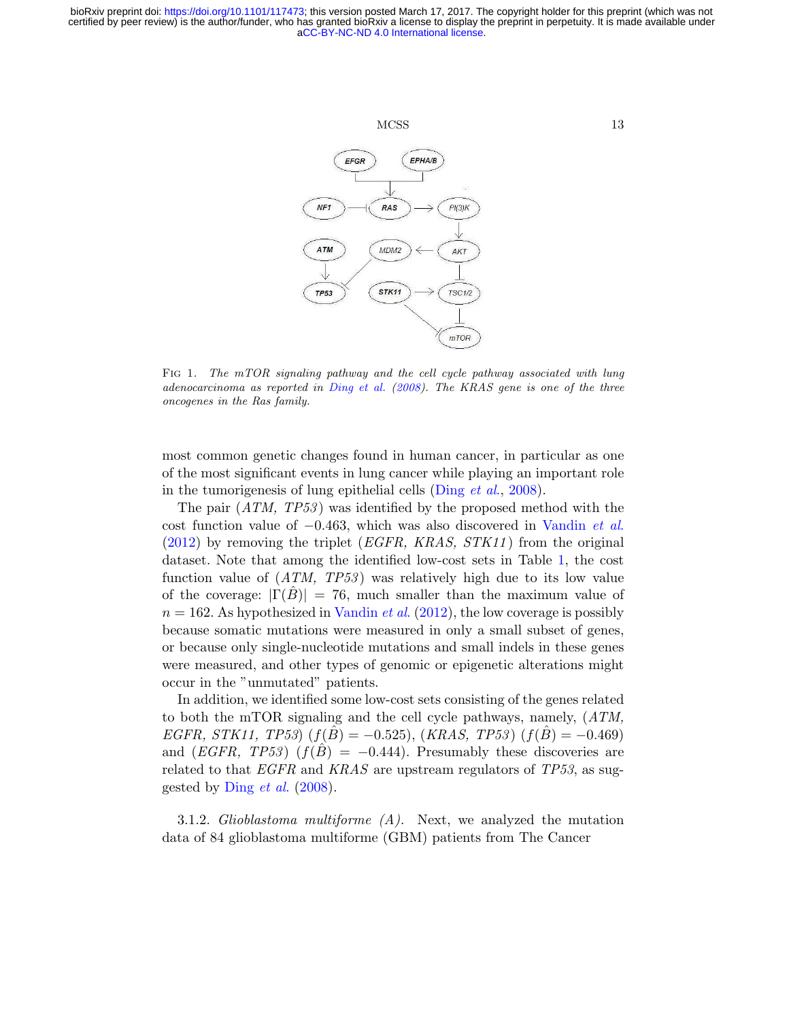

<span id="page-12-0"></span>Fig 1. The mTOR signaling pathway and the cell cycle pathway associated with lung adenocarcinoma as reported in [Ding et al.](#page-32-2) [\(2008\)](#page-32-2). The KRAS gene is one of the three oncogenes in the Ras family.

most common genetic changes found in human cancer, in particular as one of the most significant events in lung cancer while playing an important role in the tumorigenesis of lung epithelial cells [\(Ding](#page-32-2) et al., [2008\)](#page-32-2).

The pair  $(ATM, TP53)$  was identified by the proposed method with the cost function value of −0.463, which was also discovered in [Vandin](#page-34-1) et al.  $(2012)$  by removing the triplet (*EGFR, KRAS, STK11*) from the original dataset. Note that among the identified low-cost sets in Table [1,](#page-11-0) the cost function value of  $(ATM, TP53)$  was relatively high due to its low value of the coverage:  $|\Gamma(B)| = 76$ , much smaller than the maximum value of  $n = 162$ . As hypothesized in [Vandin](#page-34-1) *et al.* [\(2012\)](#page-34-1), the low coverage is possibly because somatic mutations were measured in only a small subset of genes, or because only single-nucleotide mutations and small indels in these genes were measured, and other types of genomic or epigenetic alterations might occur in the "unmutated" patients.

In addition, we identified some low-cost sets consisting of the genes related to both the mTOR signaling and the cell cycle pathways, namely,  $(ATM,$  $EGFR, STK11, TP53)$   $(f(B) = -0.525)$ ,  $(KRAS, TP53)$   $(f(B) = -0.469)$ and  $(EGFR, TP53)$   $(f(\hat{B}) = -0.444)$ . Presumably these discoveries are related to that  $EGFR$  and  $KRAS$  are upstream regulators of  $TP53$ , as suggested by [Ding](#page-32-2) et al. [\(2008\)](#page-32-2).

3.1.2. Glioblastoma multiforme  $(A)$ . Next, we analyzed the mutation data of 84 glioblastoma multiforme (GBM) patients from The Cancer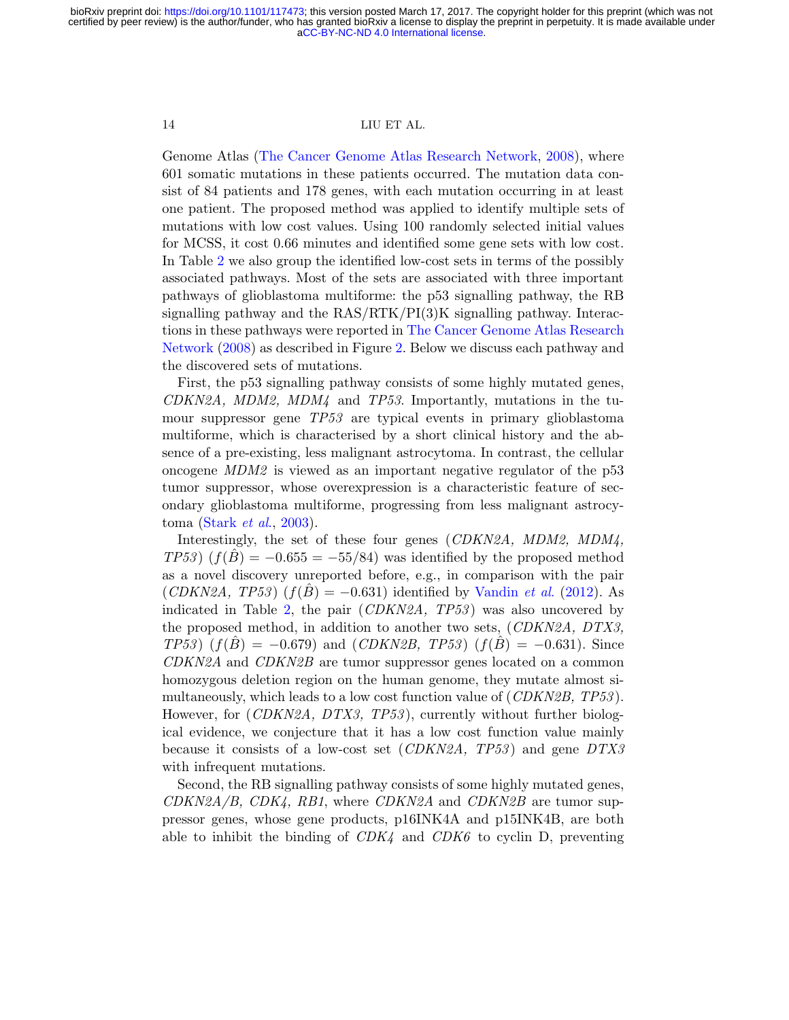Genome Atlas [\(The Cancer Genome Atlas Research Network,](#page-33-9) [2008\)](#page-33-9), where 601 somatic mutations in these patients occurred. The mutation data consist of 84 patients and 178 genes, with each mutation occurring in at least one patient. The proposed method was applied to identify multiple sets of mutations with low cost values. Using 100 randomly selected initial values for MCSS, it cost 0.66 minutes and identified some gene sets with low cost. In Table [2](#page-15-0) we also group the identified low-cost sets in terms of the possibly associated pathways. Most of the sets are associated with three important pathways of glioblastoma multiforme: the p53 signalling pathway, the RB signalling pathway and the  $RAS/RTK/PI(3)K$  signalling pathway. Interactions in these pathways were reported in [The Cancer Genome Atlas Research](#page-33-9) [Network](#page-33-9) [\(2008\)](#page-33-9) as described in Figure [2.](#page-16-0) Below we discuss each pathway and the discovered sets of mutations.

First, the p53 signalling pathway consists of some highly mutated genes,  $CDKN2A$ ,  $MDM2$ ,  $MDM4$  and  $TP53$ . Importantly, mutations in the tumour suppressor gene TP53 are typical events in primary glioblastoma multiforme, which is characterised by a short clinical history and the absence of a pre-existing, less malignant astrocytoma. In contrast, the cellular oncogene MDM2 is viewed as an important negative regulator of the p53 tumor suppressor, whose overexpression is a characteristic feature of secondary glioblastoma multiforme, progressing from less malignant astrocy-toma [\(Stark](#page-33-10)  $et \ al., 2003$ ).

Interestingly, the set of these four genes (CDKN2A, MDM2, MDM4,  $TP53$   $(f(B) = -0.655 = -55/84)$  was identified by the proposed method as a novel discovery unreported before, e.g., in comparison with the pair  $(CDKN2A, TP53)$   $(f(B) = -0.631)$  identified by [Vandin](#page-34-1) *et al.* [\(2012\)](#page-34-1). As indicated in Table [2,](#page-15-0) the pair  $(CDKN2A, TP53)$  was also uncovered by the proposed method, in addition to another two sets, (CDKN2A, DTX3,  $TP53$   $(f(\hat{B}) = -0.679)$  and  $(CDKN2B, TP53)$   $(f(\hat{B}) = -0.631)$ . Since CDKN2A and CDKN2B are tumor suppressor genes located on a common homozygous deletion region on the human genome, they mutate almost simultaneously, which leads to a low cost function value of  $(CDKN2B, TP53)$ . However, for (CDKN2A, DTX3, TP53), currently without further biological evidence, we conjecture that it has a low cost function value mainly because it consists of a low-cost set  $(CDKN2A, TP53)$  and gene  $DTX3$ with infrequent mutations.

Second, the RB signalling pathway consists of some highly mutated genes,  $CDKN2A/B$ ,  $CDK4$ ,  $RB1$ , where  $CDKN2A$  and  $CDKN2B$  are tumor suppressor genes, whose gene products, p16INK4A and p15INK4B, are both able to inhibit the binding of  $CDK<sub>4</sub>$  and  $CDK<sub>6</sub>$  to cyclin D, preventing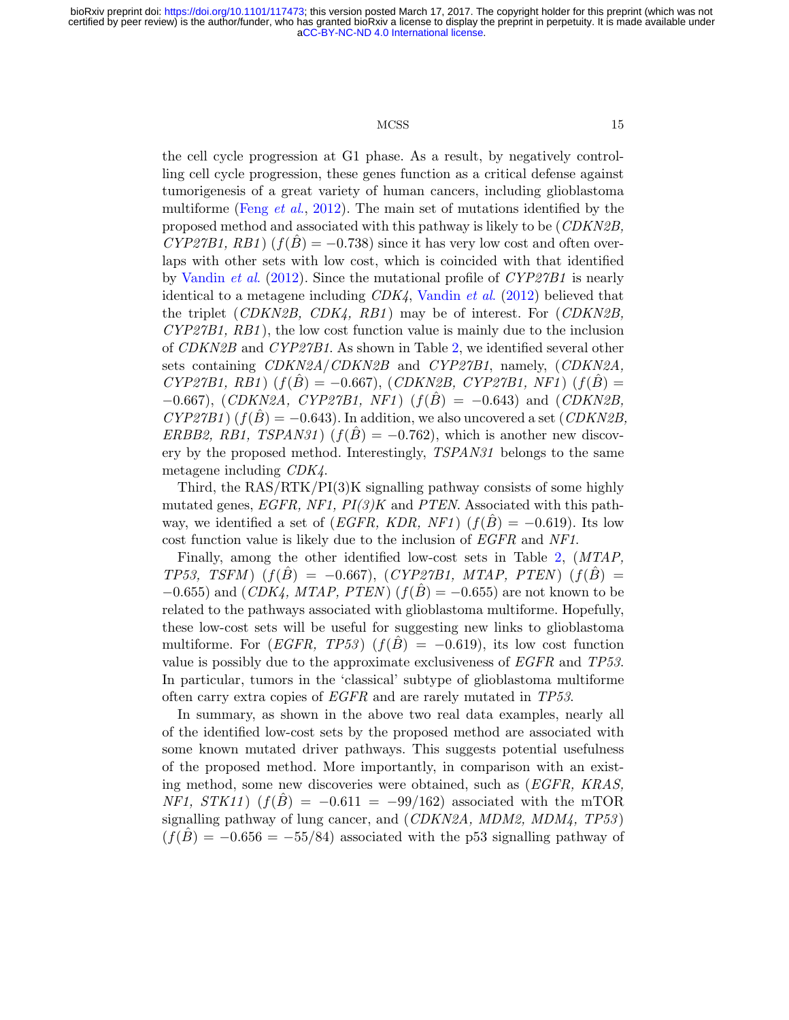#### MCSS 15

the cell cycle progression at G1 phase. As a result, by negatively controlling cell cycle progression, these genes function as a critical defense against tumorigenesis of a great variety of human cancers, including glioblastoma multiforme [\(Feng](#page-32-11) et al., [2012\)](#page-32-11). The main set of mutations identified by the proposed method and associated with this pathway is likely to be (CDKN2B,  $CYP27B1, RB1$   $(f(B) = -0.738)$  since it has very low cost and often overlaps with other sets with low cost, which is coincided with that identified by [Vandin](#page-34-1) *et al.* [\(2012\)](#page-34-1). Since the mutational profile of  $\mathbb{C}YP27B1$  is nearly identical to a metagene including CDK4, [Vandin](#page-34-1) et al. [\(2012\)](#page-34-1) believed that the triplet  $(CDKN2B, CDK4, RB1)$  may be of interest. For  $(CDKN2B,$  $CYP27B1, RB1$ , the low cost function value is mainly due to the inclusion of CDKN2B and CYP27B1. As shown in Table [2,](#page-15-0) we identified several other sets containing CDKN2A/CDKN2B and CYP27B1, namely, (CDKN2A,  $CYP27B1, RB1)$   $(f(\hat{B}) = -0.667)$ ,  $(CDKN2B, CYP27B1, NF1)$   $(f(\hat{B})) =$  $-0.667$ ), (CDKN2A, CYP27B1, NF1) ( $f(B) = -0.643$ ) and (CDKN2B,  $CYP27B1$  ( $f(B) = -0.643$ ). In addition, we also uncovered a set (CDKN2B, ERBB2, RB1, TSPAN31)  $(f(B) = -0.762)$ , which is another new discovery by the proposed method. Interestingly, TSPAN31 belongs to the same metagene including CDK4.

Third, the RAS/RTK/PI(3)K signalling pathway consists of some highly mutated genes,  $EGFR$ ,  $NFI$ ,  $PI(3)K$  and  $PTEN$ . Associated with this pathway, we identified a set of (*EGFR*, *KDR*, *NF1*) ( $f(B) = -0.619$ ). Its low cost function value is likely due to the inclusion of EGFR and NF1.

Finally, among the other identified low-cost sets in Table [2,](#page-15-0) (MTAP,  $TP53, TSFM$   $(f(\hat{B}) = -0.667)$ ,  $(CYP27B1, MTAP, PTEM$   $(f(\hat{B})) =$  $-0.655$ ) and  $(CDK<sub>4</sub>, MTAP, PTEM)$   $(f(\hat{B}) = -0.655)$  are not known to be related to the pathways associated with glioblastoma multiforme. Hopefully, these low-cost sets will be useful for suggesting new links to glioblastoma multiforme. For  $(EGFR, TP53)$   $(f(\hat{B}) = -0.619)$ , its low cost function value is possibly due to the approximate exclusiveness of  $EGFR$  and  $TP53$ . In particular, tumors in the 'classical' subtype of glioblastoma multiforme often carry extra copies of EGFR and are rarely mutated in TP53.

In summary, as shown in the above two real data examples, nearly all of the identified low-cost sets by the proposed method are associated with some known mutated driver pathways. This suggests potential usefulness of the proposed method. More importantly, in comparison with an existing method, some new discoveries were obtained, such as (EGFR, KRAS,  $NFI$ ,  $STK11$ )  $(f(B) = -0.611 = -99/162)$  associated with the mTOR signalling pathway of lung cancer, and (CDKN2A, MDM2, MDM4, TP53 )  $(f(\hat{B}) = -0.656 = -55/84)$  associated with the p53 signalling pathway of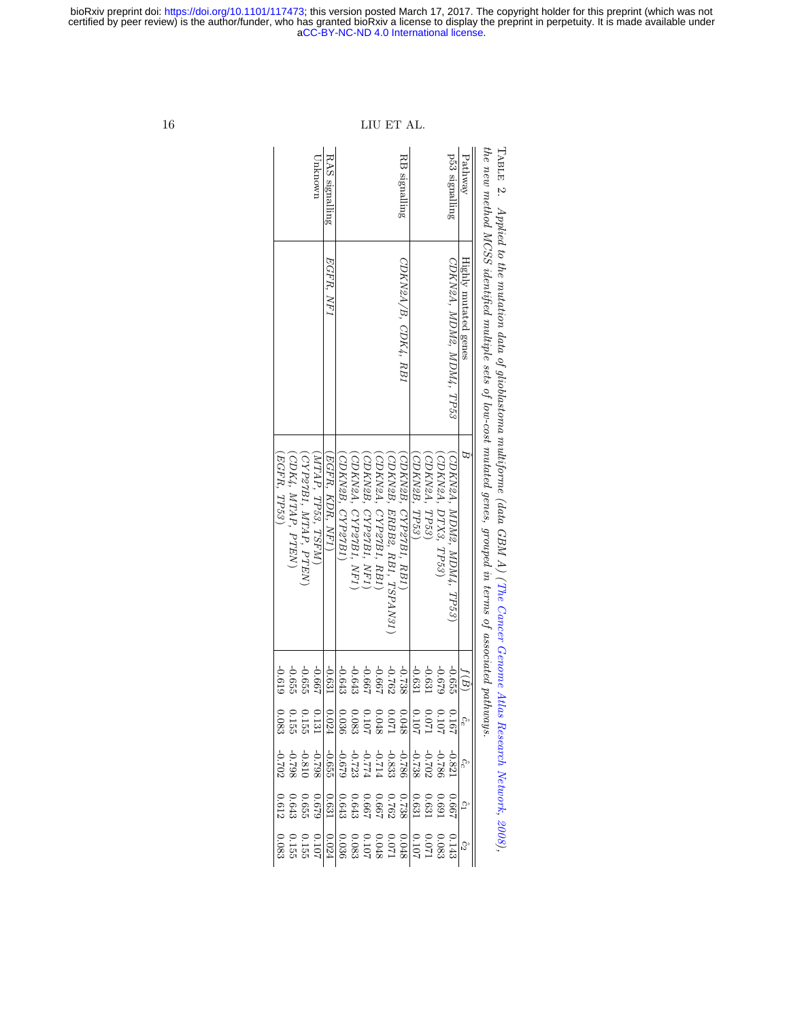the new method MCSS identified multiple sets of low-cost mutated genes, grouped in terms of associated pathways. Pathway Highly mutated genes Bˆ  $\hat{}$ ( $\widehat{\mathbb{B}}$ ˆce ˆcc ˆcت ˆc۲J p53 signalling CDKN2A, MDM2, MDM4, TP53 (CDKN2A, MDM2, MDM4, TP53  $\overline{\phantom{0}}$ -0.<br>555 0.167 -0.821199.0 0.143 (CDKN2A, DTX3, TP53  $\checkmark$ -0.679 0.107 -0.786 0.691 0.083 (CDKN2A, TP53 $\overline{\phantom{0}}$ -0.631 0.071 -0.702 0.631 0.071 (CDKN2B, TP53 $\overline{\phantom{0}}$ -0.631 0.107 -0.738 0.631 $201.0$ RB signalling CDKN2A/B, CDK4, RB1 (CDKN2B, CYP27B1, RB1  $\checkmark$ -0.738 0.048 -0.786 0.738 0.048 (CDKN2B, ERBB2, RB1, TSPAN31  $\checkmark$ -0.762 0.071 -0.833 0.762 0.071 (CDKN2A, CYP27B1, RB1  $\overline{\phantom{0}}$ -0.667 0.048 -0.714 0.667 0.048 (CDKN2B, CYP27B1, NF1  $\checkmark$ -0.667 0.107 -0.774 0.667 $201.0$ 

| RAS signalling<br>p53 signalling<br>Pathway<br>RB signalling<br>Unknown<br>EGFR. NF1<br>Highly mutated genes<br>CDKN2A, MDM2, MDM4, TP53<br>CDKN2A/B, CDK4, RB1<br>(EGFR, TP53)<br>EGFR, KDR, NF1)<br>CDK4, MTAP, PTEN)<br>$MTAP$ , $TP53$ , $TSTRM$ )<br>CDKN2B, CYP27B1<br>CDKN2B, TP53)<br>CDKN2B, ERBB2, RB1, TSPAN31<br>CDKN2A, TP53)<br>CDKN2A, DTX3, TP53)<br>CDKN2B, CYP27B1, NF1)<br>CDKN2A, CYP27B1, RB1)<br>CYP27B1, MTAP, PTEN<br>CDKN2B, CYP27B1, RB1)<br>CDKN2A, MDM2, MDM4, TP53'<br>CDKN2A, CYP27B1, NF1<br>$-0.631$<br>$-0.655$<br>-0.667<br>$-0.643$<br>$-0.762$<br>$-0.631$<br>619'0-<br>-0.667<br>$-0.631$<br>629.0-<br>$-0.655$<br>$-0.643$<br>-0.667<br>-0.738<br>$-0.655$ |      |  |  |  |  |  |  |  |  |
|--------------------------------------------------------------------------------------------------------------------------------------------------------------------------------------------------------------------------------------------------------------------------------------------------------------------------------------------------------------------------------------------------------------------------------------------------------------------------------------------------------------------------------------------------------------------------------------------------------------------------------------------------------------------------------------------------|------|--|--|--|--|--|--|--|--|
|                                                                                                                                                                                                                                                                                                                                                                                                                                                                                                                                                                                                                                                                                                  |      |  |  |  |  |  |  |  |  |
|                                                                                                                                                                                                                                                                                                                                                                                                                                                                                                                                                                                                                                                                                                  |      |  |  |  |  |  |  |  |  |
|                                                                                                                                                                                                                                                                                                                                                                                                                                                                                                                                                                                                                                                                                                  |      |  |  |  |  |  |  |  |  |
|                                                                                                                                                                                                                                                                                                                                                                                                                                                                                                                                                                                                                                                                                                  | f(B) |  |  |  |  |  |  |  |  |
|                                                                                                                                                                                                                                                                                                                                                                                                                                                                                                                                                                                                                                                                                                  |      |  |  |  |  |  |  |  |  |
|                                                                                                                                                                                                                                                                                                                                                                                                                                                                                                                                                                                                                                                                                                  |      |  |  |  |  |  |  |  |  |
|                                                                                                                                                                                                                                                                                                                                                                                                                                                                                                                                                                                                                                                                                                  |      |  |  |  |  |  |  |  |  |
|                                                                                                                                                                                                                                                                                                                                                                                                                                                                                                                                                                                                                                                                                                  |      |  |  |  |  |  |  |  |  |

 $16$   $\,$  LIU ET AI

Table با

Applied to the mutation data of glioblastoma multiforme (data GBM A) (The Cancer Genome Atlas Research [Network,](#page-33-9)

[2008\)](#page-33-9),

#### <span id="page-15-0"></span>[aCC-BY-NC-ND 4.0 International license.](http://creativecommons.org/licenses/by-nc-nd/4.0/) certified by peer review) is the author/funder, who has granted bioRxiv a license to display the preprint in perpetuity. It is made available under bioRxiv preprint doi: [https://doi.org/10.1101/117473;](https://doi.org/10.1101/117473) this version posted March 17, 2017. The copyright holder for this preprint (which was not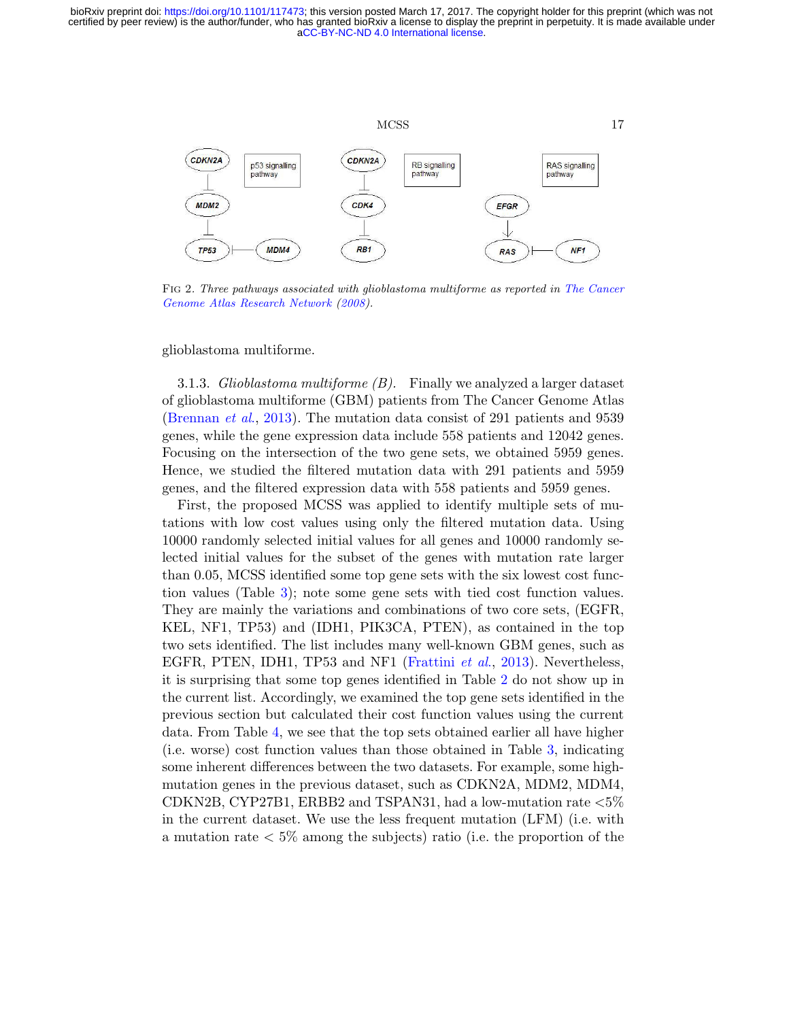

<span id="page-16-0"></span>FIG 2. Three pathways associated with glioblastoma multiforme as reported in [The Cancer](#page-33-9) [Genome Atlas Research Network](#page-33-9) [\(2008\)](#page-33-9).

glioblastoma multiforme.

3.1.3. Glioblastoma multiforme  $(B)$ . Finally we analyzed a larger dataset of glioblastoma multiforme (GBM) patients from The Cancer Genome Atlas [\(Brennan](#page-32-12) et al., [2013\)](#page-32-12). The mutation data consist of 291 patients and 9539 genes, while the gene expression data include 558 patients and 12042 genes. Focusing on the intersection of the two gene sets, we obtained 5959 genes. Hence, we studied the filtered mutation data with 291 patients and 5959 genes, and the filtered expression data with 558 patients and 5959 genes.

First, the proposed MCSS was applied to identify multiple sets of mutations with low cost values using only the filtered mutation data. Using 10000 randomly selected initial values for all genes and 10000 randomly selected initial values for the subset of the genes with mutation rate larger than 0.05, MCSS identified some top gene sets with the six lowest cost function values (Table [3\)](#page-17-0); note some gene sets with tied cost function values. They are mainly the variations and combinations of two core sets, (EGFR, KEL, NF1, TP53) and (IDH1, PIK3CA, PTEN), as contained in the top two sets identified. The list includes many well-known GBM genes, such as EGFR, PTEN, IDH1, TP53 and NF1 [\(Frattini](#page-32-13) *et al.*, [2013\)](#page-32-13). Nevertheless, it is surprising that some top genes identified in Table [2](#page-15-0) do not show up in the current list. Accordingly, we examined the top gene sets identified in the previous section but calculated their cost function values using the current data. From Table [4,](#page-17-1) we see that the top sets obtained earlier all have higher (i.e. worse) cost function values than those obtained in Table [3,](#page-17-0) indicating some inherent differences between the two datasets. For example, some highmutation genes in the previous dataset, such as CDKN2A, MDM2, MDM4, CDKN2B, CYP27B1, ERBB2 and TSPAN31, had a low-mutation rate <5% in the current dataset. We use the less frequent mutation (LFM) (i.e. with a mutation rate  $\lt 5\%$  among the subjects) ratio (i.e. the proportion of the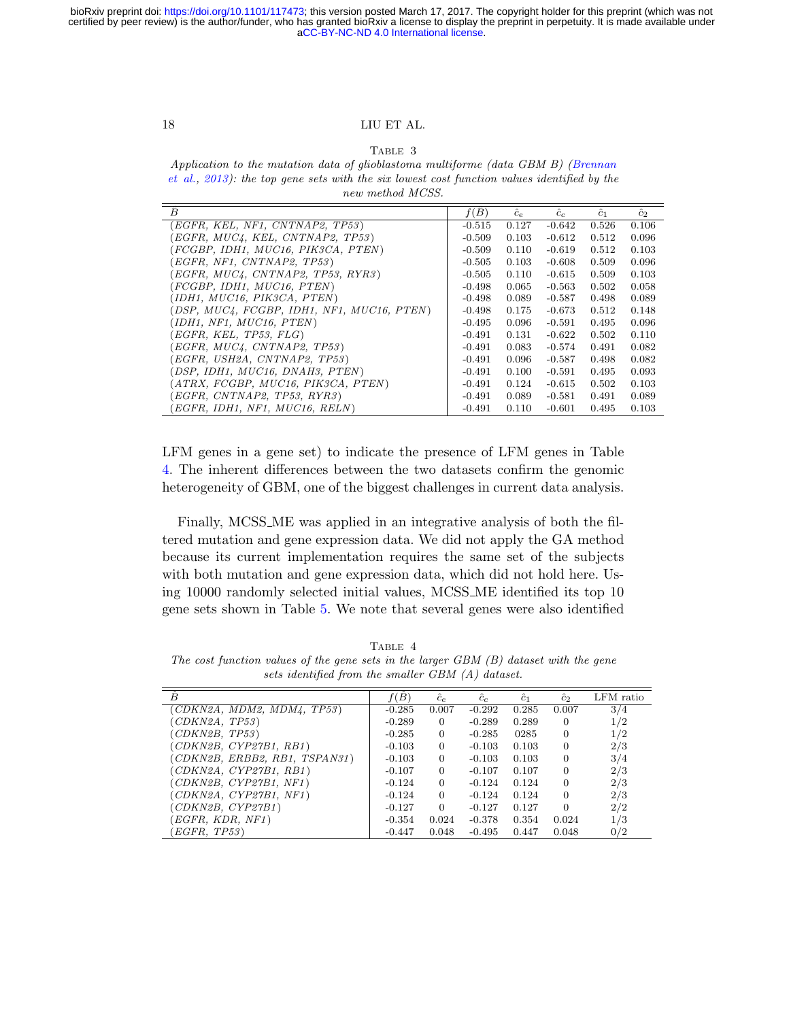# Table 3

<span id="page-17-0"></span>Application to the mutation data of glioblastoma multiforme (data GBM B) [\(Brennan](#page-32-12) [et al.,](#page-32-12) [2013\)](#page-32-12): the top gene sets with the six lowest cost function values identified by the new method MCSS.

| Ĥ                                          | $f(\hat{B})$ | $\hat{c}_e$ | $\hat{c}_c$ | $\hat{c}_1$ | $\hat{c}_2$ |
|--------------------------------------------|--------------|-------------|-------------|-------------|-------------|
| (EGFR, KEL, NF1, CNTNAP2, TP53)            | $-0.515$     | 0.127       | $-0.642$    | 0.526       | 0.106       |
| (EGFR, MUC4, KEL, CNTNAP2, TP53)           | $-0.509$     | 0.103       | $-0.612$    | 0.512       | 0.096       |
| (FCGBP, IDH1, MUC16, PIK3CA, PTEN)         | $-0.509$     | 0.110       | $-0.619$    | 0.512       | 0.103       |
| (EGFR, NF1, CNTNAP2, TP53)                 | $-0.505$     | 0.103       | $-0.608$    | 0.509       | 0.096       |
| (EGFR, MUC4, CNTNAP2, TP53, RYR3)          | $-0.505$     | 0.110       | $-0.615$    | 0.509       | 0.103       |
| (FCGBP, IDH1, MUC16, PTEM)                 | $-0.498$     | 0.065       | $-0.563$    | 0.502       | 0.058       |
| (IDH1, MUC16, PIK3CA, PTEM)                | $-0.498$     | 0.089       | $-0.587$    | 0.498       | 0.089       |
| (DSP, MUC4, FCGBP, IDH1, NF1, MUC16, PTEN) | $-0.498$     | 0.175       | $-0.673$    | 0.512       | 0.148       |
| (IDH1, NF1, MUC16, PTEM)                   | $-0.495$     | 0.096       | $-0.591$    | 0.495       | 0.096       |
| (EGFR, KEL, TP53, FLG)                     | $-0.491$     | 0.131       | $-0.622$    | 0.502       | 0.110       |
| (EGFR, MUC4, CNTNAP2, TP53)                | $-0.491$     | 0.083       | $-0.574$    | 0.491       | 0.082       |
| (EGFR, USH2A, CNTNAP2, TP53)               | $-0.491$     | 0.096       | $-0.587$    | 0.498       | 0.082       |
| (DSP, IDH1, MUC16, DNAH3, PTEM)            | $-0.491$     | 0.100       | $-0.591$    | 0.495       | 0.093       |
| (ATRX, FCGBP, MUC16, PIK3CA, PTEN)         | $-0.491$     | 0.124       | $-0.615$    | 0.502       | 0.103       |
| (EGFR, CNTNAP2, TP53, RYR3)                | $-0.491$     | 0.089       | $-0.581$    | 0.491       | 0.089       |
| (EGFR, IDH1, NF1, MUC16, RELN)             | $-0.491$     | 0.110       | $-0.601$    | 0.495       | 0.103       |

LFM genes in a gene set) to indicate the presence of LFM genes in Table [4.](#page-17-1) The inherent differences between the two datasets confirm the genomic heterogeneity of GBM, one of the biggest challenges in current data analysis.

Finally, MCSS ME was applied in an integrative analysis of both the filtered mutation and gene expression data. We did not apply the GA method because its current implementation requires the same set of the subjects with both mutation and gene expression data, which did not hold here. Using 10000 randomly selected initial values, MCSS ME identified its top 10 gene sets shown in Table [5.](#page-19-0) We note that several genes were also identified

<span id="page-17-1"></span>TABLE 4 The cost function values of the gene sets in the larger GBM (B) dataset with the gene sets identified from the smaller GBM (A) dataset.

| Â                             | f(B)     | $\hat{c}_e$ | $c_c$    | $\hat{c}_1$ | $\hat{c}_2$ | LFM ratio |
|-------------------------------|----------|-------------|----------|-------------|-------------|-----------|
| CDKN2A, MDM2, MDM4, TP53)     | $-0.285$ | 0.007       | $-0.292$ | 0.285       | 0.007       | 3/4       |
| CDKN2A, TP53)                 | $-0.289$ | $\Omega$    | $-0.289$ | 0.289       | $\Omega$    | 1/2       |
| (CDKN2B, TP53)                | $-0.285$ | $\Omega$    | $-0.285$ | 0285        | $\theta$    | 1/2       |
| (CDKN2B, CYP27B1, RB1)        | $-0.103$ | $\Omega$    | $-0.103$ | 0.103       | $\theta$    | 2/3       |
| (CDKN2B, ERBB2, RB1, TSPAN31) | $-0.103$ | $\Omega$    | $-0.103$ | 0.103       | $\Omega$    | 3/4       |
| (CDKN2A, CYP27B1, RB1)        | $-0.107$ | $\Omega$    | $-0.107$ | 0.107       | $\Omega$    | 2/3       |
| (CDKN2B, CYP27B1, NF1)        | $-0.124$ | $\Omega$    | $-0.124$ | 0.124       | $\Omega$    | 2/3       |
| (CDKN2A, CYP27B1, NF1)        | $-0.124$ | $\Omega$    | $-0.124$ | 0.124       | $\Omega$    | 2/3       |
| (CDKN2B, CYP27B1)             | $-0.127$ | $\Omega$    | $-0.127$ | 0.127       | $\Omega$    | 2/2       |
| EGFR, KDR, NF1)               | $-0.354$ | 0.024       | $-0.378$ | 0.354       | 0.024       | 1/3       |
| EGFR, TP53)                   | $-0.447$ | 0.048       | $-0.495$ | 0.447       | 0.048       | 0/2       |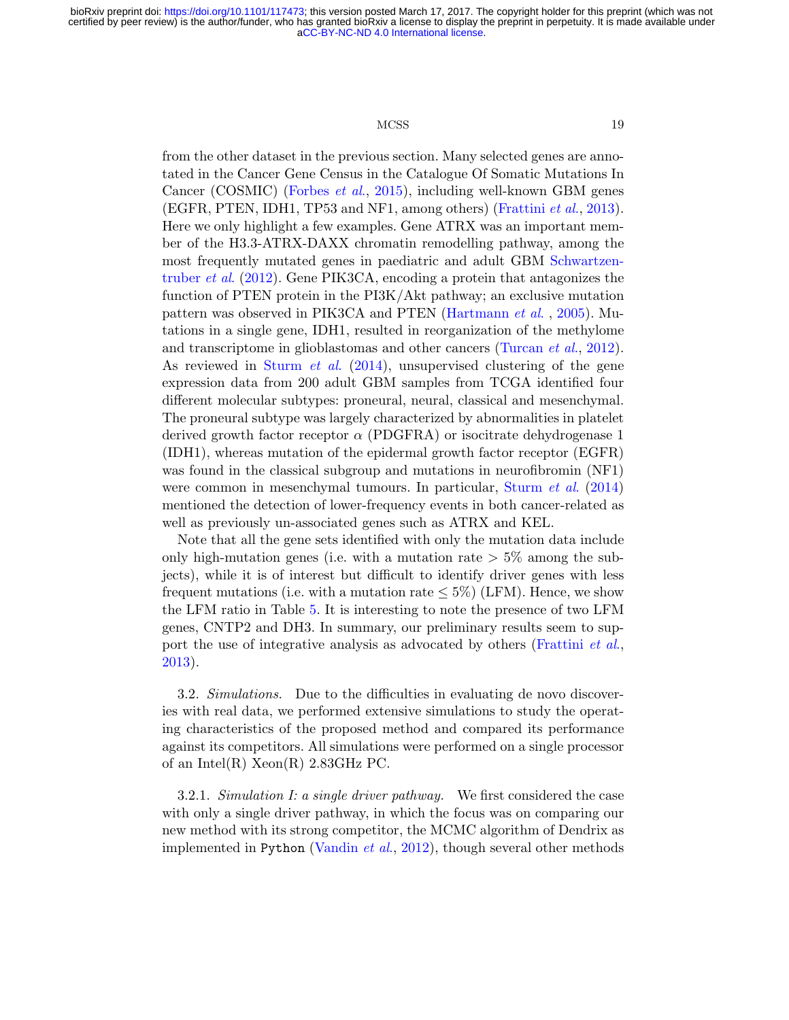#### MCSS 19

from the other dataset in the previous section. Many selected genes are annotated in the Cancer Gene Census in the Catalogue Of Somatic Mutations In Cancer (COSMIC) [\(Forbes](#page-32-14) et al., [2015\)](#page-32-14), including well-known GBM genes (EGFR, PTEN, IDH1, TP53 and NF1, among others) [\(Frattini](#page-32-13)  $et$  al., [2013\)](#page-32-13). Here we only highlight a few examples. Gene ATRX was an important member of the H3.3-ATRX-DAXX chromatin remodelling pathway, among the most frequently mutated genes in paediatric and adult GBM [Schwartzen](#page-33-11)[truber](#page-33-11) et al. [\(2012\)](#page-33-11). Gene PIK3CA, encoding a protein that antagonizes the function of PTEN protein in the PI3K/Akt pathway; an exclusive mutation pattern was observed in PIK3CA and PTEN [\(Hartmann](#page-32-15) et al. , [2005\)](#page-32-15). Mutations in a single gene, IDH1, resulted in reorganization of the methylome and transcriptome in glioblastomas and other cancers [\(Turcan](#page-34-5) *et al.*, [2012\)](#page-34-5). As reviewed in [Sturm](#page-33-12) *et al.* [\(2014\)](#page-33-12), unsupervised clustering of the gene expression data from 200 adult GBM samples from TCGA identified four different molecular subtypes: proneural, neural, classical and mesenchymal. The proneural subtype was largely characterized by abnormalities in platelet derived growth factor receptor  $\alpha$  (PDGFRA) or isocitrate dehydrogenase 1 (IDH1), whereas mutation of the epidermal growth factor receptor (EGFR) was found in the classical subgroup and mutations in neurofibromin (NF1) were common in mesenchymal tumours. In particular, [Sturm](#page-33-12) et al. [\(2014\)](#page-33-12) mentioned the detection of lower-frequency events in both cancer-related as well as previously un-associated genes such as ATRX and KEL.

Note that all the gene sets identified with only the mutation data include only high-mutation genes (i.e. with a mutation rate  $> 5\%$  among the subjects), while it is of interest but difficult to identify driver genes with less frequent mutations (i.e. with a mutation rate  $\leq 5\%$ ) (LFM). Hence, we show the LFM ratio in Table [5.](#page-19-0) It is interesting to note the presence of two LFM genes, CNTP2 and DH3. In summary, our preliminary results seem to sup-port the use of integrative analysis as advocated by others [\(Frattini](#page-32-13) et al., [2013\)](#page-32-13).

3.2. Simulations. Due to the difficulties in evaluating de novo discoveries with real data, we performed extensive simulations to study the operating characteristics of the proposed method and compared its performance against its competitors. All simulations were performed on a single processor of an Intel $(R)$  Xeon $(R)$  2.83GHz PC.

3.2.1. Simulation I: a single driver pathway. We first considered the case with only a single driver pathway, in which the focus was on comparing our new method with its strong competitor, the MCMC algorithm of Dendrix as implemented in Python [\(Vandin](#page-34-1) *et al.*, [2012\)](#page-34-1), though several other methods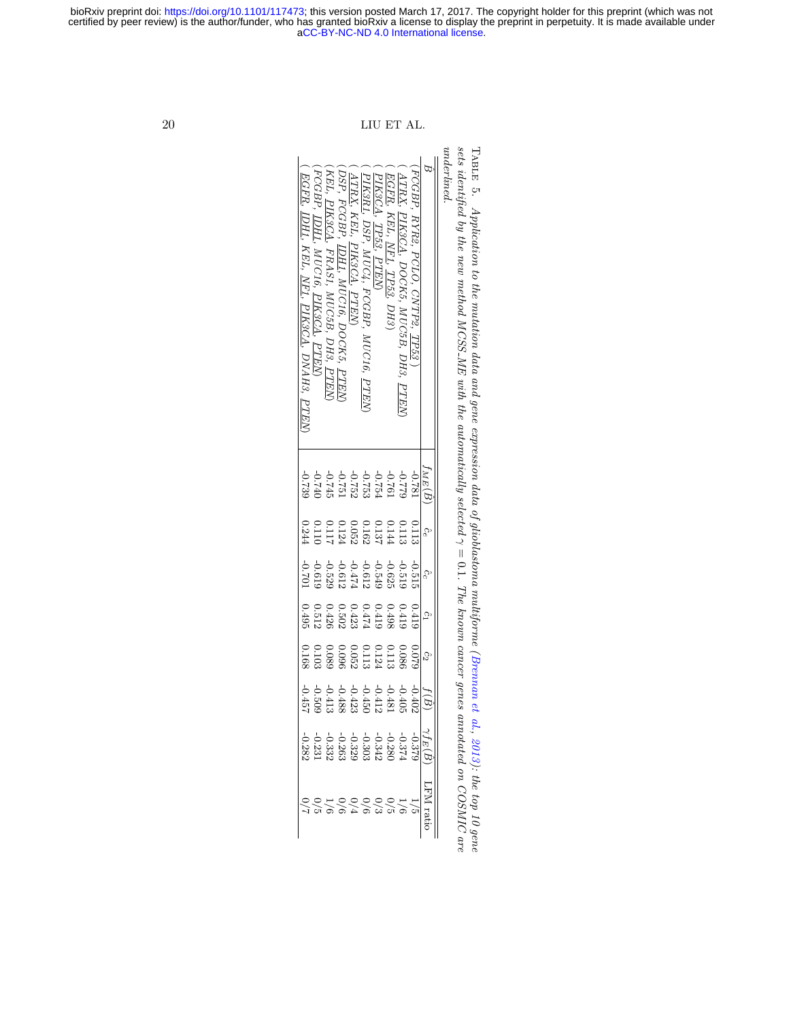$underline{d}$ . Table underlined. sets identified by the new method MCSS 5. Application to the mutation data and gene expression data of glioblastoma multiforme [\(Brennan](#page-32-12) et al., ME with the automatically selected γ = 0.1. The known cancer genes annotated on COSMIC are [2013\)](#page-32-12): the top 10 gene

|                                                                                                                                                                                                                         | $\epsilon_{M E}(B$                                                                 |                                                                                                | cc       | $\tilde{c}_1$                                                   | $c_2$                                                                      |                                                                                                                   |                         |
|-------------------------------------------------------------------------------------------------------------------------------------------------------------------------------------------------------------------------|------------------------------------------------------------------------------------|------------------------------------------------------------------------------------------------|----------|-----------------------------------------------------------------|----------------------------------------------------------------------------|-------------------------------------------------------------------------------------------------------------------|-------------------------|
| RYR2, PCLO, CNTP2, TP5                                                                                                                                                                                                  | $187.0 -$                                                                          | 0.115                                                                                          | $-0.515$ | j170                                                            | 520°0                                                                      | $-0.40$                                                                                                           |                         |
| ATRX<br>PIK3CA, DOCK5<br>$MUC5B$ , DH.<br>PTEN                                                                                                                                                                          |                                                                                    |                                                                                                |          |                                                                 |                                                                            |                                                                                                                   |                         |
| , $DH3)$                                                                                                                                                                                                                |                                                                                    |                                                                                                |          |                                                                 |                                                                            |                                                                                                                   |                         |
|                                                                                                                                                                                                                         |                                                                                    |                                                                                                |          |                                                                 |                                                                            |                                                                                                                   |                         |
| PIK3CA, TP53, PTEN)<br>PIK3R1, DSP, MUC4, FCGBP, MUC16, PTEN                                                                                                                                                            |                                                                                    |                                                                                                |          |                                                                 |                                                                            |                                                                                                                   |                         |
| , $PTEN$                                                                                                                                                                                                                | $-0.775$<br>$-0.775$<br>$-0.775$<br>$-0.777$<br>$-0.777$<br>$-0.7739$<br>$-0.7739$ | $\begin{array}{c} 0.113 \\ 0.144 \\ 0.162 \\ 0.052 \\ 0.0124 \\ 0.117 \\ 0.117 \\ \end{array}$ |          | $\begin{array}{c} 0.419 \\ 0.498 \\ 0.474 \\ 0.423 \end{array}$ | $\begin{array}{c} 0.086 \\ 0.1124 \\ 0.1124 \\ 0.052 \\ 0.052 \end{array}$ | $\begin{array}{r} -0.4481 \\ -0.4481 \\ -0.423 \\ -0.428 \\ -0.509 \\ -0.509 \\ -0.5457 \\ -0.457 \\ \end{array}$ | ・1000010<br>こんち 2 とんににち |
| $\left(\begin{array}{cc} \overline{ATRX}, & \overline{KEL}, & \overline{PIK3CA}, \\ \overline{DSP}, & \overline{FCGBP}, & \overline{IDHI}, & \overline{M} \end{array}\right)$<br>AUC16, DOCK5,<br>, $\overline{PLEN}$ , |                                                                                    |                                                                                                |          |                                                                 |                                                                            |                                                                                                                   |                         |
| KEL, <u>PIK3CA</u><br>, FRAS1, MUC5B, DH3, $\overline{PTEN}$                                                                                                                                                            |                                                                                    |                                                                                                |          | $0.502$<br>0.426                                                | 680'0<br>960'0                                                             |                                                                                                                   |                         |
| FCGBP                                                                                                                                                                                                                   |                                                                                    | 0.110                                                                                          |          |                                                                 |                                                                            |                                                                                                                   |                         |
| 7CGBP, <u>IDH1</u> , MUC16, <u>PIK3CA, PTEN</u> )<br><u>EGFR, IDH1,</u> KEL, <u>NF1, PIK3CA,</u> DNAH3, <u>PTEN</u>                                                                                                     |                                                                                    | 0.244                                                                                          |          | $0.512$<br>0.495                                                | $0.103$<br>$0.168$                                                         |                                                                                                                   |                         |

<span id="page-19-0"></span> $20$   $\,$  LIU ET AL.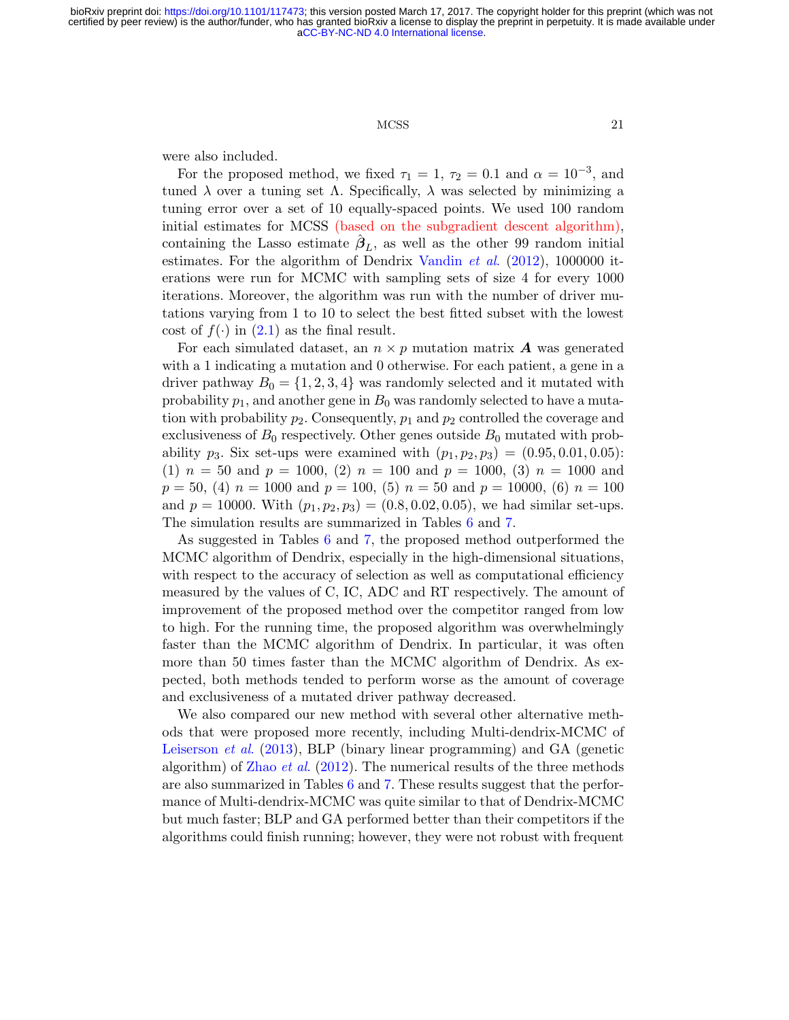#### MCSS 21

were also included.

For the proposed method, we fixed  $\tau_1 = 1, \tau_2 = 0.1$  and  $\alpha = 10^{-3}$ , and tuned  $\lambda$  over a tuning set  $\Lambda$ . Specifically,  $\lambda$  was selected by minimizing a tuning error over a set of 10 equally-spaced points. We used 100 random initial estimates for MCSS (based on the subgradient descent algorithm), containing the Lasso estimate  $\hat{\beta}_L$ , as well as the other 99 random initial estimates. For the algorithm of Dendrix [Vandin](#page-34-1) et al. [\(2012\)](#page-34-1), 1000000 iterations were run for MCMC with sampling sets of size 4 for every 1000 iterations. Moreover, the algorithm was run with the number of driver mutations varying from 1 to 10 to select the best fitted subset with the lowest cost of  $f(\cdot)$  in  $(2.1)$  as the final result.

For each simulated dataset, an  $n \times p$  mutation matrix **A** was generated with a 1 indicating a mutation and 0 otherwise. For each patient, a gene in a driver pathway  $B_0 = \{1, 2, 3, 4\}$  was randomly selected and it mutated with probability  $p_1$ , and another gene in  $B_0$  was randomly selected to have a mutation with probability  $p_2$ . Consequently,  $p_1$  and  $p_2$  controlled the coverage and exclusiveness of  $B_0$  respectively. Other genes outside  $B_0$  mutated with probability  $p_3$ . Six set-ups were examined with  $(p_1, p_2, p_3) = (0.95, 0.01, 0.05)$ :  $(1)$   $n = 50$  and  $p = 1000$ ,  $(2)$   $n = 100$  and  $p = 1000$ ,  $(3)$   $n = 1000$  and  $p = 50$ , (4)  $n = 1000$  and  $p = 100$ , (5)  $n = 50$  and  $p = 10000$ , (6)  $n = 100$ and  $p = 10000$ . With  $(p_1, p_2, p_3) = (0.8, 0.02, 0.05)$ , we had similar set-ups. The simulation results are summarized in Tables [6](#page-21-0) and [7.](#page-22-0)

As suggested in Tables [6](#page-21-0) and [7,](#page-22-0) the proposed method outperformed the MCMC algorithm of Dendrix, especially in the high-dimensional situations, with respect to the accuracy of selection as well as computational efficiency measured by the values of C, IC, ADC and RT respectively. The amount of improvement of the proposed method over the competitor ranged from low to high. For the running time, the proposed algorithm was overwhelmingly faster than the MCMC algorithm of Dendrix. In particular, it was often more than 50 times faster than the MCMC algorithm of Dendrix. As expected, both methods tended to perform worse as the amount of coverage and exclusiveness of a mutated driver pathway decreased.

We also compared our new method with several other alternative methods that were proposed more recently, including Multi-dendrix-MCMC of [Leiserson](#page-33-3) et al. [\(2013\)](#page-33-3), BLP (binary linear programming) and GA (genetic algorithm) of [Zhao](#page-34-2) *et al.* [\(2012\)](#page-34-2). The numerical results of the three methods are also summarized in Tables [6](#page-21-0) and [7.](#page-22-0) These results suggest that the performance of Multi-dendrix-MCMC was quite similar to that of Dendrix-MCMC but much faster; BLP and GA performed better than their competitors if the algorithms could finish running; however, they were not robust with frequent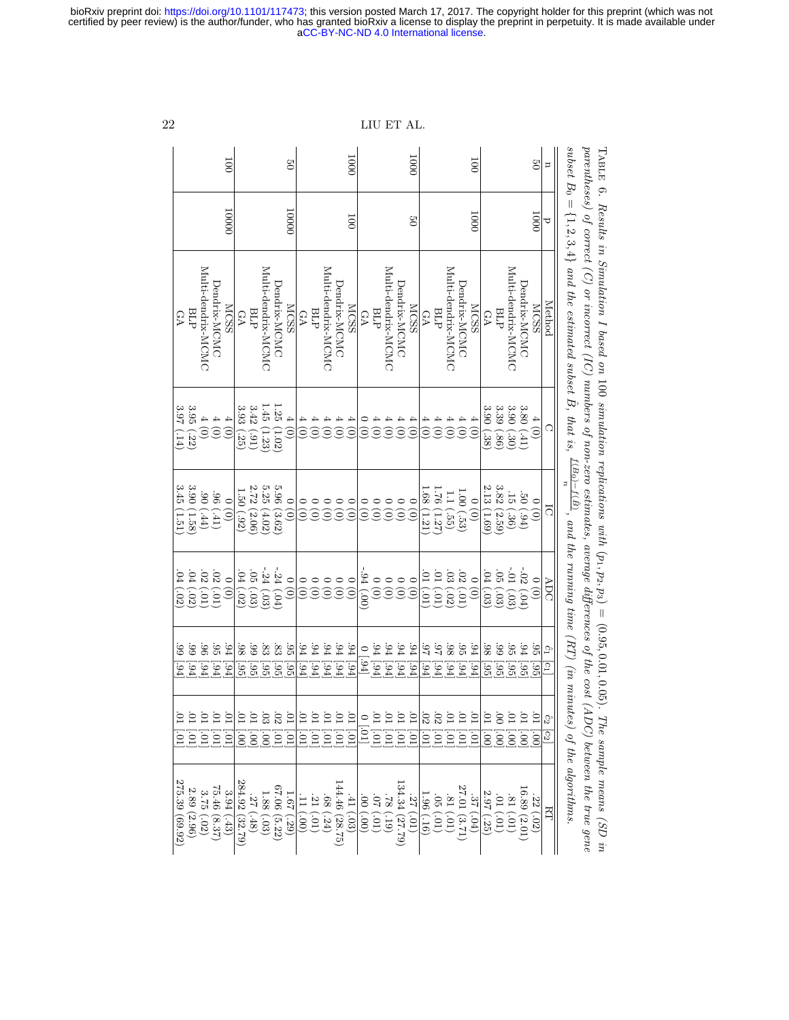parentheses) of correct  $(C)$  or incorrect  $(IC)$  numbers of non-zero estimates, average differences of the  $cost$   $(ADC)$  between the true gene subset 1000 1000 100 50 100 50 n  $B_0 = \{1, 2, 3, 4\}$ 10000 10000 1000 1000 100 50  $\mathbf C$ Multi-dendrix-MCMC Multi-dendrix-MCMC Multi-dendrix-MCMC Multi-dendrix-MCMC Multi-dendrix-MCMC Multi-dendrix-MCMC Multi-dendrix-MCMC Multi-dendrix-MCMC Multi-dendrix-MCMC Multi-dendrix-MCMC Multi-dendrix-MCMC Multi-dendrix-MCMC and the estimated subset Dendrix-MCMC Dendrix-MCMC Dendrix-MCMC Dendrix-MCMC Dendrix-MCMC Dendrix-MCMC Dendrix-MCMC Dendrix-MCMC Dendrix-MCMC Dendrix-MCMC Dendrix-MCMC Dendrix-MCMC MCSS MCSS Method Method BLP MCSS MCSS MCSS MCSS BLP BLP GA BLP BLP BLP GA GA GA GA GA  $\hat{B}$ , that is, 1.45 1.25 ي<br>26 ು<br>3.9 ده<br>33 ي<br>5.4 ن<br>30 ن<br>تن<br>6.3 ن<br>30 3.80 4 4 4<br>000<br>000 4 (0) 4 4 4 4<br>3 3 3 3 4 (0) 4 4 4 4 0<br>000000 4 4 4 4 4<br>000 000 600 4 (0)  $\Omega$ (1.23)  $(1.02)$ (.14) (.22) (.25) (.91) (.38) (.86) (.30) (.41)  $f(B_0)-f(\hat{B})$ n ن<br>3.45 ن<br>30 2.72 ن<br>3.25 ্ৰ<br>১.96 1.68 1.76 ي<br>2.13 نت<br>3.8 1<br>20 1.00 .<br>80 .<br>96 ..<br>1 ..<br>ন .<br>20  $\overline{\phantom{0}}$ 0 (0) 0 (0) 0 (0) 0 0 0<br><u>0 0 0</u> 0 0 0 0 0<br>00000 0 (0) 0 (0)  $\overline{C}$  $\widehat{c}$  $(1.51)$ (1.58)  $(\hbox{\small\it{tt}})$ (.41)  $(2.06)$  $(4.02)$ (3.62)  $(1.21)$ (1.27) (.55)  $(1.69)$  $(2.59)$ (.36)  $(56)$ (.92) (.53) , and the running time  $(RT)$  (in minutes) of the algorithms. -.24 -.24 -.94 -.01 -<br>20 .<br>24 .<br>44 .<br>ت .<br>25 .<br>44 .<br>ต <u>م:</u> .<br>11 .<br>33 .<br>25 .<br>44 .<br>ต ADC 0 (0) 0 (0) 0 0 0<br>0 0 0 0 (0)  $\begin{smallmatrix} 0 \ 0 \end{smallmatrix}$ 0 (0) 0 (0)  $\begin{smallmatrix} 0 \ 0 \end{smallmatrix}$  $\begin{pmatrix} 0 \\ 0 \end{pmatrix}$ 0 (0) 0 (0)  $(50)$  $(50)$ (.01) (.01)  $(50)$ (.03) (.01) (.01)  $(50)$ (.01) (.03) (.03) (.03)  $(504)$ (.00) (.03)  $(504)$ .<br>99 .<br>99 .<br>96 .<br>ದ .<br>44 .<br>88 .<br>ಅ .<br>83 .<br>83 .<br>೮೧ .<br>94 .<br>44 .<br>44 .<br>44 .<br>94 .<br>44 .<br>44 .<br>94 .<br>44 .<br>كا .<br>م .98 .<br>ದ .94 .<br>88 .<br>ಅ .<br>ದ .<br>44 .<br>೮೧ 0 ˆc1  $[194]$ [.94]  $[194]$  $[194]$  $[194]$ [.94]  $[194]$ [.95] [.95] [.95]  $[36]$ [.95]  $[194]$  $[194]$  $[194]$  $[194]$  $[194]$  $[194]$  $[194]$  $[194]$ [.94]  $[194]$  $[194]$  $[194]$  $[194]$ [.95] [.95] [.95] [.95] [.95]  $\Xi$ .01 .01 .01  $20^{\circ}$  $\overline{10}$ .01 .00 .01 .01 .01 .01 .01 .01 .01 <u>ت</u> جا <u>تا تا</u> .<br>11 <u>.</u><br>ص .<br>ಐ .<br>25 .<br>101 .01<br>101 .01 <u>.</u><br>1 .<br>1  $50$ .01  $\circ$ િટ  $\overline{c}$  $\overline{10}$ [.01] [.01] [.01] [.01]  $\frac{1}{10}$ [.01] [.01] [.01]  $\overline{[01]}$  $\overline{10}$  $\overline{\phantom{0}}$  $\overline{0}$ [.00] [.00]  $\overline{0}$ [.01] [.01] [.01] [.01] [.00] [.00] [.00]  $\left[10\right]$ [.01] [.01]  $[10]$ [.01]  $\overline{\epsilon}$  $\lbrack$ 275.39 284.92 144.46 134.34 75.46 67.06 27.01 16.89 2.89 ن<br>2.75 ي<br>≸3 1.88 1.67 1.96 ى<br>2.97 .<br>با .<br>11 <u>م</u><br>ا .68 .<br>41 .<br>8 .<br>ম .<br>م .<br>27 .<br>ದ  $\approx$ ن<br>17 .<br>ص .<br>81 .<br>24 RT (2.96) (.48) (.00) (.01)  $(24)$ (.03) (.00) (.01) (.19) (.01) (.01) (.01)  $(504)$ (.01) (.01)  $(50)$  $(69.92)$  $(50)$ (8.37) (.43) (32.79) (.03) (5.22) (.29) (28.75) (27.79)  $(91)$ (3.71) (.25)  $(2.01)$ 

Table ය.

. Results in Simulation I based on

100

simulation replications with

 $(p_1, p_2, p_3) = (0.95, 0.01, 0.05)$ 

. The sample means (SD in

#### LIU ET AL.

<span id="page-21-0"></span>[aCC-BY-NC-ND 4.0 International license.](http://creativecommons.org/licenses/by-nc-nd/4.0/) certified by peer review) is the author/funder, who has granted bioRxiv a license to display the preprint in perpetuity. It is made available under bioRxiv preprint doi: [https://doi.org/10.1101/117473;](https://doi.org/10.1101/117473) this version posted March 17, 2017. The copyright holder for this preprint (which was not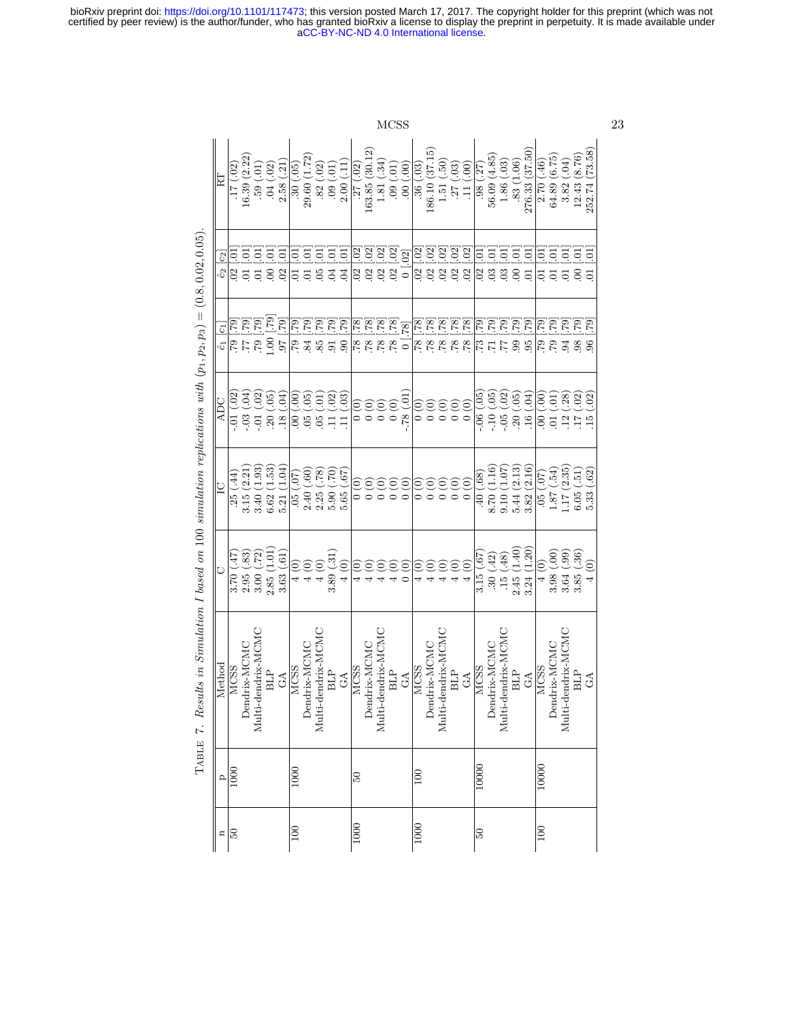> $\begin{array}{c} 186.10\ (37.15)\\ 1.51\ (-50) \end{array}$  $\frac{12.43}{252.74} \frac{(8.76)}{(73.58)}$  $163.85(30.12)$ Dendrix-MCMC 4 (0) 0 (0) 0 (0) .78 [.78] .02 [.02] 163.85 (30.12) Dendrix-MCMC 4 (0) 0 (0) 0 (0) 78 [.78] .02 [.02] 186.10 (37.15)<br>| 186.10 (37.15)<br>| 186.10 (37.15) 276.33 (37.50) GA  $3.24 (1.20)$   $3.82 (2.16)$   $1.6$   $0.4$ )  $95 [7.9]$   $0.1 [01]$   $276.33 (37.50)$  $\begin{array}{c|cc}\n 2.70 & (.46) \\
> 64.89 & (6.75) \\
> 3.82 & (.04)\n\end{array}$ GA  $(62)$   $(62)$   $(15)$   $(0)$   $(0)$   $(0)$   $(0)$   $(0)$   $(0)$   $(0)$   $(0)$   $(0)$   $(0)$   $(0)$   $(0)$   $(0)$   $(0)$   $(0)$   $(0)$   $(0)$   $(0)$   $(0)$   $(0)$   $(0)$   $(0)$   $(0)$   $(0)$   $(0)$   $(0)$   $(0)$   $(0)$   $(0)$   $(0)$   $(0)$   $(0)$   $(0)$  $\frac{17(02)}{16.39(2.22)}$ <br> $59(01)$ Dendrix-MCMC 2.95 (.83) 3.15 (2.21) -.03 (.04) .77 [.79] .01 [.01] 16.39 (2.22)  $\text{Dendrix-MCMC}$  (0)  $4$  (0)  $2.40$  (.60)  $\begin{bmatrix} 0.5 & 0.05 \\ 0.05 & 0.05 \end{bmatrix}$  .84 [.79]  $\begin{bmatrix} 0.1 & 0.1 \\ 0.1 & 0.1 \end{bmatrix}$  29.60 (1.72)  $56.09(4.85)$ Dendrix-MCMC .30 (.42) 8.70 (1.16) -.10 (.05) .71 [.79] .03 [.01] 56.09 (4.85) Dendrix-MCMC 3.98 (.00) 1.87 (.54) .01 (.01) .79 [.79] .01 [.01] 64.89 (6.75) BLP 3.85 (.36) 6.05 (.51) .17 (.02) .98 [.79] .00 [.01] .00 [.01] .12.43 (8.76)<br>At a set of the set of the set of the set of the set of the set of the set of the set of the set of the set of .04  $(.02)$ <br>2.58  $(.21)$ 29.60 (1.72)  $\frac{33(1.06)}{25}$  $1.81(34)$ GA  $\begin{bmatrix} 3.63 & (.61) \ 0.53 & (.61) \end{bmatrix}$   $\begin{bmatrix} 5.21 & (1.04) \ 0.61 & 0.6 \end{bmatrix}$  .97 [.79] .02 [.01] 2.58 (.21)  $.30(.05)$  $2.00(11)$ GA  $4(0)$  5.65 (.67) .11 (.03) .90 [.79] .04 [.01] .2.00 (.11) .04 [.01] .04 [.01] .2.00 (.11) Multi-dendrix-MCMC 4 (0) 0 (0) 0 (0) .78 [.78] .02 [.02] 1.81 (.34) Multi-dendrix-MCMC 4 (0) 0 (0) 0 (0) 0 (0) .78 [.78] .02 [.02] [.03] .51 (.50)<br>Multi-dendrix-MCMC 4 (0) 0 (0) 0 (0) .02 [.02] 1.51 (.50)  $1.86(.03)$ Multi-dendrix-MCMC .15 (.48) 9.10 (1.07) -.05 (.02) .77 [.79] .03 [.01] .86 (.03)<br>Multi-dendrix-MCMC .15 (.48) 9.10 .70<br>Contract on the contract of the contract of the contract of the contract of the contract of the contra BLP 2.45 (1.40) 5.44 (2.13) .30 (.05) .99 [.79] .00 [.01] .83 (1.06) .33 (1.06) 100 10000 MCSS 4 (0) .05 (.07) .00 (.00) .79 [.79] .01 [.01] 2.70 (.46) Multi-dendrix-MCMC 3.64 (.99) 1.17 (2.35) .94 [.79] .01 [.01] .01 [.01] .82 (.04)<br>Multi-dendrix-MCMC 3.64 (.99) 1.17 (2.35) .94 [.79] .01 [.01] .01 [.01] .82 (.04)  $(00)(00)$ 50 1000 MCSS 3.70 (.47) .25 (.44) -.01 (.02) .79 [.79] .02 [.01] .17 (.02) Multi-dendrix-MCMC 3.00 (.72) 3.40 (1.93) -.01 (.02) .79 [.79] .01 [.01] .59 (.01) BLP 2.85 (1.01) 6.62 (1.53) .20 (.05) 1.00 [.79] .00 [.01] .04 (.02) .20 .20 .02<br>CA 100 1000 | 1000 | 1000 | 1000 | 1000 | 1000 | 1000 | 1000 | 1000 | 1000 | 1000 | 1000 | 1000 | 1000 | 1000 | 1<br>| 100 | 100 | 100 | 1000 | 1000 | 1000 | 1000 | 1000 | 1000 | 1000 | 1000 | 1000 | 1000 | 1000 | 1000 | 1000 |  $.82(.02)$ Multi-dendrix-MCMC 4 (0) 4 (0) .05 (.78) .05 [.79] .05 [.01] .85 [.79] .05 [.01] .82 (.02)<br>Multi-dendrix-MCMC 4 (0) .02 (.78) .05 (.01) .85 [.79] .05 [.01] .82 (.02)  $(10)$  60. BLP 3.89 [.31] .09 [.79] .11 .20 [.70] .11 .20 [.79] .09 .09 .09 .01 .09 .01 .09 .09 .01 .09 .09 .09 .001 .09 [ 100 50 MCSS (0,0) 0 (0,0) .77 [.78] .77 [.78] .77 [.02] .77 [.02] .77 [.02] .77 [.02] .77 [.02] .77 [.02] .77 [  $(10.)$  60. BLP 4 (0) 0 (0) 0 (0) 0 (0) 0 (0) 0 (0) 0 (0) 0 (0) 0 (0) 0 (0) 0 (0) 0 (0) 0 (0) 0 (0) 0 (0) 0 (0) 0 (0) 0 (0) 0 (0) 0 (0) 0 (0) 0 (0) 0 (0) 0 (0) 0 (0) 0 (0) 0 (0) 0 (0) 0 (0) 0 (0) 0 (0) 0 (0) 0 (0) 0 (0) 0 (0) 0 (0) 0 GA  $\begin{bmatrix} 0 & 0 & 0 \ 0 & 0 & 0 \end{bmatrix}$  (0)  $\begin{bmatrix} 0 & -78 & 01 \ -78 & 01 & 0 \end{bmatrix}$  (0,00)  $\begin{bmatrix} 0 & 0 \ 0 & 0 & 0 \end{bmatrix}$  $.36( .03)$ 1000 100 MCSS 4 (0) 0 (0) 0 (0) .78 [.78] .02 [.02] .36 (.03)  $.27(03)$ BLP 4 (0) 0 (0) 0 (0) .78 [.78] .27 [.03] .27 (.03) .27 [.03] .27 (.03) .28 [.03] .27 [.03] .27 [.03] .27 [.03]  $.11(00)$ GA 4 (0) 0 (0) 0 (0) .78 [.78] .02 [.02] .11 (.00) 50 10000 MCSS 3.15 (.67) .40 (.68) -.06 (.05) .73 [.79] .02 [.01] .98 (.27)  $\frac{27}{27} (02)$  $.98(.27)$ E n p Method C  $IC$  ADC  $\hat{c}_1$   $\hat{c}_2$   $\hat{c}_3$   $\hat{c}_3$   $\hat{R}$ ទ្ទទទ `គ្គគួគ្គ  $\Xi$  $\Xi$  $\begin{bmatrix} 02 & 0.02 \\ 0.2 & 0.02 \\ 0.2 & 0.02 \\ 0.2 & 0.02 \\ 0 & 0.02 \end{bmatrix}$  $\Xi$ 'ਰ ਰ ਰ Ē ಕ್ತ io.  $\Xi$ ā S  $\Xi$  $\overline{a}$ ີ ⊂ີ Ę io. ē. e e  $\overline{\mathcal{E}}$ ГŌ. 88888 s s s s Ĉ2  $\frac{2}{3}$  $\overline{0}$  $\overline{0}$  $\frac{6}{10}$  $\overline{c}$  $\frac{5}{9}$  $\frac{5}{9}$  $\frac{4}{9}$  $0<sup>4</sup>$  $\overline{0}$ 55585  $\begin{array}{|c|c|c|c|} \hline [62.1] & 2.6 \\ \hline [62.1] & 6.2 \\ \hline [62.1] & 2.2 \\ \hline [62.1] & 2.2 \\ \hline [62.1] & 2.2 \\ \hline \end{array}$ <u> ಪಿ ಪಿ ಪಿ ಪಿ ಪಿ</u> <u>نَعْ نَعْ نَعْ نَعْ الْ</u> <u> ಪ್ರವಸ್ಥೆ ಪ್ರಸ್ತೆ</u>  $\overline{57}$  $62$  $\overline{c}$  $\frac{1}{8} \frac{1}{8} \frac{1}{8} \frac{1}{8}$ g g g g g  $\frac{5}{5}$  $\frac{5}{7}$  $\frac{5}{7}$  $\frac{5}{7}$ pe signa 62. 73  $\tilde{c}$  $-05\ (02) \\ 20\ (05)$  $(10.)$  87.  $\begin{array}{c} (0,0) \\ (1,0) \\ (0,1) \\ (1,0) \\ (2,0) \\ (3,0) \\ (4,0) \\ (5,0) \\ (6,0) \\ (7,0) \\ (8,0) \\ (9,0) \\ (1,0) \\ (1,0) \\ (1,0) \\ (1,0) \\ (2,0) \\ (3,0) \\ (4,0) \\ (5,0) \\ (6,0) \\ (7,0) \\ (8,0) \\ (9,0) \\ (1,0) \\ (1,0) \\ (1,0) \\ (1,0) \\ (1,0) \\ (1,0) \\ (1,0) \\ (1,0) \\ (1,0) \\ (1,0) \\ (1,0) \\ (1,$  $-.01(02)$  $.20(0.05)$ <br> $.18(0.4)$  $(05)(.05)$  $.05(01)$ <br> $.11(02)$  $-.10(0.05)$  $-.03$   $(.04)$  $-0.01$  (.02  $00(.00)$  $11(03)$  $-0.06$  (.05  $.16(0.04)$ 호호호호<br>ㅎㅎㅎㅎ 00000<br>|<br>|<br>|<br>| ADC  $\begin{array}{c} 3.15 \ (2.21) \\ 3.40 \ (1.93) \\ 6.62 \ (1.53) \end{array}$  $\begin{array}{c} 9.10 \ (1.07) \\ 5.44 \ (2.13) \end{array}$  $\begin{array}{c} 2.25~(.78) \\ 5.90~(.70) \end{array}$  $8.70(1.16)$  $\frac{05}{1.87} \frac{07}{054}$  $1.17(2.35)$  $\begin{array}{c} 6.05 \ (.51) \\ 5.33 \ (.62) \end{array}$  $5.21(1.04)$  $3.82(2.16)$  $(20)$  90.  $2.40(.60)$  $5.65(.67)$  $(0.44)$  $(0.68)$ 00000<br>|<br>|<br>| 38888<br>- - - - - $\begin{array}{c} 3.70 \; (.47) \\ 2.95 \; (.83) \\ 3.00 \; (.72) \\ 2.85 \; (1.01) \end{array}$  $4$  (0)<br>  $4$  (0)<br>  $4$  (0)<br>  $4$  (0)<br>
> 3.89 (.31)  $.15(48)$ <br> $2.45(1.40)$  $\begin{array}{c} 3.64 \ (.99) \\ 3.85 \ (.36) \end{array}$  $3.24(1.20)$  $3.63(.61)$  $3.98(.00)$  $.30(.42)$  $3.15(.67$  $4(0)$  $4(0)$ 9999  $(0)$ Ξ  $\overline{C}$ Dendrix-MCMC<br>Multi-dendrix-MCMC Multi-dendrix-MCMC Multi-dendrix-MCMC Multi-dendrix-MCMC Multi-dendrix-MCMC Multi-dendrix-MCMC Dendrix-MCMC Dendrix-MCMC Dendrix-MCMC Dendrix-MCMC Dendrix-MCMC Method **MCSS MCSS MCSS MCSS** MCSS BLP **BLP BLP BLP BLP BLP** MCSS  $G\Lambda$  $G\Lambda$  $G\Lambda$  $G\Lambda$  $G\Lambda$  $\mathcal{L}$ 10000 1000  $\overline{000}$  $\boxed{00}$  $\circ$ င္ဟ  $\frac{1000}{\pi}$  $\frac{100}{\sqrt{2}}$  $\overline{100}$  $\overline{100}$  $\frac{6}{3}$

TABLE 7. Results in Simulation I based on 100 simulation replications with  $(p_1, p_2, p_3) = (0.8, 0.02, 0.05)$ .

TABLE 7. Results in Simulation I based on 100 simulation replications with  $(p_1, p_3) = (0.8, 0.02, 0.05)$ .

n

∣వ్

<span id="page-22-0"></span>MCSS 23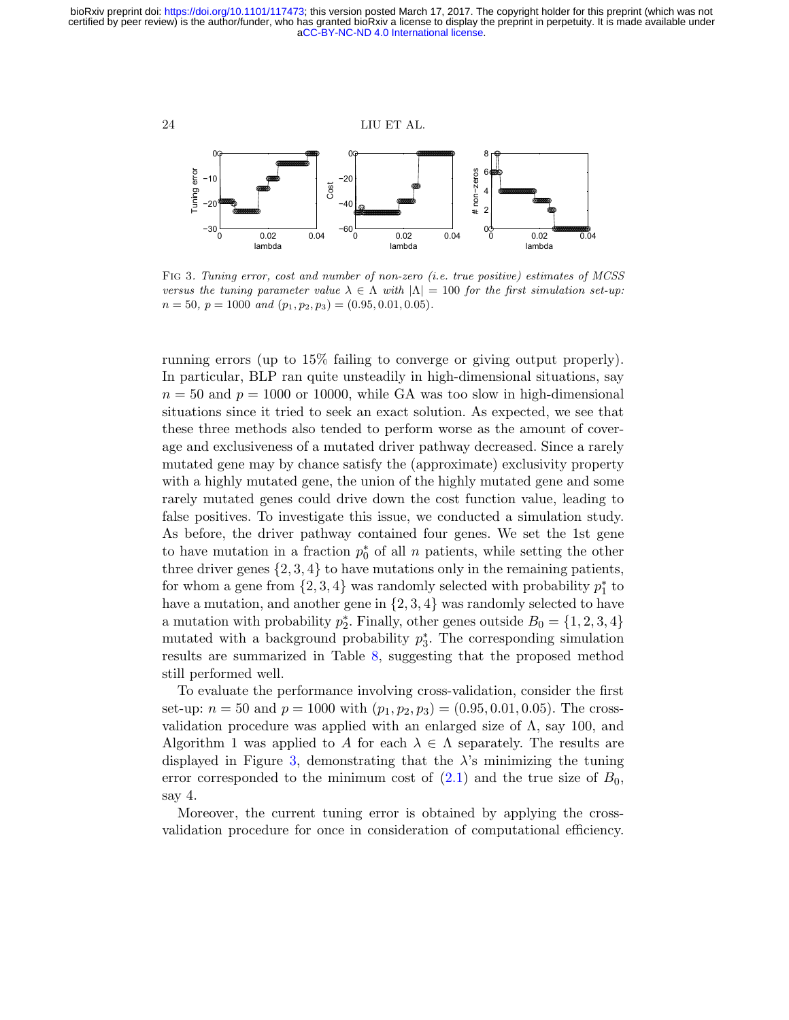

<span id="page-23-0"></span>Fig 3. Tuning error, cost and number of non-zero (i.e. true positive) estimates of MCSS versus the tuning parameter value  $\lambda \in \Lambda$  with  $|\Lambda| = 100$  for the first simulation set-up:  $n = 50$ ,  $p = 1000$  and  $(p_1, p_2, p_3) = (0.95, 0.01, 0.05)$ .

running errors (up to 15% failing to converge or giving output properly). In particular, BLP ran quite unsteadily in high-dimensional situations, say  $n = 50$  and  $p = 1000$  or 10000, while GA was too slow in high-dimensional situations since it tried to seek an exact solution. As expected, we see that these three methods also tended to perform worse as the amount of coverage and exclusiveness of a mutated driver pathway decreased. Since a rarely mutated gene may by chance satisfy the (approximate) exclusivity property with a highly mutated gene, the union of the highly mutated gene and some rarely mutated genes could drive down the cost function value, leading to false positives. To investigate this issue, we conducted a simulation study. As before, the driver pathway contained four genes. We set the 1st gene to have mutation in a fraction  $p_0^*$  of all n patients, while setting the other three driver genes  $\{2, 3, 4\}$  to have mutations only in the remaining patients, for whom a gene from  $\{2,3,4\}$  was randomly selected with probability  $p_1^*$  to have a mutation, and another gene in  $\{2, 3, 4\}$  was randomly selected to have a mutation with probability  $p_2^*$ . Finally, other genes outside  $B_0 = \{1, 2, 3, 4\}$ mutated with a background probability  $p_3^*$ . The corresponding simulation results are summarized in Table [8,](#page-24-0) suggesting that the proposed method still performed well.

To evaluate the performance involving cross-validation, consider the first set-up:  $n = 50$  and  $p = 1000$  with  $(p_1, p_2, p_3) = (0.95, 0.01, 0.05)$ . The crossvalidation procedure was applied with an enlarged size of  $\Lambda$ , say 100, and Algorithm 1 was applied to A for each  $\lambda \in \Lambda$  separately. The results are displayed in Figure [3,](#page-23-0) demonstrating that the  $\lambda$ 's minimizing the tuning error corresponded to the minimum cost of  $(2.1)$  and the true size of  $B_0$ , say 4.

Moreover, the current tuning error is obtained by applying the crossvalidation procedure for once in consideration of computational efficiency.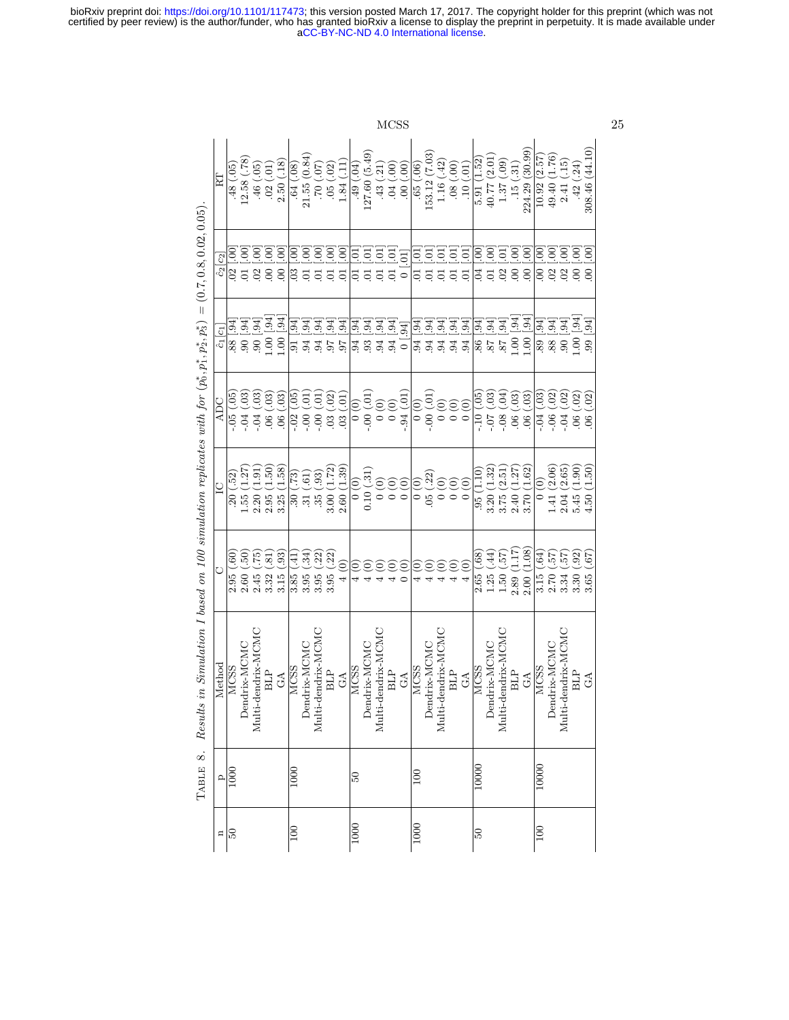<span id="page-24-0"></span>

|                                                                                                    |                                  |                                   |                |                                |                                        |                                   |                                |                          |                         |                       |                      |                                      |                                        |                     | <b>MCSS</b>                     |                                    |                                              |                           |                                       |                               |                                  |                                                    |                                        |                              |                                        |                          |                                |                        |                                     |                                   |                                  | 25 |
|----------------------------------------------------------------------------------------------------|----------------------------------|-----------------------------------|----------------|--------------------------------|----------------------------------------|-----------------------------------|--------------------------------|--------------------------|-------------------------|-----------------------|----------------------|--------------------------------------|----------------------------------------|---------------------|---------------------------------|------------------------------------|----------------------------------------------|---------------------------|---------------------------------------|-------------------------------|----------------------------------|----------------------------------------------------|----------------------------------------|------------------------------|----------------------------------------|--------------------------|--------------------------------|------------------------|-------------------------------------|-----------------------------------|----------------------------------|----|
|                                                                                                    | 臣                                | $\widetilde{6}$<br>$\frac{48}{5}$ | (82)<br>12.58( | .46(.05)                       | $\left($ . $01\right)$<br>.02(         | (31)<br>2.50(                     | .64(.08)                       | 21.55(0.84)              | (0.007)                 | (02)<br>05            | $\Xi$<br>1.84        | (0.04)                               | 127.60 (5.49)                          | .43(.21)            | $(00)$ $H0$ .                   | $(00.)$ 00.                        | .65(.06)                                     | (7.03)<br>153.12          | (42)<br>1.16(                         | $(00.)$ 80.                   | .10(0.01)                        | 5.91 (1.52)                                        | (2.01)<br>40.77                        | (60)<br>$1.37$               | $\Xi$<br>$-150$                        | (30.99)<br>224.29        | (2.57)<br>10.92                | (1.76)<br>49.40        | $\left(\frac{15}{1}\right)$<br>2.41 | $\approx$<br>$-42$                | 308.46 (44.10)                   |    |
| $=(0.7, 0.8, 0.02, 0.05)$                                                                          | $\hat{c}_2[c_2]$                 | $\odot$<br>$\frac{1}{2}$          | S              | S<br>$02$                      | $\widetilde{S}$<br>$\overline{0}$      | $\widetilde{O}$<br>$\overline{0}$ | S<br>$\approx$                 | S<br>$\overline{c}$      | S<br>$\overline{\circ}$ | $\ddot{\mathcal{S}}$  | S                    | ē<br>ā                               | ā<br>ā                                 | ē<br>$\overline{c}$ | $\Xi$<br>$\overline{0}$         | $\overline{[0]}$<br>$\overline{0}$ | ē<br>Ξ                                       | ē<br>$\overline{0}$       | ē<br>$\overline{0}$                   | 5.<br>$\overline{0}$          | $\overline{5}$<br>$\overline{0}$ | S<br>$\overline{0}$                                | $\ddot{\mathcal{S}}$<br>$\overline{0}$ | ā<br>$\overline{0}$          | $\rm 00$<br>$\rm{C}$                   | $60^{\circ}$<br>$\infty$ | $\mathbf{S}$<br>$\overline{0}$ | $\overline{S}$         | $\overline{O}$<br>3880              | $\ddot{\theta}$                   | $\overline{0}$<br>$\overline{0}$ |    |
|                                                                                                    | $\overline{c}$<br>$\overline{c}$ | $\left[16\right]$<br>88           | [.94]<br>$-90$ | $\overline{[.94]}$<br>$-90$    | .94<br>1.00                            | [.94]<br>1.00                     | $\ddot{9}$<br>5                | $\overline{54}$<br>94    | 94<br>94                | $\overline{54}$<br>26 | .94<br>67            | $\mathfrak{B}$<br>$.94\phantom{0}$   | [.94]<br>$\frac{1}{94}$                | .94                 | $\overline{5}$<br>94            | .94<br>$\overline{0}$ i            | $\overline{54}$<br>94                        | .94<br>94                 | $\overline{54}$<br>.94                | .94<br>.94                    | .94<br>94                        | $\ddot{94}$                                        | $\boxed{94}$<br>$-88$ $-8$             | $\overline{59}$              | .94<br>1.00                            | [.94]<br>001             | $\overline{59}$<br>89          | [.94]<br>.88           | $\overline{5}$<br>$-60$             | [.94]<br>1.00                     | [.94]<br>$\ddot{6}$              |    |
|                                                                                                    | ADC                              | $\widetilde{5}$<br>$-0.5$         | 03<br>$-04$    | $\left( 0.3\right)$<br>$-0.04$ | $\left( \frac{3}{2} \right)$<br>$\sim$ | $\overline{3}$<br>$\overline{0}$  | $\ddot{\circ}$<br>$-0.02$      | ā<br>$-0.00 -$           | 3.<br>$-0.00$           | (02)<br>03            | $\overline{5}$<br>03 | $\begin{matrix} 0 \\ 0 \end{matrix}$ | (0.01)<br>$-0.00$                      |                     |                                 | $-94(01)$                          | $\begin{matrix} 0 & 0 \\ 0 & 0 \end{matrix}$ | (0.01)<br>$-0.00$         | $\widehat{\in}$<br>$\overline{\circ}$ | $\odot$<br>$\overline{\circ}$ | 0(0)                             | $\widetilde{\mathbb{S}}$<br>$-10($                 | $\overline{03}$<br>$\mathcal{L}0$ .    | 6 <sup>1</sup><br>$-0.8$     | $\left( 3 \right)$<br>$\overline{0}$ . | .03<br>$\infty$          | $\frac{3}{2}$<br>$-9.$         | .02<br>$-0.06$         | .02<br>$-0.04$                      | $\overline{02}$<br>$\ddot{\circ}$ | 02<br>$\frac{8}{2}$              |    |
|                                                                                                    | $\overline{C}$                   | $\sqrt{52}$<br>$\overline{20}$    | 1.27<br>1.55   | 1.91<br>2.20                   | 1.50<br>2.95                           | 1.58<br>3.25                      | $\tilde{c}$<br>$\overline{30}$ | (50)<br>.31 <sub>1</sub> | (33)<br>3.000           | (1.72)                | (1.39)<br>2.60(      | $\frac{1}{2}$                        | $\left( \frac{31}{2} \right)$<br>0.10( |                     | $\frac{1}{20}$<br>$\widehat{c}$ | $\frac{1}{0}$                      | $\widehat{\circ}$<br>$\circ$                 | (.22)<br>.05 <sub>0</sub> | ව<br>$\circ$                          | 0(0)                          | $\overline{0}$ $\overline{0}$    | .95(1.10)                                          | (1.32)<br>3.20                         | 2.51<br>3.75                 | 1.27<br>2.40                           | (1.62)<br>3.70           | $\frac{1}{2}$                  | 1.41(2.06)             | 2.04(2.65)                          | (1.90)<br>5.45(                   | (1.50)<br>4.50                   |    |
|                                                                                                    | O                                | $\ddot{\phantom{0}}$<br>2.95      | 50<br>2.60     | 5.75<br>2.45                   | $\overline{81}$<br>3.32                | (93)<br>3.15                      | 4<br>3.85                      | $\widetilde{34}$<br>3.95 | 22<br>3.95              | (22)<br>3.95          | ô<br>4               | O                                    | Õ                                      | Θ                   | $\widetilde{\Theta}$            | ê                                  | $\bar{\bullet}$                              | $\overline{\bullet}$      | $\widehat{\circ}$                     |                               | ම                                | $\overset{\circ}{\phantom{0}}\!\!\!\!\!8$<br>2.65( | $\widehat{H}$<br>1.25                  | $\frac{25}{2}$ .<br>$1.50\,$ | ZT I<br>2.89                           | (1.08)<br>2.00           | $\widetilde{g}$<br>3.15        | $\frac{25}{2}$<br>2.70 | $\frac{25}{2}$<br>3.34              | (92)<br>3.30                      | 79.<br>3.65                      |    |
| Results in Simulation I based on 100 simulation replicates with for $(p_0^*, p_1^*, p_2^*, p_3^*)$ | Method                           | <b>MCSS</b>                       | Dendrix-MCMC   | Multi-dendrix-MCMC             | <b>BLP</b>                             | $G\Lambda$                        | <b>MCSS</b>                    | Dendrix-MCMC             | Multi-dendrix-MCMC      | <b>BLP</b>            | GA                   | MCSS                                 | Dendrix-MCMC                           | Multi-dendrix-MCMC  | <b>BLP</b>                      | $G\Lambda$                         | <b>MCSS</b>                                  | Dendrix-MCMC              | Multi-dendrix-MCMC                    | <b>BLP</b>                    | $G\Lambda$                       | <b>MCSS</b>                                        | Dendrix-MCMC                           | Multi-dendrix-MCMC           | <b>BLP</b>                             | $\rm GA$                 | <b>MCSS</b>                    | Dendrix-MCMC           | Multi-dendrix-MCMC                  | <b>BLP</b>                        | $G\Lambda$                       |    |
| TABLE 8.                                                                                           |                                  | $\frac{p}{1000}$                  |                |                                |                                        |                                   | 1000                           |                          |                         |                       |                      | $\overline{50}$                      |                                        |                     |                                 |                                    | $\overline{0}$                               |                           |                                       |                               |                                  | 10000                                              |                                        |                              |                                        |                          | 10000                          |                        |                                     |                                   |                                  |    |
|                                                                                                    | $\Xi$                            | $\frac{6}{2}$                     |                |                                |                                        |                                   | $\overline{100}$               |                          |                         |                       |                      | 1000                                 |                                        |                     |                                 |                                    | 1000                                         |                           |                                       |                               |                                  | $50\,$                                             |                                        |                              |                                        |                          | $\boxed{00}$                   |                        |                                     |                                   |                                  |    |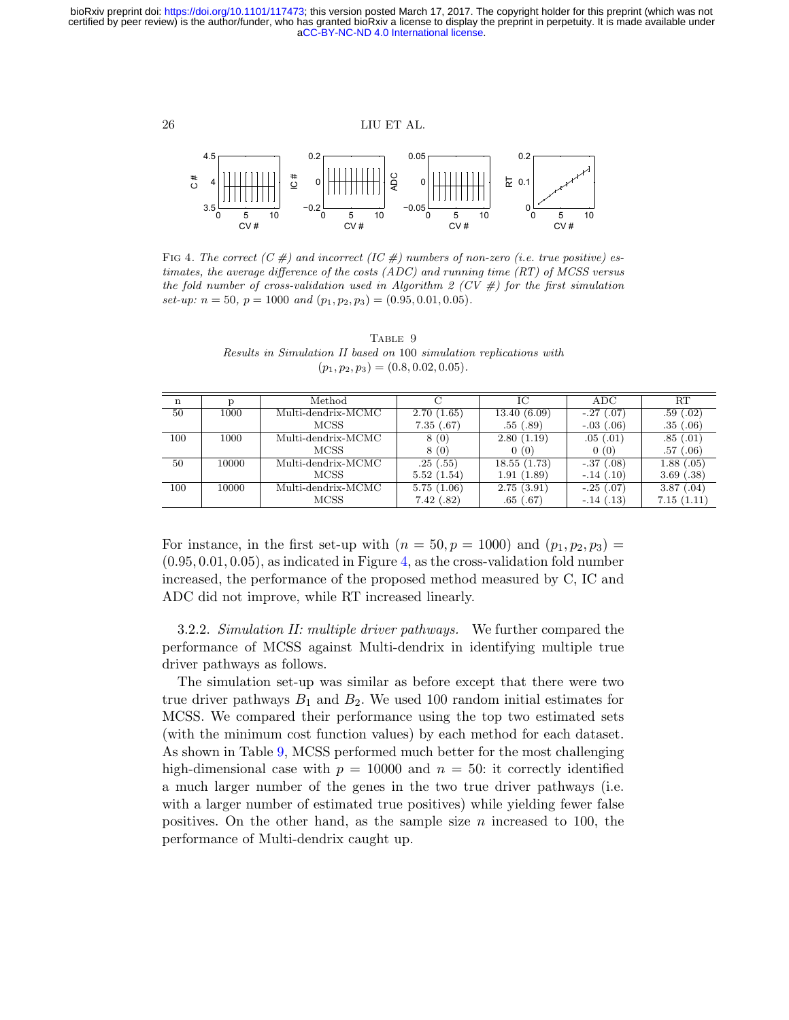

<span id="page-25-0"></span>FIG 4. The correct  $(C \#)$  and incorrect  $(IC \#)$  numbers of non-zero (i.e. true positive) estimates, the average difference of the costs  $(ADC)$  and running time  $(RT)$  of MCSS versus the fold number of cross-validation used in Algorithm 2 (CV  $#$ ) for the first simulation set-up:  $n = 50$ ,  $p = 1000$  and  $(p_1, p_2, p_3) = (0.95, 0.01, 0.05)$ .

TABLE 9 Results in Simulation II based on 100 simulation replications with  $(p_1, p_2, p_3) = (0.8, 0.02, 0.05).$ 

<span id="page-25-1"></span>

| n   |       | Method             |            | Ю           | ADC         | RТ             |
|-----|-------|--------------------|------------|-------------|-------------|----------------|
| 50  | 1000  | Multi-dendrix-MCMC | 2.70(1.65) | 13.40(6.09) | $-.27(.07)$ | .59(.02)       |
|     |       | MCSS               | 7.35(.67)  | .55(.89)    | $-.03(.06)$ | .35(.06)       |
| 100 | 1000  | Multi-dendrix-MCMC | 8(0)       | 2.80(1.19)  | .05(0.01)   | .85(.01)       |
|     |       | <b>MCSS</b>        | 8(0)       | 0(0)        | 0(0)        | (.06)<br>.57   |
| 50  | 10000 | Multi-dendrix-MCMC | .25(.55)   | 18.55(1.73) | $-.37(.08)$ | 1.88(.05)      |
|     |       | <b>MCSS</b>        | 5.52(1.54) | 1.91(1.89)  | $-.14(.10)$ | 3.69(0.38)     |
| 100 | 10000 | Multi-dendrix-MCMC | 5.75(1.06) | 2.75(3.91)  | $-.25(.07)$ | 3.87<br>(0.04) |
|     |       | MCSS               | 7.42(.82)  | .65(.67)    | $-.14(.13)$ | 7.15(1.11)     |

For instance, in the first set-up with  $(n = 50, p = 1000)$  and  $(p_1, p_2, p_3)$  $(0.95, 0.01, 0.05)$ , as indicated in Figure [4,](#page-25-0) as the cross-validation fold number increased, the performance of the proposed method measured by C, IC and ADC did not improve, while RT increased linearly.

3.2.2. Simulation II: multiple driver pathways. We further compared the performance of MCSS against Multi-dendrix in identifying multiple true driver pathways as follows.

The simulation set-up was similar as before except that there were two true driver pathways  $B_1$  and  $B_2$ . We used 100 random initial estimates for MCSS. We compared their performance using the top two estimated sets (with the minimum cost function values) by each method for each dataset. As shown in Table [9,](#page-25-1) MCSS performed much better for the most challenging high-dimensional case with  $p = 10000$  and  $n = 50$ : it correctly identified a much larger number of the genes in the two true driver pathways (i.e. with a larger number of estimated true positives) while yielding fewer false positives. On the other hand, as the sample size  $n$  increased to 100, the performance of Multi-dendrix caught up.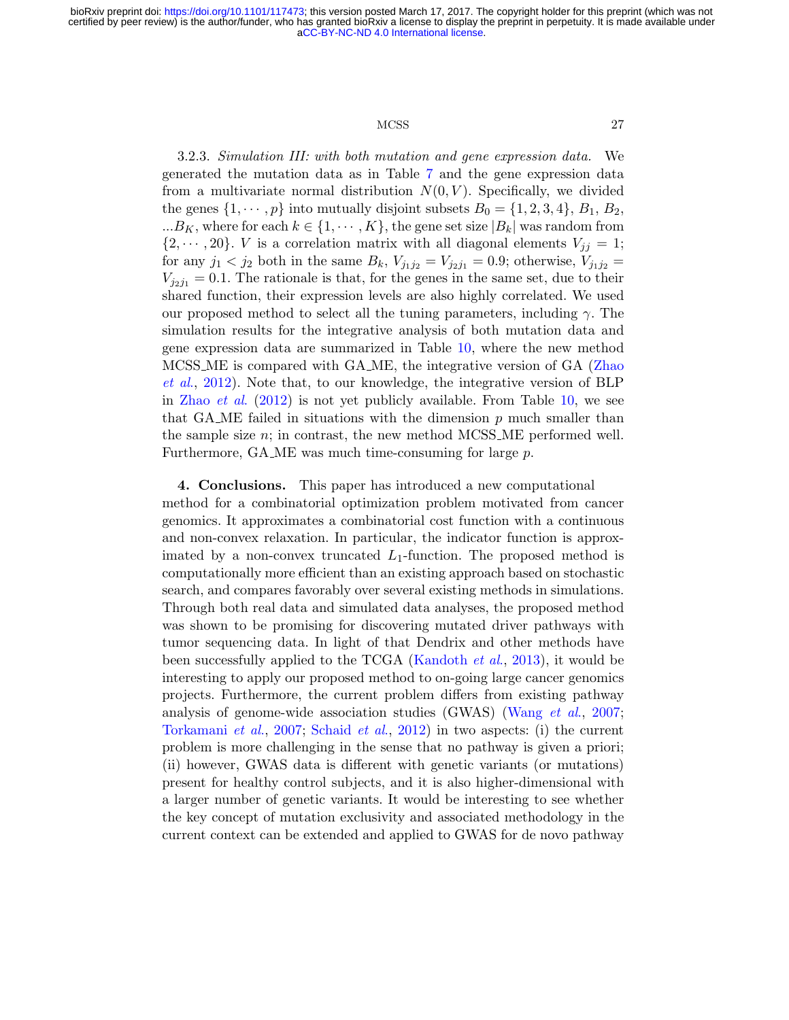## MCSS 27

3.2.3. Simulation III: with both mutation and gene expression data. We generated the mutation data as in Table [7](#page-22-0) and the gene expression data from a multivariate normal distribution  $N(0, V)$ . Specifically, we divided the genes  $\{1, \dots, p\}$  into mutually disjoint subsets  $B_0 = \{1, 2, 3, 4\}, B_1, B_2,$  $...B_K$ , where for each  $k \in \{1, \dots, K\}$ , the gene set size  $|B_k|$  was random from  $\{2, \dots, 20\}$ . *V* is a correlation matrix with all diagonal elements  $V_{jj} = 1$ ; for any  $j_1 < j_2$  both in the same  $B_k$ ,  $V_{j_1j_2} = V_{j_2j_1} = 0.9$ ; otherwise,  $V_{j_1j_2} =$  $V_{j_2j_1} = 0.1$ . The rationale is that, for the genes in the same set, due to their shared function, their expression levels are also highly correlated. We used our proposed method to select all the tuning parameters, including  $\gamma$ . The simulation results for the integrative analysis of both mutation data and gene expression data are summarized in Table [10,](#page-27-0) where the new method MCSS ME is compared with GA ME, the integrative version of GA [\(Zhao](#page-34-2) [et al](#page-34-2)., [2012\)](#page-34-2). Note that, to our knowledge, the integrative version of BLP in [Zhao](#page-34-2) *et al.* [\(2012\)](#page-34-2) is not yet publicly available. From Table [10,](#page-27-0) we see that GA ME failed in situations with the dimension  $p$  much smaller than the sample size  $n$ ; in contrast, the new method MCSS ME performed well. Furthermore, GA ME was much time-consuming for large p.

4. Conclusions. This paper has introduced a new computational method for a combinatorial optimization problem motivated from cancer genomics. It approximates a combinatorial cost function with a continuous and non-convex relaxation. In particular, the indicator function is approximated by a non-convex truncated  $L_1$ -function. The proposed method is computationally more efficient than an existing approach based on stochastic search, and compares favorably over several existing methods in simulations. Through both real data and simulated data analyses, the proposed method was shown to be promising for discovering mutated driver pathways with tumor sequencing data. In light of that Dendrix and other methods have been successfully applied to the TCGA [\(Kandoth](#page-33-13) et al., [2013\)](#page-33-13), it would be interesting to apply our proposed method to on-going large cancer genomics projects. Furthermore, the current problem differs from existing pathway analysis of genome-wide association studies (GWAS) [\(Wang](#page-34-6) et al., [2007;](#page-34-6) [Torkamani](#page-34-7) et al., [2007;](#page-34-7) [Schaid](#page-33-14) et al., [2012\)](#page-33-14) in two aspects: (i) the current problem is more challenging in the sense that no pathway is given a priori; (ii) however, GWAS data is different with genetic variants (or mutations) present for healthy control subjects, and it is also higher-dimensional with a larger number of genetic variants. It would be interesting to see whether the key concept of mutation exclusivity and associated methodology in the current context can be extended and applied to GWAS for de novo pathway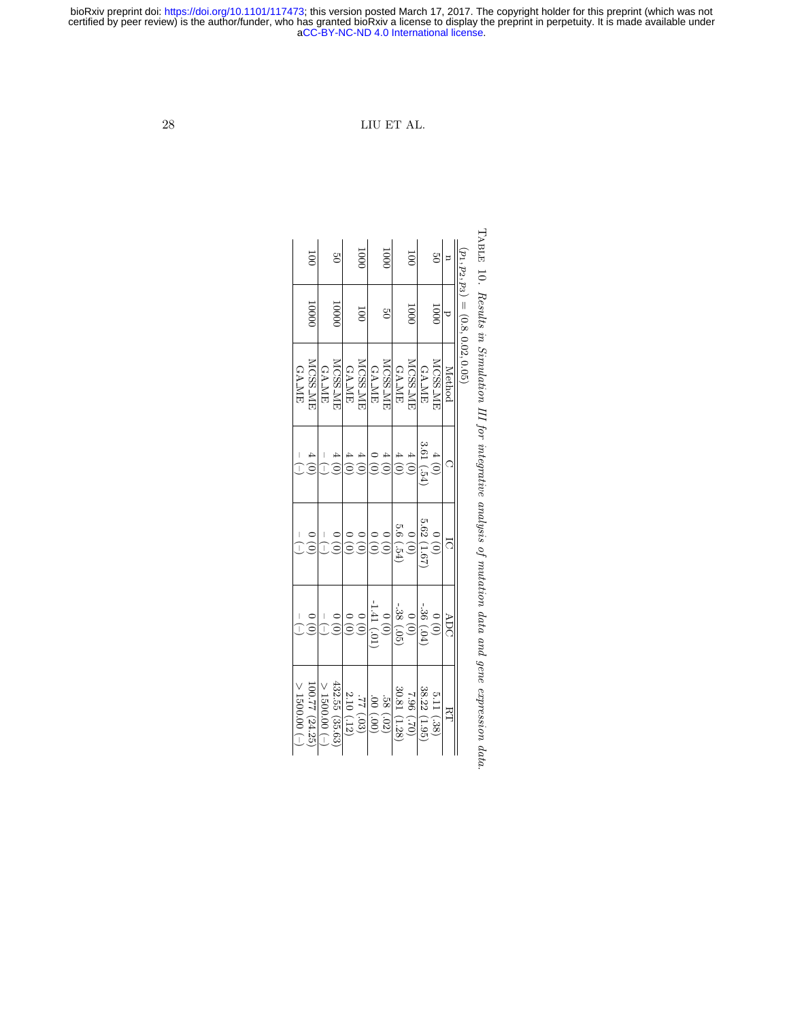<span id="page-27-0"></span> $28$   $\hfill$  LIU ET AL.

|                                        | 1000<br><b>MCSS_ME</b> | aCC-BY<br><b>GA_ME</b><br>$\overline{\phantom{a}}$ | <b>MCSS_ME</b>                       | <b>GA_ME</b>                         | $\overline{000}$<br>Ξ<br><b>MCSS_ME</b> | -ND 4.0<br>LIU<br><b>GA_ME</b> | 1001<br>š<br><b>MCSS_ME</b>                    | ET AL.<br><b>GA_ME</b>                                                                   | 0001<br><b>MCSS_MI</b> | <b>GA_ME</b><br>3.61(.54) | $^{12}$<br>$\overline{0001}$<br><b>MCSS_ME</b> | Method<br>C | International license.<br>$(p_1, p_2, p_3) = (0.8, 0.02, 0.05)$ | $N_{\rm{RDE}}$ 10. Results in Simulation III for integrative analysis of mutation |
|----------------------------------------|------------------------|----------------------------------------------------|--------------------------------------|--------------------------------------|-----------------------------------------|--------------------------------|------------------------------------------------|------------------------------------------------------------------------------------------|------------------------|---------------------------|------------------------------------------------|-------------|-----------------------------------------------------------------|-----------------------------------------------------------------------------------|
| <b>GA_ME</b>                           |                        |                                                    |                                      |                                      |                                         |                                |                                                |                                                                                          |                        |                           |                                                |             |                                                                 |                                                                                   |
|                                        | $\frac{1}{1}$          |                                                    | $\frac{1}{2}$                        |                                      | $\frac{1}{2}$                           |                                | $\begin{matrix} 0 \\ 0 \end{matrix}$           | 5.6(.54)                                                                                 | $\frac{0}{0}$          | 5.62 (1.67                |                                                |             |                                                                 |                                                                                   |
|                                        |                        | $\overline{1}$<br>$\frac{1}{1}$                    | $\begin{matrix} 0 \\ 0 \end{matrix}$ | $\begin{matrix} 0 \\ 0 \end{matrix}$ | $\begin{matrix} 0 \\ 0 \end{matrix}$    | 1.41(0.01)                     | $\begin{smallmatrix}0&0\ 0&0\end{smallmatrix}$ | $-38(.05)$                                                                               | (0)                    | $-36(04)$                 | $\begin{matrix} 0 \\ 0 \end{matrix}$           | ā<br>ADC    |                                                                 |                                                                                   |
| $>$ 1500.00 $\left(\frac{1}{2}\right)$ | 100.77 (24.25)         | $-$ 00.00.00 $\le$                                 | 432.55 (35.63)                       | 2.10(.12)                            | (80) 22                                 | (00') 00'                      | .58(.02)                                       | $\frac{38.22}{7.96} \frac{(1.95)}{(7.70)}$<br>$\frac{7.96}{30.81} \frac{(1.28)}{(1.28)}$ |                        |                           | 5.11 (.38)                                     | EТ          |                                                                 | $data$ and $gene$ $expression$ $\epsilon$                                         |

Table TABLE 10. Results in Simulation III for integrative analysis of mutation data and gene expression data . Results in Simulation III for integrative analysis of mutation data and gene expression data.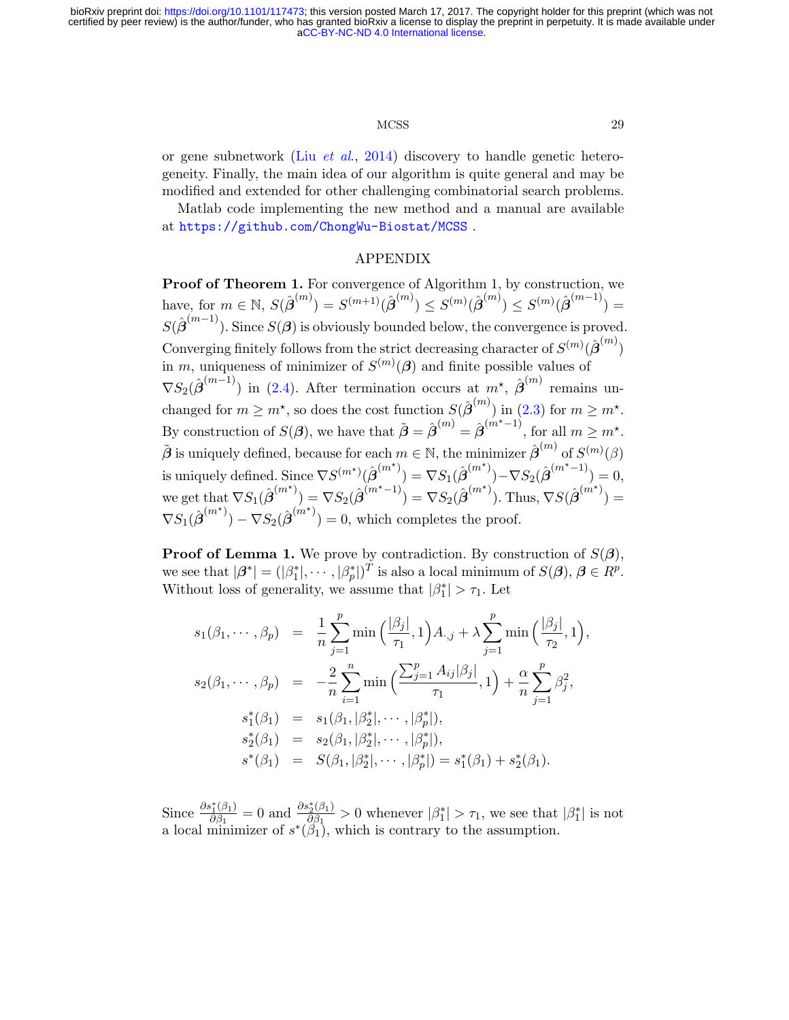# MCSS 29

or gene subnetwork (Liu [et al](#page-33-15)., [2014\)](#page-33-15) discovery to handle genetic heterogeneity. Finally, the main idea of our algorithm is quite general and may be modified and extended for other challenging combinatorial search problems.

Matlab code implementing the new method and a manual are available at <https://github.com/ChongWu-Biostat/MCSS> .

# APPENDIX

Proof of Theorem 1. For convergence of Algorithm 1, by construction, we have, for  $m \in \mathbb{N}$ ,  $S(\hat{\boldsymbol{\beta}}^{(m)}) = S^{(m+1)}(\hat{\boldsymbol{\beta}}^{(m)}) \le S^{(m)}(\hat{\boldsymbol{\beta}}^{(m)}) \le S^{(m)}(\hat{\boldsymbol{\beta}}^{(m-1)}) =$  $S(\hat{\boldsymbol{\beta}}^{(m-1)})$ . Since  $S(\boldsymbol{\beta})$  is obviously bounded below, the convergence is proved. Converging finitely follows from the strict decreasing character of  $S^{(m)}(\hat{\boldsymbol{\beta}}^{(m)})$ in m, uniqueness of minimizer of  $S^{(m)}(\beta)$  and finite possible values of  $\nabla S_2(\hat{\boldsymbol{\beta}}^{(m-1)})$  in [\(2.4\)](#page-4-0). After termination occurs at  $m^*$ ,  $\hat{\boldsymbol{\beta}}^{(m)}$  remains unchanged for  $m \geq m^*$ , so does the cost function  $S(\hat{\boldsymbol{\beta}}^{(m)})$  in [\(2.3\)](#page-3-1) for  $m \geq m^*$ . By construction of  $S(\boldsymbol{\beta})$ , we have that  $\tilde{\boldsymbol{\beta}} = \hat{\boldsymbol{\beta}}^{(m)} = \hat{\boldsymbol{\beta}}^{(m^* - 1)}$ , for all  $m \geq m^*$ .  $\tilde{\boldsymbol{\beta}}$  is uniquely defined, because for each  $m \in \mathbb{N}$ , the minimizer  $\hat{\boldsymbol{\beta}}^{(m)}$  of  $S^{(m)}(\beta)$ is uniquely defined. Since  $\nabla S^{(m^\star)}(\hat{\boldsymbol{\beta}}^{(m^\star)}) = \nabla S_1(\hat{\boldsymbol{\beta}}^{(m^\star)}) - \nabla S_2(\hat{\boldsymbol{\beta}}^{(m^\star-1)}) = 0,$ we get that  $\nabla S_1(\hat{\boldsymbol{\beta}}^{(m^*)}) = \nabla S_2(\hat{\boldsymbol{\beta}}^{(m^*-1)}) = \nabla S_2(\hat{\boldsymbol{\beta}}^{(m^*)})$ . Thus,  $\nabla S(\hat{\boldsymbol{\beta}}^{(m^*)}) =$  $\nabla S_1(\hat{\boldsymbol{\beta}}^{(m^*)}) - \nabla S_2(\hat{\boldsymbol{\beta}}^{(m^*)}) = 0$ , which completes the proof.

**Proof of Lemma 1.** We prove by contradiction. By construction of  $S(\beta)$ , we see that  $|\beta^*| = (|\beta_1^*|, \cdots, |\beta_p^*|)^T$  is also a local minimum of  $S(\beta), \beta \in \mathbb{R}^p$ . Without loss of generality, we assume that  $|\beta_1^*| > \tau_1$ . Let

$$
s_1(\beta_1, \dots, \beta_p) = \frac{1}{n} \sum_{j=1}^p \min\left(\frac{|\beta_j|}{\tau_1}, 1\right) A_{\cdot,j} + \lambda \sum_{j=1}^p \min\left(\frac{|\beta_j|}{\tau_2}, 1\right),
$$
  
\n
$$
s_2(\beta_1, \dots, \beta_p) = -\frac{2}{n} \sum_{i=1}^n \min\left(\frac{\sum_{j=1}^p A_{ij}|\beta_j|}{\tau_1}, 1\right) + \frac{\alpha}{n} \sum_{j=1}^p \beta_j^2,
$$
  
\n
$$
s_1^*(\beta_1) = s_1(\beta_1, |\beta_2^*|, \dots, |\beta_p^*|),
$$
  
\n
$$
s_2^*(\beta_1) = s_2(\beta_1, |\beta_2^*|, \dots, |\beta_p^*|),
$$
  
\n
$$
s^*(\beta_1) = S(\beta_1, |\beta_2^*|, \dots, |\beta_p^*|) = s_1^*(\beta_1) + s_2^*(\beta_1).
$$

Since  $\frac{\partial s_1^*(\beta_1)}{\partial \beta_1}$  $\frac{\partial s_1^*(\beta_1)}{\partial \beta_1} = 0$  and  $\frac{\partial s_2^*(\beta_1)}{\partial \beta_1}$  $\frac{\partial \hat{\beta}_1(\beta_1)}{\partial \beta_1} > 0$  whenever  $|\beta_1^*| > \tau_1$ , we see that  $|\beta_1^*|$  is not a local minimizer of  $s^*(\tilde{\beta}_1)$ , which is contrary to the assumption.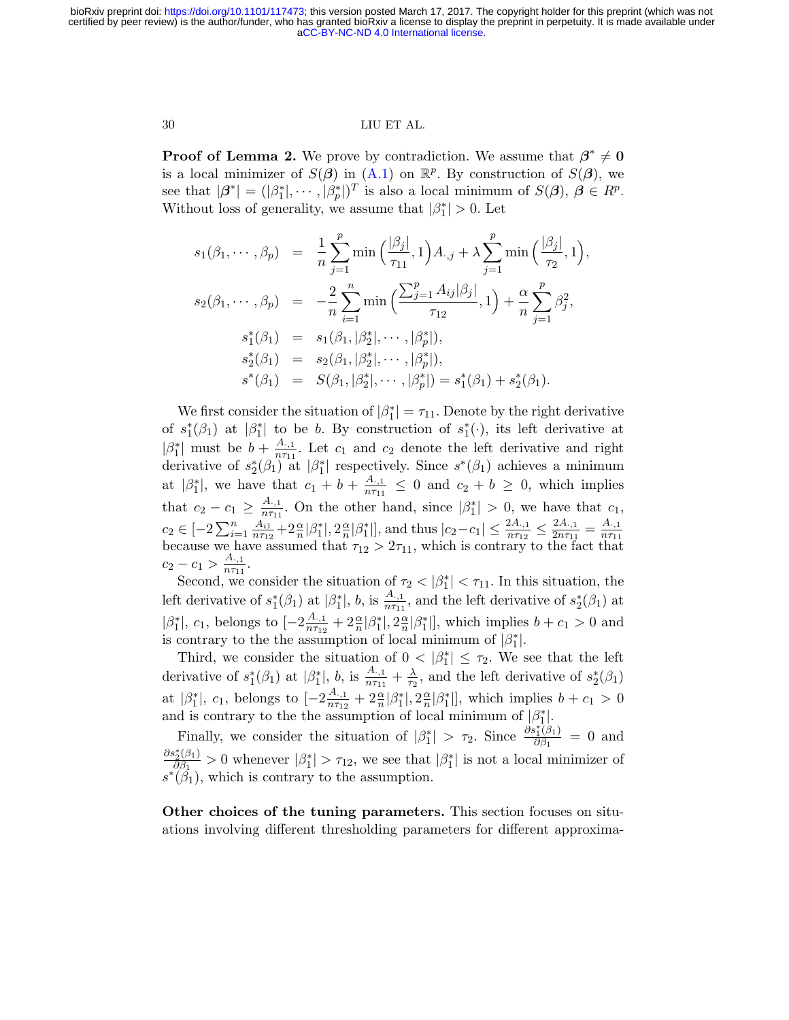#### 30 LIU ET AL.

**Proof of Lemma 2.** We prove by contradiction. We assume that  $\beta^* \neq 0$ is a local minimizer of  $S(\beta)$  in  $(A.1)$  on  $\mathbb{R}^p$ . By construction of  $S(\beta)$ , we see that  $|\beta^*| = (|\beta_1^*|, \dots, |\beta_p^*|)^T$  is also a local minimum of  $S(\beta), \beta \in \mathbb{R}^p$ . Without loss of generality, we assume that  $|\beta_1^*| > 0$ . Let

$$
s_1(\beta_1, \dots, \beta_p) = \frac{1}{n} \sum_{j=1}^p \min\left(\frac{|\beta_j|}{\tau_{11}}, 1\right) A_{\cdot,j} + \lambda \sum_{j=1}^p \min\left(\frac{|\beta_j|}{\tau_2}, 1\right),
$$
  
\n
$$
s_2(\beta_1, \dots, \beta_p) = -\frac{2}{n} \sum_{i=1}^n \min\left(\frac{\sum_{j=1}^p A_{ij}|\beta_j|}{\tau_{12}}, 1\right) + \frac{\alpha}{n} \sum_{j=1}^p \beta_j^2,
$$
  
\n
$$
s_1^*(\beta_1) = s_1(\beta_1, |\beta_2^*|, \dots, |\beta_p^*|),
$$
  
\n
$$
s_2^*(\beta_1) = s_2(\beta_1, |\beta_2^*|, \dots, |\beta_p^*|),
$$
  
\n
$$
s^*(\beta_1) = S(\beta_1, |\beta_2^*|, \dots, |\beta_p^*|) = s_1^*(\beta_1) + s_2^*(\beta_1).
$$

We first consider the situation of  $|\beta_1^*| = \tau_{11}$ . Denote by the right derivative of  $s_1^*(\beta_1)$  at  $|\beta_1^*|$  to be b. By construction of  $s_1^*(\cdot)$ , its left derivative at  $|\beta_1^*|$  must be  $b + \frac{A_{\cdot,1}}{n\tau_{11}}$  $\frac{A_{1,1}}{n\tau_{11}}$ . Let  $c_1$  and  $c_2$  denote the left derivative and right derivative of  $s_2^*(\beta_1)$  at  $|\beta_1^*|$  respectively. Since  $s^*(\beta_1)$  achieves a minimum at  $|\beta_1^*|$ , we have that  $c_1 + b + \frac{A_{\cdot,1}}{n\tau_{11}}$  $\frac{A_{1,1}}{n\tau_{11}} \leq 0$  and  $c_2 + b \geq 0$ , which implies that  $c_2 - c_1 \geq \frac{A_{\cdot,1}}{n\tau_{11}}$  $\frac{A_{.1}}{n\tau_{11}}$ . On the other hand, since  $|\beta_1^*| > 0$ , we have that  $c_1$ ,  $c_2 \in [-2\sum_{i=1}^n \frac{A_{i1}}{n \tau_{12}}]$  $\frac{A_{i1}}{n\tau_{12}}+2\frac{\alpha}{n}|\beta_1^*|,2\frac{\alpha}{n}$  $\frac{\alpha}{n}|\beta_1^*|]$ , and thus  $|c_2-c_1| \leq \frac{2A_{\cdot,1}}{n\tau_{12}} \leq \frac{2A_{\cdot,1}}{2n\tau_{11}}$  $\frac{2A_{\cdot,1}}{2n\tau_{11}}=\frac{A_{\cdot,1}}{n\tau_{11}}$ because we have assumed that  $\tau_{12} > 2\tau_{11}$ , which is contrary to the fact that  $\tau_{12} > 2\tau_{11}$ , which is contrary to the fact that  $c_2 - c_1 > \frac{A_{\cdot,1}}{n\tau_{11}}$  $\frac{A_{\cdot,1}}{n\tau_{11}}$ .

Second, we consider the situation of  $\tau_2 < |\beta_1^*| < \tau_{11}$ . In this situation, the left derivative of  $s_1^*(\beta_1)$  at  $|\beta_1^*|$ , b, is  $\frac{A_{\cdot,1}}{n\tau_{11}}$ , and the left derivative of  $s_2^*(\beta_1)$  at  $|\beta_1^*|, c_1$ , belongs to  $[-2\frac{A_{\cdot,1}}{n\tau_{12}}]$  $\frac{A_{\cdot,1}}{n\tau_{12}}+2\frac{\alpha}{n}|\beta_1^*|,2\frac{\alpha}{n}$  $\frac{\alpha}{n}|\beta_1^*|$ , which implies  $b + c_1 > 0$  and is contrary to the the assumption of local minimum of  $|\beta_1^*|$ .

Third, we consider the situation of  $0 < |\beta_1^*| \leq \tau_2$ . We see that the left derivative of  $s_1^*(\beta_1)$  at  $|\beta_1^*|$ , b, is  $\frac{A_{\cdot,1}}{n\tau_{11}} + \frac{\lambda}{\tau_2}$  $\frac{\lambda}{\tau_2}$ , and the left derivative of  $s_2^*(\beta_1)$ at  $|\beta_1^*|$ ,  $c_1$ , belongs to  $\left[-2\frac{A_{\cdot,1}}{n\tau_{12}}\right]$  $\frac{A_{\cdot,1}}{n\tau_{12}}+2\frac{\alpha}{n}|\beta_1^*|,2\frac{\alpha}{n}$  $\frac{\alpha}{n}|\beta_1^*|$ , which implies  $b + c_1 > 0$ and is contrary to the the assumption of local minimum of  $(\beta_1^*).$ 

Finally, we consider the situation of  $|\beta_1^*| > \tau_2$ . Since  $\frac{\partial s_1^*(\beta_1)}{\partial \beta_1}$  $\frac{\partial^i_1(\rho_1)}{\partial \beta_1} = 0$  and  $\partial s_2^*(\beta_1)$  $\frac{\partial \hat{\beta}_1(\beta_1)}{\partial \beta_1} > 0$  whenever  $|\beta_1^*| > \tau_{12}$ , we see that  $|\beta_1^*|$  is not a local minimizer of  $s^*(\hat{\beta}_1)$ , which is contrary to the assumption.

Other choices of the tuning parameters. This section focuses on situations involving different thresholding parameters for different approxima-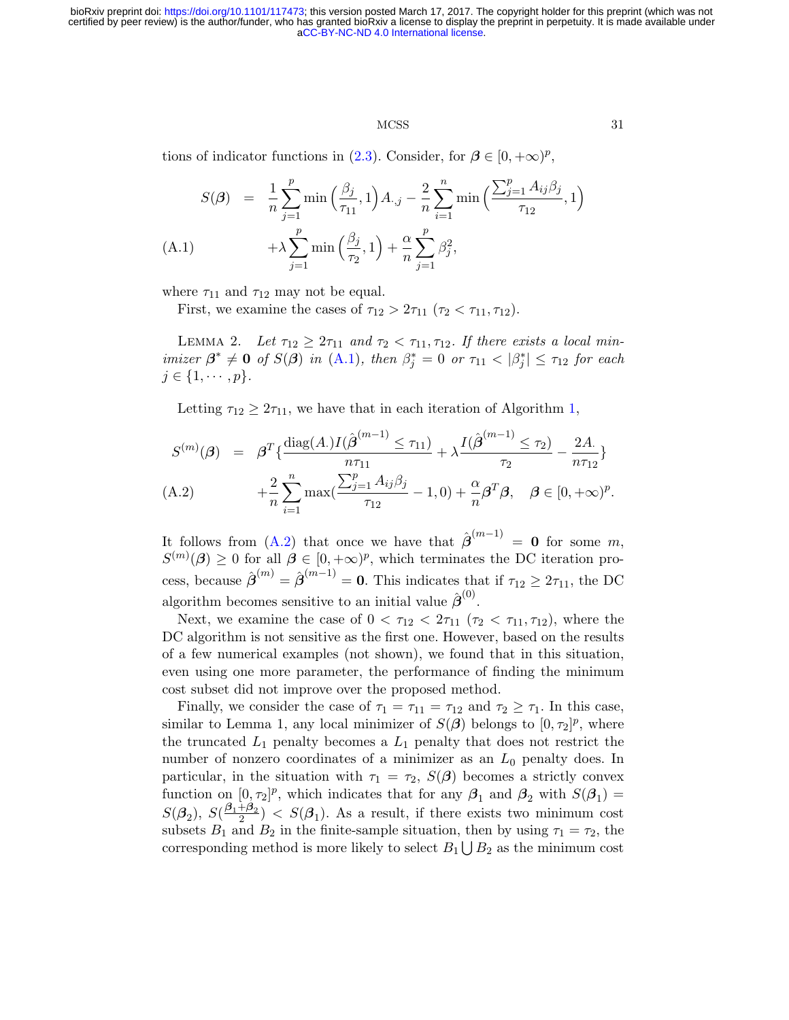#### MCSS 31

tions of indicator functions in [\(2.3\)](#page-3-1). Consider, for  $\beta \in [0, +\infty)^p$ ,

<span id="page-30-0"></span>
$$
S(\boldsymbol{\beta}) = \frac{1}{n} \sum_{j=1}^{p} \min\left(\frac{\beta_{j}}{\tau_{11}}, 1\right) A_{\cdot,j} - \frac{2}{n} \sum_{i=1}^{n} \min\left(\frac{\sum_{j=1}^{p} A_{ij} \beta_{j}}{\tau_{12}}, 1\right) + \lambda \sum_{j=1}^{p} \min\left(\frac{\beta_{j}}{\tau_{2}}, 1\right) + \frac{\alpha}{n} \sum_{j=1}^{p} \beta_{j}^{2},
$$
\n(A.1)

where  $\tau_{11}$  and  $\tau_{12}$  may not be equal.

First, we examine the cases of  $\tau_{12} > 2\tau_{11}$  ( $\tau_2 < \tau_{11}, \tau_{12}$ ).

LEMMA 2. Let  $\tau_{12} \geq 2\tau_{11}$  and  $\tau_2 < \tau_{11}, \tau_{12}$ . If there exists a local minimizer  $\beta^* \neq 0$  of  $S(\beta)$  in [\(A.1\)](#page-30-0), then  $\beta_j^* = 0$  or  $\tau_{11} < |\beta_j^*| \leq \tau_{12}$  for each  $j \in \{1, \cdots, p\}.$ 

Letting  $\tau_{12} \geq 2\tau_{11}$ , we have that in each iteration of Algorithm [1,](#page-4-1)

<span id="page-30-1"></span>
$$
S^{(m)}(\boldsymbol{\beta}) = \boldsymbol{\beta}^T \{ \frac{\text{diag}(A)I(\hat{\boldsymbol{\beta}}^{(m-1)} \leq \tau_{11})}{n\tau_{11}} + \lambda \frac{I(\hat{\boldsymbol{\beta}}^{(m-1)} \leq \tau_{2})}{\tau_{2}} - \frac{2A}{n\tau_{12}} \}
$$

(A.2) 
$$
+\frac{2}{n}\sum_{i=1}^{n}\max(\frac{\sum_{j=1}^{p}A_{ij}\beta_{j}}{\tau_{12}}-1,0)+\frac{\alpha}{n}\beta^{T}\beta, \quad \beta \in [0,+\infty)^{p}.
$$

It follows from [\(A.2\)](#page-30-1) that once we have that  $\hat{\boldsymbol{\beta}}^{(m-1)} = \mathbf{0}$  for some m,  $S^{(m)}(\beta) \geq 0$  for all  $\beta \in [0, +\infty)^p$ , which terminates the DC iteration process, because  $\hat{\boldsymbol{\beta}}^{(m)} = \hat{\boldsymbol{\beta}}^{(m-1)} = \mathbf{0}$ . This indicates that if  $\tau_{12} \geq 2\tau_{11}$ , the DC algorithm becomes sensitive to an initial value  $\hat{\boldsymbol{\beta}}^{(0)}$ .

Next, we examine the case of  $0 < \tau_{12} < 2\tau_{11}$  ( $\tau_2 < \tau_{11}, \tau_{12}$ ), where the DC algorithm is not sensitive as the first one. However, based on the results of a few numerical examples (not shown), we found that in this situation, even using one more parameter, the performance of finding the minimum cost subset did not improve over the proposed method.

Finally, we consider the case of  $\tau_1 = \tau_{11} = \tau_{12}$  and  $\tau_2 \geq \tau_1$ . In this case, similar to Lemma 1, any local minimizer of  $S(\beta)$  belongs to  $[0, \tau_2]^p$ , where the truncated  $L_1$  penalty becomes a  $L_1$  penalty that does not restrict the number of nonzero coordinates of a minimizer as an  $L_0$  penalty does. In particular, in the situation with  $\tau_1 = \tau_2$ ,  $S(\beta)$  becomes a strictly convex function on  $[0, \tau_2]^p$ , which indicates that for any  $\beta_1$  and  $\beta_2$  with  $S(\beta_1)$  =  $S(\mathcal{B}_2), S(\frac{\beta_1+\beta_2}{2}) < S(\mathcal{B}_1)$ . As a result, if there exists two minimum cost subsets  $B_1$  and  $B_2$  in the finite-sample situation, then by using  $\tau_1 = \tau_2$ , the corresponding method is more likely to select  $B_1 \bigcup B_2$  as the minimum cost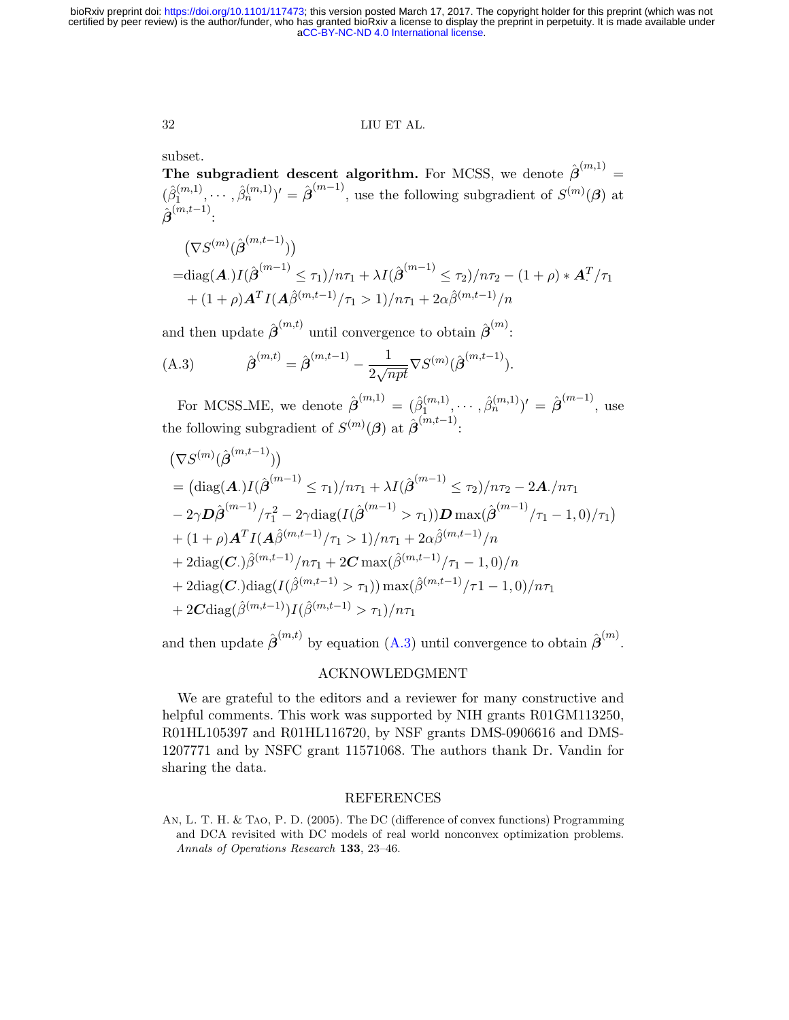# 32 LIU ET AL.

subset.

The subgradient descent algorithm. For MCSS, we denote  $\hat{\boldsymbol{\beta}}^{(m,1)}$  =  $(\hat{\beta}_1^{(m,1)}$  $(1^{(m,1)}, \cdots, \hat{\beta}_n^{(m,1)})' = \hat{\boldsymbol{\beta}}^{(m-1)}$ , use the following subgradient of  $S^{(m)}(\boldsymbol{\beta})$  at  $\hat{\boldsymbol{\beta}}^{(m,t-1)}$  :

$$
\begin{aligned} & \left( \nabla S^{(m)}(\hat{\boldsymbol{\beta}}^{(m,t-1)}) \right) \\ &= \text{diag}(\mathbf{A}) I(\hat{\boldsymbol{\beta}}^{(m-1)} \leq \tau_1) / n\tau_1 + \lambda I(\hat{\boldsymbol{\beta}}^{(m-1)} \leq \tau_2) / n\tau_2 - (1+\rho) * \mathbf{A}^T / \tau_1 \\ &+ (1+\rho) \mathbf{A}^T I(\mathbf{A}\hat{\boldsymbol{\beta}}^{(m,t-1)}/\tau_1 > 1) / n\tau_1 + 2\alpha \hat{\boldsymbol{\beta}}^{(m,t-1)}/n \end{aligned}
$$

and then update  $\hat{\boldsymbol{\beta}}^{(m,t)}$  until convergence to obtain  $\hat{\boldsymbol{\beta}}^{(m)}$ :

<span id="page-31-0"></span>(A.3) 
$$
\hat{\boldsymbol{\beta}}^{(m,t)} = \hat{\boldsymbol{\beta}}^{(m,t-1)} - \frac{1}{2\sqrt{npt}} \nabla S^{(m)}(\hat{\boldsymbol{\beta}}^{(m,t-1)}).
$$

For MCSS\_ME, we denote  $\hat{\boldsymbol{\beta}}^{(m,1)} = (\hat{\beta}_1^{(m,1)})$  $\hat{\beta}_1^{(m,1)}, \cdots, \hat{\beta}_n^{(m,1)})' = \hat{\boldsymbol{\beta}}^{(m-1)},$  use the following subgradient of  $S^{(m)}(\beta)$  at  $\hat{\boldsymbol{\beta}}^{(m,t-1)}$ :

$$
(\nabla S^{(m)}(\hat{\beta}^{(m,t-1)}))
$$
  
=  $(\text{diag}(\mathbf{A})I(\hat{\beta}^{(m-1)} \le \tau_1)/n\tau_1 + \lambda I(\hat{\beta}^{(m-1)} \le \tau_2)/n\tau_2 - 2\mathbf{A}./n\tau_1$   
 $- 2\gamma \mathbf{D}\hat{\beta}^{(m-1)}/\tau_1^2 - 2\gamma \text{diag}(I(\hat{\beta}^{(m-1)} > \tau_1))\mathbf{D} \max(\hat{\beta}^{(m-1)}/\tau_1 - 1, 0)/\tau_1)$   
+  $(1 + \rho)\mathbf{A}^T I(\mathbf{A}\hat{\beta}^{(m,t-1)}/\tau_1 > 1)/n\tau_1 + 2\alpha \hat{\beta}^{(m,t-1)}/n$   
+  $2\text{diag}(\mathbf{C}.)\hat{\beta}^{(m,t-1)}/n\tau_1 + 2\mathbf{C} \max(\hat{\beta}^{(m,t-1)}/\tau_1 - 1, 0)/n$   
+  $2\text{diag}(\mathbf{C}.)\text{diag}(I(\hat{\beta}^{(m,t-1)} > \tau_1)) \max(\hat{\beta}^{(m,t-1)}/\tau_1 - 1, 0)/n\tau_1$   
+  $2\mathbf{C}\text{diag}(\hat{\beta}^{(m,t-1)})I(\hat{\beta}^{(m,t-1)} > \tau_1)/n\tau_1$ 

and then update  $\hat{\boldsymbol{\beta}}^{(m,t)}$  by equation [\(A.3\)](#page-31-0) until convergence to obtain  $\hat{\boldsymbol{\beta}}^{(m)}$ .

# ACKNOWLEDGMENT

We are grateful to the editors and a reviewer for many constructive and helpful comments. This work was supported by NIH grants R01GM113250, R01HL105397 and R01HL116720, by NSF grants DMS-0906616 and DMS-1207771 and by NSFC grant 11571068. The authors thank Dr. Vandin for sharing the data.

#### REFERENCES

An, L. T. H. & Tao, P. D. (2005). The DC (difference of convex functions) Programming and DCA revisited with DC models of real world nonconvex optimization problems. Annals of Operations Research 133, 23–46.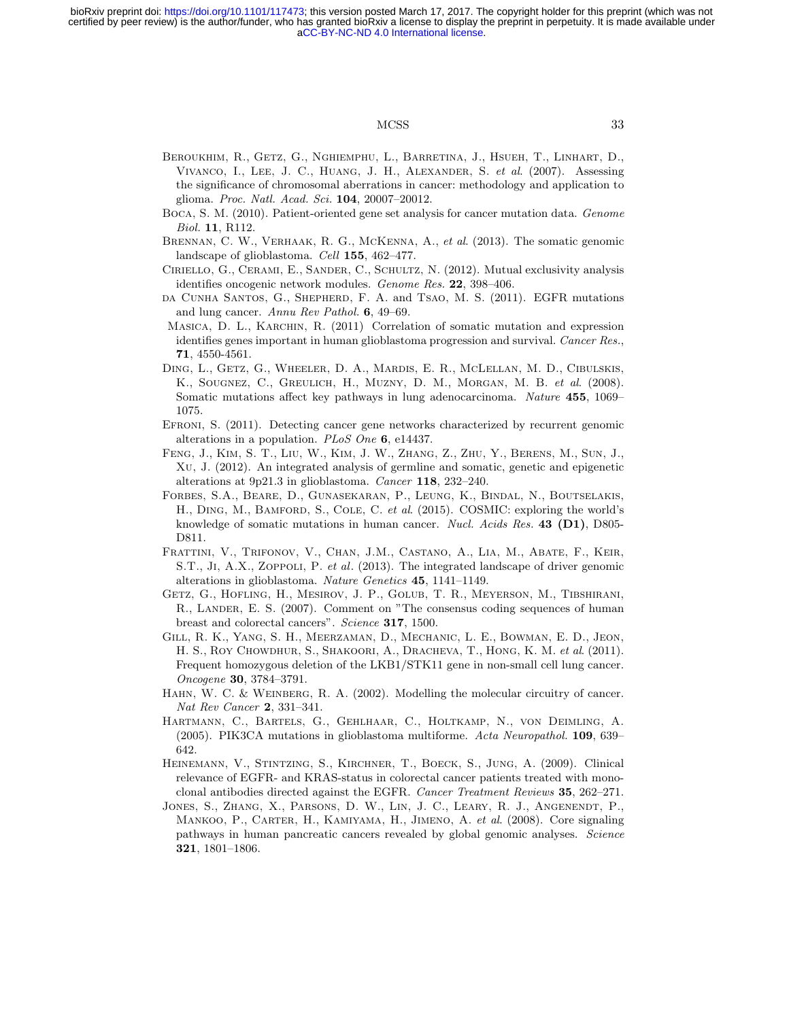### MCSS 33

- <span id="page-32-0"></span>Beroukhim, R., Getz, G., Nghiemphu, L., Barretina, J., Hsueh, T., Linhart, D., Vivanco, I., Lee, J. C., Huang, J. H., Alexander, S. et al. (2007). Assessing the significance of chromosomal aberrations in cancer: methodology and application to glioma. Proc. Natl. Acad. Sci. 104, 20007–20012.
- <span id="page-32-4"></span>Boca, S. M. (2010). Patient-oriented gene set analysis for cancer mutation data. Genome Biol. 11, R112.
- <span id="page-32-12"></span>BRENNAN, C. W., VERHAAK, R. G., MCKENNA, A., et al. (2013). The somatic genomic landscape of glioblastoma. Cell 155, 462–477.
- <span id="page-32-6"></span>Ciriello, G., Cerami, E., Sander, C., Schultz, N. (2012). Mutual exclusivity analysis identifies oncogenic network modules. Genome Res. 22, 398–406.
- <span id="page-32-8"></span>da Cunha Santos, G., Shepherd, F. A. and Tsao, M. S. (2011). EGFR mutations and lung cancer. Annu Rev Pathol. 6, 49–69.
- <span id="page-32-7"></span>MASICA, D. L., KARCHIN, R. (2011) Correlation of somatic mutation and expression identifies genes important in human glioblastoma progression and survival. Cancer Res., 71, 4550-4561.
- <span id="page-32-2"></span>Ding, L., Getz, G., Wheeler, D. A., Mardis, E. R., McLellan, M. D., Cibulskis, K., Sougnez, C., Greulich, H., Muzny, D. M., Morgan, M. B. et al. (2008). Somatic mutations affect key pathways in lung adenocarcinoma. Nature 455, 1069– 1075.
- <span id="page-32-5"></span>Efroni, S. (2011). Detecting cancer gene networks characterized by recurrent genomic alterations in a population. PLoS One 6, e14437.
- <span id="page-32-11"></span>Feng, J., Kim, S. T., Liu, W., Kim, J. W., Zhang, Z., Zhu, Y., Berens, M., Sun, J., Xu, J. (2012). An integrated analysis of germline and somatic, genetic and epigenetic alterations at 9p21.3 in glioblastoma. Cancer 118, 232–240.
- <span id="page-32-14"></span>Forbes, S.A., Beare, D., Gunasekaran, P., Leung, K., Bindal, N., Boutselakis, H., DING, M., BAMFORD, S., COLE, C. et al. (2015). COSMIC: exploring the world's knowledge of somatic mutations in human cancer. Nucl. Acids Res. 43 (D1), D805-D811.
- <span id="page-32-13"></span>Frattini, V., Trifonov, V., Chan, J.M., Castano, A., Lia, M., Abate, F., Keir, S.T., JI, A.X., ZOPPOLI, P. et al. (2013). The integrated landscape of driver genomic alterations in glioblastoma. Nature Genetics 45, 1141–1149.
- <span id="page-32-1"></span>Getz, G., Hofling, H., Mesirov, J. P., Golub, T. R., Meyerson, M., Tibshirani, R., LANDER, E. S. (2007). Comment on "The consensus coding sequences of human breast and colorectal cancers". Science 317, 1500.
- <span id="page-32-10"></span>Gill, R. K., Yang, S. H., Meerzaman, D., Mechanic, L. E., Bowman, E. D., Jeon, H. S., ROY CHOWDHUR, S., SHAKOORI, A., DRACHEVA, T., HONG, K. M. et al. (2011). Frequent homozygous deletion of the LKB1/STK11 gene in non-small cell lung cancer. Oncogene 30, 3784–3791.
- HAHN, W. C. & WEINBERG, R. A. (2002). Modelling the molecular circuitry of cancer. Nat Rev Cancer 2, 331–341.
- <span id="page-32-15"></span>Hartmann, C., Bartels, G., Gehlhaar, C., Holtkamp, N., von Deimling, A. (2005). PIK3CA mutations in glioblastoma multiforme. Acta Neuropathol. 109, 639– 642.
- <span id="page-32-9"></span>Heinemann, V., Stintzing, S., Kirchner, T., Boeck, S., Jung, A. (2009). Clinical relevance of EGFR- and KRAS-status in colorectal cancer patients treated with monoclonal antibodies directed against the EGFR. Cancer Treatment Reviews 35, 262–271.
- <span id="page-32-3"></span>Jones, S., Zhang, X., Parsons, D. W., Lin, J. C., Leary, R. J., Angenendt, P., MANKOO, P., CARTER, H., KAMIYAMA, H., JIMENO, A. et al. (2008). Core signaling pathways in human pancreatic cancers revealed by global genomic analyses. Science 321, 1801–1806.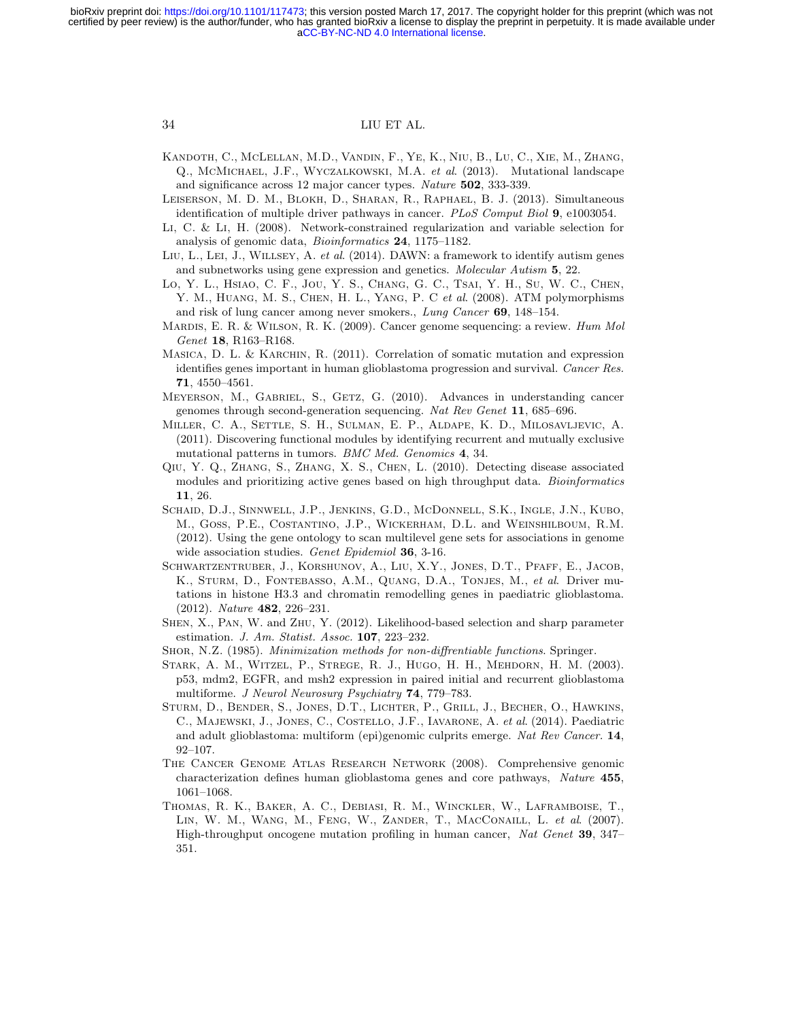- <span id="page-33-13"></span>Kandoth, C., McLellan, M.D., Vandin, F., Ye, K., Niu, B., Lu, C., Xie, M., Zhang, Q., McMichael, J.F., Wyczalkowski, M.A. et al. (2013). Mutational landscape and significance across 12 major cancer types. Nature 502, 333-339.
- <span id="page-33-3"></span>Leiserson, M. D. M., Blokh, D., Sharan, R., Raphael, B. J. (2013). Simultaneous identification of multiple driver pathways in cancer. PLoS Comput Biol 9, e1003054.
- <span id="page-33-5"></span>Li, C. & Li, H. (2008). Network-constrained regularization and variable selection for analysis of genomic data, Bioinformatics 24, 1175–1182.
- <span id="page-33-15"></span>Liu, L., Lei, J., Willsey, A. et al. (2014). DAWN: a framework to identify autism genes and subnetworks using gene expression and genetics. Molecular Autism 5, 22.
- <span id="page-33-8"></span>Lo, Y. L., Hsiao, C. F., Jou, Y. S., Chang, G. C., Tsai, Y. H., Su, W. C., Chen, Y. M., HUANG, M. S., CHEN, H. L., YANG, P. C et al. (2008). ATM polymorphisms and risk of lung cancer among never smokers., Lung Cancer 69, 148–154.
- <span id="page-33-0"></span>MARDIS, E. R. & WILSON, R. K. (2009). Cancer genome sequencing: a review. Hum Mol Genet 18, R163–R168.
- MASICA, D. L. & KARCHIN, R. (2011). Correlation of somatic mutation and expression identifies genes important in human glioblastoma progression and survival. Cancer Res. 71, 4550–4561.
- <span id="page-33-1"></span>Meyerson, M., Gabriel, S., Getz, G. (2010). Advances in understanding cancer genomes through second-generation sequencing. Nat Rev Genet 11, 685–696.
- <span id="page-33-2"></span>Miller, C. A., Settle, S. H., Sulman, E. P., Aldape, K. D., Milosavljevic, A. (2011). Discovering functional modules by identifying recurrent and mutually exclusive mutational patterns in tumors. BMC Med. Genomics 4, 34.
- <span id="page-33-7"></span>Qiu, Y. Q., Zhang, S., Zhang, X. S., Chen, L. (2010). Detecting disease associated modules and prioritizing active genes based on high throughput data. Bioinformatics 11, 26.
- <span id="page-33-14"></span>Schaid, D.J., Sinnwell, J.P., Jenkins, G.D., McDonnell, S.K., Ingle, J.N., Kubo, M., Goss, P.E., Costantino, J.P., Wickerham, D.L. and Weinshilboum, R.M. (2012). Using the gene ontology to scan multilevel gene sets for associations in genome wide association studies. Genet Epidemiol 36, 3-16.
- <span id="page-33-11"></span>Schwartzentruber, J., Korshunov, A., Liu, X.Y., Jones, D.T., Pfaff, E., Jacob, K., STURM, D., FONTEBASSO, A.M., QUANG, D.A., TONJES, M., et al. Driver mutations in histone H3.3 and chromatin remodelling genes in paediatric glioblastoma. (2012). Nature 482, 226–231.
- <span id="page-33-4"></span>Shen, X., Pan, W. and Zhu, Y. (2012). Likelihood-based selection and sharp parameter estimation. J. Am. Statist. Assoc. 107, 223–232.
- <span id="page-33-6"></span>Shor, N.Z. (1985). Minimization methods for non-diffrentiable functions. Springer.
- <span id="page-33-10"></span>Stark, A. M., Witzel, P., Strege, R. J., Hugo, H. H., Mehdorn, H. M. (2003). p53, mdm2, EGFR, and msh2 expression in paired initial and recurrent glioblastoma multiforme. J Neurol Neurosurg Psychiatry 74, 779-783.
- <span id="page-33-12"></span>Sturm, D., Bender, S., Jones, D.T., Lichter, P., Grill, J., Becher, O., Hawkins, C., MAJEWSKI, J., JONES, C., COSTELLO, J.F., IAVARONE, A. et al. (2014). Paediatric and adult glioblastoma: multiform (epi)genomic culprits emerge. Nat Rev Cancer. 14, 92–107.
- <span id="page-33-9"></span>The Cancer Genome Atlas Research Network (2008). Comprehensive genomic characterization defines human glioblastoma genes and core pathways, Nature 455, 1061–1068.
- Thomas, R. K., Baker, A. C., Debiasi, R. M., Winckler, W., Laframboise, T., LIN, W. M., WANG, M., FENG, W., ZANDER, T., MACCONAILL, L. et al. (2007). High-throughput oncogene mutation profiling in human cancer, Nat Genet 39, 347– 351.